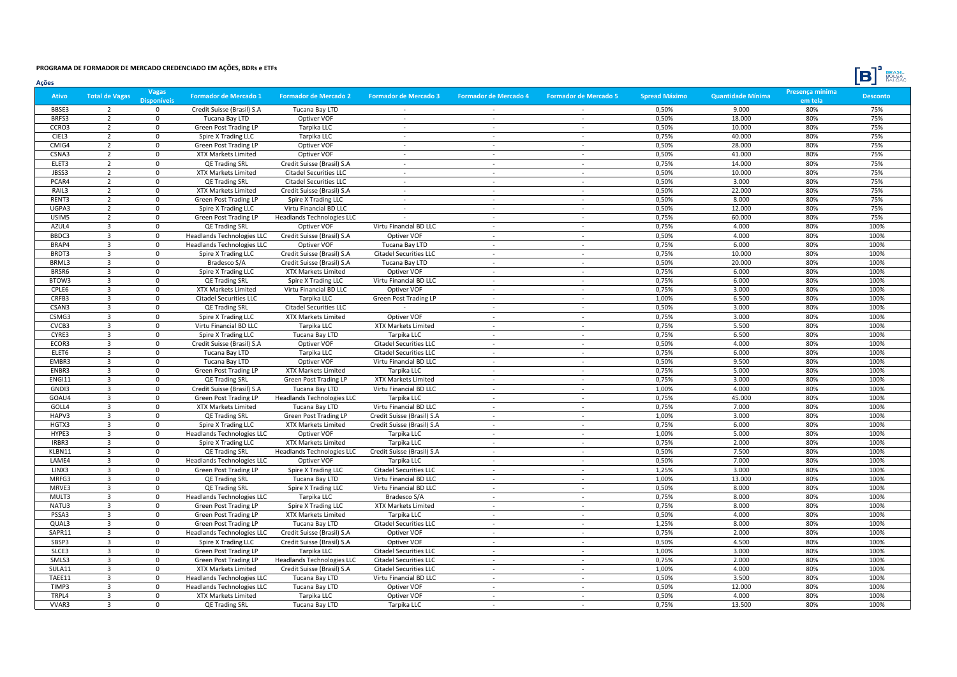| <b>BRASI</b><br>- 4 |
|---------------------|

| Ações         |                         |                           |                                   |                                   |                               |                              |                              |                      |                          |                            | נסן<br><b>BOLSA</b> |
|---------------|-------------------------|---------------------------|-----------------------------------|-----------------------------------|-------------------------------|------------------------------|------------------------------|----------------------|--------------------------|----------------------------|---------------------|
| <b>Ativo</b>  | <b>Total de Vagas</b>   | <b>Vagas</b><br>isnonívei | <b>Formador de Mercado 1</b>      | <b>Formador de Mercado 2</b>      | <b>Formador de Mercado 3</b>  | <b>Formador de Mercado 4</b> | <b>Formador de Mercado 5</b> | <b>Spread Máximo</b> | <b>Quantidade Mínima</b> | Presença mínima<br>em tela | <b>Desconto</b>     |
| BBSE3         | $\overline{2}$          | $\mathbf 0$               | Credit Suisse (Brasil) S.A        | Tucana Bay LTD                    |                               |                              |                              | 0,50%                | 9.000                    | 80%                        | 75%                 |
| BRFS3         | $\overline{2}$          | $\mathbf 0$               | Tucana Bay LTD                    | Optiver VOF                       | $\sim$                        | $\sim$                       | $\sim$                       | 0,50%                | 18.000                   | 80%                        | 75%                 |
| CCRO3         | $\overline{2}$          | $\mathbf 0$               | <b>Green Post Trading LP</b>      | Tarpika LLC                       | ÷.                            | $\sim$                       | ÷.                           | 0,50%                | 10.000                   | 80%                        | 75%                 |
| CIEL3         | $\overline{2}$          | $\mathbf 0$               | Spire X Trading LLC               | Tarpika LLC                       | $\sim$                        | $\sim$                       | $\sim$                       | 0,75%                | 40.000                   | 80%                        | 75%                 |
| CMIG4         | $\overline{2}$          | $\mathbf 0$               | <b>Green Post Trading LP</b>      | Optiver VOF                       | $\sim$                        | $\sim$                       | $\sim$                       | 0,50%                | 28.000                   | 80%                        | 75%                 |
| CSNA3         | $\overline{2}$          | $\mathbf 0$               | XTX Markets Limited               | Optiver VOF                       | $\sim$                        | $\sim$                       | $\sim$                       | 0,50%                | 41.000                   | 80%                        | 75%                 |
| ELET3         | $\overline{2}$          | $\mathbf 0$               | QE Trading SRL                    | Credit Suisse (Brasil) S.A        | ÷.                            | $\sim$                       | $\sim$                       | 0,75%                | 14.000                   | 80%                        | 75%                 |
| JBSS3         | $\overline{2}$          | $\Omega$                  | XTX Markets Limited               | <b>Citadel Securities LLC</b>     | $\sim$                        | $\sim$                       | $\sim$                       | 0,50%                | 10.000                   | 80%                        | 75%                 |
| PCAR4         | $\overline{2}$          | $\Omega$                  | QE Trading SRL                    | <b>Citadel Securities LLC</b>     | $\sim$                        | $\sim$                       | $\sim$                       | 0,50%                | 3.000                    | 80%                        | 75%                 |
| RAIL3         | $\overline{2}$          | $\mathbf 0$               | <b>XTX Markets Limited</b>        | Credit Suisse (Brasil) S.A        | $\sim$                        | $\sim$                       | $\sim$                       | 0,50%                | 22.000                   | 80%                        | 75%                 |
| RENT3         | $\overline{2}$          | $\mathbf 0$               | <b>Green Post Trading LP</b>      | Spire X Trading LLC               | $\sim$                        | $\overline{\phantom{a}}$     | $\sim$                       | 0,50%                | 8.000                    | 80%                        | 75%                 |
| UGPA3         | $\overline{2}$          | $\mathbf 0$               | Spire X Trading LLC               | Virtu Financial BD LLC            | $\sim$                        | $\sim$                       | $\sim$                       | 0,50%                | 12.000                   | 80%                        | 75%                 |
| USIM5         | $\overline{2}$          | $\mathsf 0$               | <b>Green Post Trading LP</b>      | <b>Headlands Technologies LLC</b> |                               | $\sim$                       | $\sim$                       | 0,75%                | 60.000                   | 80%                        | 75%                 |
| AZUL4         | $\overline{\mathbf{3}}$ | $\mathsf 0$               | QE Trading SRL                    | Optiver VOF                       | Virtu Financial BD LLC        | $\sim$                       | $\sim$                       | 0,75%                | 4.000                    | 80%                        | 100%                |
| BBDC3         | $\overline{\mathbf{3}}$ | $\mathbf 0$               | <b>Headlands Technologies LLC</b> | Credit Suisse (Brasil) S.A        | Optiver VOF                   | $\sim$                       | $\omega$                     | 0,50%                | 4.000                    | 80%                        | 100%                |
| BRAP4         | $\overline{\mathbf{3}}$ | $\mathsf 0$               | <b>Headlands Technologies LLC</b> | Optiver VOF                       | Tucana Bay LTD                | $\sim$                       | $\sim$                       | 0,75%                | 6.000                    | 80%                        | 100%                |
| BRDT3         | $\overline{\mathbf{3}}$ | $\mathsf 0$               | Spire X Trading LLC               | Credit Suisse (Brasil) S.A        | <b>Citadel Securities LLC</b> | $\sim$                       | $\sim$                       | 0,75%                | 10.000                   | 80%                        | 100%                |
| BRML3         | $\overline{3}$          | $\Omega$                  | Bradesco S/A                      | Credit Suisse (Brasil) S.A        | Tucana Bay LTD                | $\sim$                       | $\sim$                       | 0,50%                | 20.000                   | 80%                        | 100%                |
| BRSR6         | $\overline{3}$          | $\Omega$                  | Spire X Trading LLC               | <b>XTX Markets Limited</b>        | Optiver VOF                   | $\sim$                       | $\sim$                       | 0,75%                | 6.000                    | 80%                        | 100%                |
| BTOW3         | $\overline{3}$          | $\mathbf 0$               | QE Trading SRL                    | Spire X Trading LLC               | Virtu Financial BD LLC        | $\sim$                       | $\sim$                       | 0,75%                | 6.000                    | 80%                        | 100%                |
| CPLE6         | $\overline{3}$          | $\mathbf 0$               | <b>XTX Markets Limited</b>        | Virtu Financial BD LLC            | Optiver VOF                   | $\sim$                       | $\sim$                       | 0,75%                | 3.000                    | 80%                        | 100%                |
| CRFB3         | $\overline{3}$          | $\mathbf 0$               | <b>Citadel Securities LLC</b>     | Tarpika LLC                       | <b>Green Post Trading LP</b>  | $\sim$                       | $\sim$                       | 1,00%                | 6.500                    | 80%                        | 100%                |
| CSAN3         | $\overline{3}$          | $\mathbf 0$               | QE Trading SRL                    | <b>Citadel Securities LLC</b>     |                               | $\sim$                       | $\sim$                       | 0,50%                | 3.000                    | 80%                        | 100%                |
| CSMG3         | $\overline{\mathbf{3}}$ | $\mathbf 0$               | Spire X Trading LLC               | <b>XTX Markets Limited</b>        | Optiver VOF                   | $\sim$                       | $\omega$                     | 0,75%                | 3.000                    | 80%                        | 100%                |
| CVCB3         | $\overline{3}$          | $\mathbf 0$               | Virtu Financial BD LLC            | Tarpika LLC                       | <b>XTX Markets Limited</b>    | $\overline{\phantom{a}}$     | $\sim$                       | 0,75%                | 5.500                    | 80%                        | 100%                |
| CYRE3         | $\overline{\mathbf{3}}$ | $\mathbf 0$               | Spire X Trading LLC               | Tucana Bay LTD                    | Tarpika LLC                   |                              | $\sim$                       | 0,75%                | 6.500                    | 80%                        | 100%                |
| ECOR3         | $\overline{3}$          | $\Omega$                  | Credit Suisse (Brasil) S.A        | Optiver VOF                       | <b>Citadel Securities LLC</b> | $\sim$                       | $\sim$                       | 0,50%                | 4.000                    | 80%                        | 100%                |
| ELET6         | $\overline{3}$          | $\mathbf 0$               | Tucana Bay LTD                    | Tarpika LLC                       | <b>Citadel Securities LLC</b> | $\sim$                       | $\sim$                       | 0,75%                | 6.000                    | 80%                        | 100%                |
| EMBR3         | $\overline{3}$          | $\mathbf 0$               | Tucana Bay LTD                    | Optiver VOF                       | Virtu Financial BD LLC        | $\sim$                       | $\sim$                       | 0,50%                | 9.500                    | 80%                        | 100%                |
| ENBR3         | $\overline{3}$          | $\mathbf 0$               | <b>Green Post Trading LP</b>      | <b>XTX Markets Limited</b>        | Tarpika LLC                   | $\sim$                       | $\sim$                       | 0,75%                | 5.000                    | 80%                        | 100%                |
| <b>ENGI11</b> | $\overline{\mathbf{3}}$ | $\Omega$                  | QE Trading SRL                    | <b>Green Post Trading LP</b>      | XTX Markets Limited           | $\sim$                       | $\sim$                       | 0,75%                | 3.000                    | 80%                        | 100%                |
| GNDI3         | $\overline{\mathbf{3}}$ | $\mathbf 0$               | Credit Suisse (Brasil) S.A        | Tucana Bay LTD                    | Virtu Financial BD LLC        | $\sim$                       | $\sim$                       | 1,00%                | 4.000                    | 80%                        | 100%                |
| GOAU4         | $\overline{3}$          | $\mathbf 0$               | <b>Green Post Trading LP</b>      | Headlands Technologies LLC        | Tarpika LLC                   | $\sim$                       | $\sim$                       | 0,75%                | 45.000                   | 80%                        | 100%                |
| GOLL4         | $\overline{3}$          | $\mathbf 0$               | XTX Markets Limited               | Tucana Bay LTD                    | Virtu Financial BD LLC        | $\sim$                       | $\sim$                       | 0,75%                | 7.000                    | 80%                        | 100%                |
| HAPV3         | $\overline{3}$          | $\mathbf 0$               | QE Trading SRL                    | Green Post Trading LP             | Credit Suisse (Brasil) S.A    | $\sim$                       | $\sim$                       | 1,00%                | 3.000                    | 80%                        | 100%                |
| HGTX3         | $\overline{\mathbf{3}}$ | $\mathbf 0$               | Spire X Trading LLC               | XTX Markets Limited               | Credit Suisse (Brasil) S.A    | $\sim$                       | $\sim$                       | 0,75%                | 6.000                    | 80%                        | 100%                |
| HYPE3         | $\overline{3}$          | $\Omega$                  | Headlands Technologies LLC        | Optiver VOF                       | Tarpika LLC                   | $\sim$                       | $\sim$                       | 1,00%                | 5.000                    | 80%                        | 100%                |
| IRBR3         | $\overline{3}$          | $\mathbf 0$               | Spire X Trading LLC               | <b>XTX Markets Limited</b>        | Tarpika LLC                   | $\sim$                       | $\sim$                       | 0,75%                | 2.000                    | 80%                        | 100%                |
| KLBN11        | $\overline{3}$          | $\mathbf 0$               | <b>QE Trading SRL</b>             | Headlands Technologies LLC        | Credit Suisse (Brasil) S.A    | $\sim$                       | $\sim$                       | 0,50%                | 7.500                    | 80%                        | 100%                |
| LAME4         | $\overline{\mathbf{3}}$ | $\mathbf 0$               | <b>Headlands Technologies LLC</b> | Optiver VOF                       | Tarpika LLC                   | $\sim$                       | $\sim$                       | 0,50%                | 7.000                    | 80%                        | 100%                |
| LINX3         | $\overline{\mathbf{3}}$ | $\Omega$                  | <b>Green Post Trading LP</b>      | Spire X Trading LLC               | <b>Citadel Securities LLC</b> | $\sim$                       | $\mathbf{r}$                 | 1,25%                | 3.000                    | 80%                        | 100%                |
| MRFG3         | $\overline{3}$          | $\mathbf 0$               | QE Trading SRL                    | Tucana Bay LTD                    | Virtu Financial BD LLC        | $\sim$                       | $\sim$                       | 1,00%                | 13.000                   | 80%                        | 100%                |
| MRVE3         | $\overline{3}$          | $\mathbf 0$               | QE Trading SRL                    | Spire X Trading LLC               | Virtu Financial BD LLC        | $\sim$                       | $\sim$                       | 0,50%                | 8.000                    | 80%                        | 100%                |
| MULT3         | $\overline{3}$          | $\mathsf 0$               | <b>Headlands Technologies LLC</b> | Tarpika LLC                       | Bradesco S/A                  | $\sim$                       | $\sim$                       | 0,75%                | 8.000                    | 80%                        | 100%                |
| NATU3         | $\overline{\mathbf{3}}$ | $\mathbf 0$               | <b>Green Post Trading LP</b>      | Spire X Trading LLC               | XTX Markets Limited           | $\sim$                       | $\sim$                       | 0,75%                | 8.000                    | 80%                        | 100%                |
| PSSA3         | $\overline{3}$          | $\mathbf 0$               | <b>Green Post Trading LP</b>      | <b>XTX Markets Limited</b>        | Tarpika LLC                   | $\sim$                       | $\sim$                       | 0,50%                | 4.000                    | 80%                        | 100%                |
| QUAL3         | $\overline{\mathbf{3}}$ | $\mathbf 0$               | <b>Green Post Trading LP</b>      | Tucana Bay LTD                    | <b>Citadel Securities LLC</b> | $\sim$                       | $\sim$                       | 1,25%                | 8.000                    | 80%                        | 100%                |
| SAPR11        | $\overline{\mathbf{3}}$ | $\mathbf 0$               | Headlands Technologies LLC        | Credit Suisse (Brasil) S.A        | Optiver VOF                   | $\sim$                       | $\sim$                       | 0,75%                | 2.000                    | 80%                        | 100%                |
| SBSP3         | $\overline{3}$          | $\Omega$                  | Spire X Trading LLC               | Credit Suisse (Brasil) S.A        | Optiver VOF                   | $\sim$                       | $\sim$                       | 0,50%                | 4.500                    | 80%                        | 100%                |
| SLCE3         | $\overline{\mathbf{3}}$ | $\Omega$                  | <b>Green Post Trading LP</b>      | Tarpika LLC                       | <b>Citadel Securities LLC</b> | $\sim$                       | $\sim$                       | 1,00%                | 3.000                    | 80%                        | 100%                |
| SMLS3         | $\overline{\mathbf{3}}$ | $\mathbf 0$               | <b>Green Post Trading LP</b>      | Headlands Technologies LLC        | <b>Citadel Securities LLC</b> | $\sim$                       | $\sim$                       | 0,75%                | 2.000                    | 80%                        | 100%                |
| SULA11        | $\overline{\mathbf{3}}$ | $\mathbf 0$               | XTX Markets Limited               | Credit Suisse (Brasil) S.A        | <b>Citadel Securities LLC</b> | $\sim$                       | $\sim$                       | 1,00%                | 4.000                    | 80%                        | 100%                |
| TAEE11        | $\overline{\mathbf{3}}$ | $\mathbf 0$               | Headlands Technologies LLC        | Tucana Bay LTD                    | Virtu Financial BD LLC        | $\sim$                       | $\sim$                       | 0,50%                | 3.500                    | 80%                        | 100%                |
| TIMP3         | $\overline{\mathbf{3}}$ | $\mathbf 0$               | <b>Headlands Technologies LLC</b> | Tucana Bay LTD                    | Optiver VOF                   | $\sim$                       | $\sim$                       | 0,50%                | 12.000                   | 80%                        | 100%                |
| TRPL4         | $\overline{3}$          | $\Omega$                  | XTX Markets Limited               | Tarpika LLC                       | Optiver VOF                   | $\sim$                       | $\sim$                       | 0,50%                | 4.000                    | 80%                        | 100%                |
| VVAR3         | $\overline{3}$          | $\Omega$                  | QE Trading SRL                    | Tucana Bay LTD                    | Tarpika LLC                   |                              |                              | 0,75%                | 13.500                   | 80%                        | 100%                |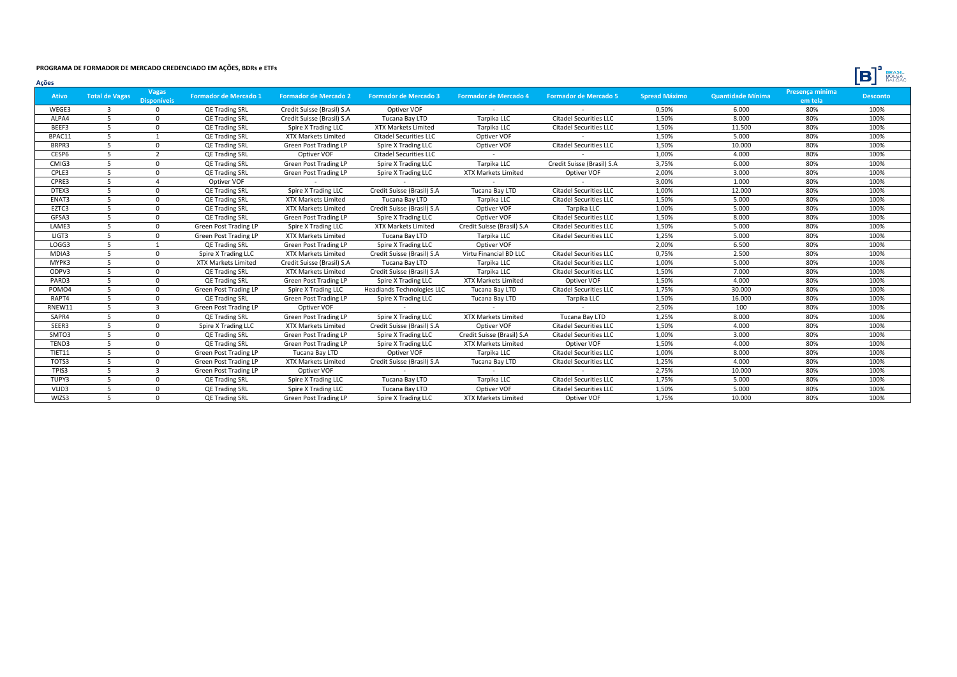| <b>BRASI</b><br>г<br>RΔ |
|-------------------------|

| Vagas<br>Presença mínima<br><b>Quantidade Mínima</b><br><b>Total de Vagas</b><br>Formador de Mercado 1<br><b>Formador de Mercado 2</b><br><b>Formador de Mercado 5</b><br><b>Spread Máximo</b><br><b>Desconto</b><br>Ativo<br><b>Formador de Mercado 3</b><br><b>Formador de Mercado 4</b><br><b>Disponíveis</b><br>em tela<br>0,50%<br>WEGE3<br>QE Trading SRL<br>80%<br>100%<br>3<br>$\Omega$<br>Credit Suisse (Brasil) S.A<br>Optiver VOF<br>6.000<br>1,50%<br>100%<br>-5<br>Tarpika LLC<br><b>Citadel Securities LLC</b><br>8.000<br>80%<br>ALPA4<br><b>QE Trading SRL</b><br>Credit Suisse (Brasil) S.A<br>Tucana Bay LTD<br>1,50%<br>100%<br>BEEF3<br>-5<br><b>QE Trading SRL</b><br>XTX Markets Limited<br>Tarpika LLC<br><b>Citadel Securities LLC</b><br>11.500<br>80%<br>$\Omega$<br>Spire X Trading LLC<br>1,50%<br>5.000<br>80%<br>100%<br>BPAC11<br>-5<br>QE Trading SRL<br>XTX Markets Limited<br><b>Citadel Securities LLC</b><br>Optiver VOF<br>1,50%<br>100%<br>BRPR3<br><b>Citadel Securities LLC</b><br>10.000<br>80%<br>$\Omega$<br>QE Trading SRL<br><b>Green Post Trading LP</b><br>Spire X Trading LLC<br>Optiver VOF<br>1.00%<br>100%<br>CESP6<br>Optiver VOF<br>4.000<br>80%<br>-5<br>$\overline{2}$<br>QE Trading SRL<br><b>Citadel Securities LLC</b><br>100%<br>CMIG3<br>-5<br>Tarpika LLC<br>Credit Suisse (Brasil) S.A<br>3,75%<br>6.000<br>80%<br>$\mathbf{0}$<br>QE Trading SRL<br>Green Post Trading LP<br>Spire X Trading LLC<br>CPLE3<br>2,00%<br>100%<br>Green Post Trading LP<br><b>XTX Markets Limited</b><br>Optiver VOF<br>3.000<br>80%<br>-5<br>QE Trading SRL<br>Spire X Trading LLC<br>$\Omega$<br>3,00%<br>100%<br>1.000<br>CPRE3<br>Optiver VOF<br>80%<br>100%<br>Spire X Trading LLC<br>Credit Suisse (Brasil) S.A<br>Tucana Bay LTD<br><b>Citadel Securities LLC</b><br>1,00%<br>12.000<br>80%<br>DTEX3<br>-5<br>QE Trading SRL<br>$\Omega$<br><b>Citadel Securities LLC</b><br>1,50%<br>5.000<br>80%<br>100%<br>ENAT3<br>-5<br>$\Omega$<br><b>QE Trading SRL</b><br>XTX Markets Limited<br>Tucana Bay LTD<br>Tarpika LLC<br>1,00%<br>100%<br>EZTC3<br>Credit Suisse (Brasil) S.A<br>Optiver VOF<br>5.000<br>80%<br>-5<br><b>QE Trading SRL</b><br><b>XTX Markets Limited</b><br>Tarpika LLC<br>$\Omega$<br>1,50%<br>100%<br>GFSA3<br><b>Green Post Trading LP</b><br>Optiver VOF<br><b>Citadel Securities LLC</b><br>8.000<br>80%<br>-5<br><b>QE Trading SRL</b><br>Spire X Trading LLC<br>1,50%<br>100%<br>-5<br>Credit Suisse (Brasil) S.A<br><b>Citadel Securities LLC</b><br>5.000<br>80%<br>LAME3<br>Green Post Trading LP<br>Spire X Trading LLC<br>XTX Markets Limited<br>U<br>1,25%<br>100%<br>LIGT3<br>-5<br><b>Citadel Securities LLC</b><br>5.000<br>80%<br>$\Omega$<br><b>Green Post Trading LP</b><br>XTX Markets Limited<br>Tucana Bay LTD<br>Tarpika LLC<br>2,00%<br>6.500<br>100%<br><b>QE Trading SRL</b><br><b>Green Post Trading LP</b><br>Optiver VOF<br>80%<br>LOGG3<br>-5<br>Spire X Trading LLC<br><b>Citadel Securities LLC</b><br>0,75%<br>2.500<br>80%<br>100%<br>MDIA3<br>-5<br>Spire X Trading LLC<br>XTX Markets Limited<br>Credit Suisse (Brasil) S.A<br>Virtu Financial BD LLC<br>1,00%<br>100%<br>5.000<br>80%<br>MYPK3<br>-5<br><b>XTX Markets Limited</b><br>Credit Suisse (Brasil) S.A<br>Tarpika LLC<br><b>Citadel Securities LLC</b><br>$\Omega$<br>Tucana Bay LTD<br>1,50%<br>80%<br>100%<br>ODPV3<br>-5<br>Tarpika LLC<br><b>Citadel Securities LLC</b><br>7.000<br>$\Omega$<br><b>QE Trading SRL</b><br><b>XTX Markets Limited</b><br>Credit Suisse (Brasil) S.A<br>1,50%<br>100%<br>PARD3<br>-5<br><b>Green Post Trading LP</b><br><b>XTX Markets Limited</b><br>Optiver VOF<br>4.000<br>80%<br><b>QE Trading SRL</b><br>Spire X Trading LLC<br>$\Omega$<br>100%<br>POMO4<br><b>Citadel Securities LLC</b><br>1,75%<br>80%<br>Green Post Trading LP<br>Spire X Trading LLC<br>Headlands Technologies LLC<br>Tucana Bay LTD<br>30.000<br>100%<br>RAPT4<br>1,50%<br>-5<br>QE Trading SRL<br>Green Post Trading LP<br>16.000<br>80%<br>Spire X Trading LLC<br>Tucana Bay LTD<br>Tarpika LLC<br>2,50%<br>100%<br>RNEW11<br>-5<br>Optiver VOF<br>100<br>80%<br>્વ<br>Green Post Trading LP<br>1,25%<br>100%<br>SAPR4<br><b>QE Trading SRL</b><br>Green Post Trading LP<br>XTX Markets Limited<br>Tucana Bay LTD<br>8.000<br>80%<br>-5<br>$\Omega$<br>Spire X Trading LLC<br>1,50%<br>100%<br>SEER3<br>-5<br><b>XTX Markets Limited</b><br>Credit Suisse (Brasil) S.A<br>Optiver VOF<br><b>Citadel Securities LLC</b><br>4.000<br>80%<br>$\Omega$<br>Spire X Trading LLC<br>100%<br>SMTO3<br>-5<br>1,00%<br>3.000<br>80%<br><b>QE Trading SRL</b><br><b>Green Post Trading LP</b><br>Spire X Trading LLC<br>Credit Suisse (Brasil) S.A<br><b>Citadel Securities LLC</b><br>$\Omega$<br>100%<br>-5<br>1,50%<br>TEND3<br>QE Trading SRL<br>Green Post Trading LP<br>Spire X Trading LLC<br>XTX Markets Limited<br>Optiver VOF<br>4.000<br>80%<br>$\Omega$<br>1,00%<br>100%<br>TIET11<br>-5<br>Tucana Bay LTD<br>Optiver VOF<br>Tarpika LLC<br><b>Citadel Securities LLC</b><br>8.000<br>80%<br>$\mathbf 0$<br>Green Post Trading LP<br>1,25%<br>100%<br>-5<br>Credit Suisse (Brasil) S.A<br><b>Citadel Securities LLC</b><br>4.000<br>80%<br>TOTS3<br>$\Omega$<br>Green Post Trading LP<br><b>XTX Markets Limited</b><br>Tucana Bay LTD<br>2.75%<br>-5<br>10.000<br>80%<br>100%<br>TPIS3<br>Green Post Trading LP<br>Optiver VOF<br>1,75%<br>100%<br>TUPY3<br>-5<br>Tarpika LLC<br><b>Citadel Securities LLC</b><br>5.000<br>80%<br><b>QE Trading SRL</b><br>Spire X Trading LLC<br>Tucana Bay LTD<br>$\Omega$<br>Optiver VOF<br><b>Citadel Securities LLC</b><br>1,50%<br>100%<br>VLID3<br>-5<br>QE Trading SRL<br>Spire X Trading LLC<br>Tucana Bay LTD<br>5.000<br>80%<br>$^{\circ}$<br>1,75%<br>100%<br>WIZS3<br><b>QE Trading SRL</b><br>Green Post Trading LP<br>Spire X Trading LLC<br>XTX Markets Limited<br>Optiver VOF<br>10.000<br>80%<br>$\Omega$ | Ações |  |  |  |  |  | - - |
|------------------------------------------------------------------------------------------------------------------------------------------------------------------------------------------------------------------------------------------------------------------------------------------------------------------------------------------------------------------------------------------------------------------------------------------------------------------------------------------------------------------------------------------------------------------------------------------------------------------------------------------------------------------------------------------------------------------------------------------------------------------------------------------------------------------------------------------------------------------------------------------------------------------------------------------------------------------------------------------------------------------------------------------------------------------------------------------------------------------------------------------------------------------------------------------------------------------------------------------------------------------------------------------------------------------------------------------------------------------------------------------------------------------------------------------------------------------------------------------------------------------------------------------------------------------------------------------------------------------------------------------------------------------------------------------------------------------------------------------------------------------------------------------------------------------------------------------------------------------------------------------------------------------------------------------------------------------------------------------------------------------------------------------------------------------------------------------------------------------------------------------------------------------------------------------------------------------------------------------------------------------------------------------------------------------------------------------------------------------------------------------------------------------------------------------------------------------------------------------------------------------------------------------------------------------------------------------------------------------------------------------------------------------------------------------------------------------------------------------------------------------------------------------------------------------------------------------------------------------------------------------------------------------------------------------------------------------------------------------------------------------------------------------------------------------------------------------------------------------------------------------------------------------------------------------------------------------------------------------------------------------------------------------------------------------------------------------------------------------------------------------------------------------------------------------------------------------------------------------------------------------------------------------------------------------------------------------------------------------------------------------------------------------------------------------------------------------------------------------------------------------------------------------------------------------------------------------------------------------------------------------------------------------------------------------------------------------------------------------------------------------------------------------------------------------------------------------------------------------------------------------------------------------------------------------------------------------------------------------------------------------------------------------------------------------------------------------------------------------------------------------------------------------------------------------------------------------------------------------------------------------------------------------------------------------------------------------------------------------------------------------------------------------------------------------------------------------------------------------------------------------------------------------------------------------------------------------------------------------------------------------------------------------------------------------------------------------------------------------------------------------------------------------------------------------------------------------------------------------------------------------------------------------------------------------------------------------------------------------------------------------------------------------------------------------------------------------------------------------------------------------------------------------------------------------------------------------------------------------------------------------------------------------------------------------------------------------------------------------------------------------------------------------------------------------------------------------------------------------------------------------------------------------------------------------------------------------------------------------------------------------------------------------------------------------------|-------|--|--|--|--|--|-----|
|                                                                                                                                                                                                                                                                                                                                                                                                                                                                                                                                                                                                                                                                                                                                                                                                                                                                                                                                                                                                                                                                                                                                                                                                                                                                                                                                                                                                                                                                                                                                                                                                                                                                                                                                                                                                                                                                                                                                                                                                                                                                                                                                                                                                                                                                                                                                                                                                                                                                                                                                                                                                                                                                                                                                                                                                                                                                                                                                                                                                                                                                                                                                                                                                                                                                                                                                                                                                                                                                                                                                                                                                                                                                                                                                                                                                                                                                                                                                                                                                                                                                                                                                                                                                                                                                                                                                                                                                                                                                                                                                                                                                                                                                                                                                                                                                                                                                                                                                                                                                                                                                                                                                                                                                                                                                                                                                                                                                                                                                                                                                                                                                                                                                                                                                                                                                                                                                                                                                                |       |  |  |  |  |  |     |
|                                                                                                                                                                                                                                                                                                                                                                                                                                                                                                                                                                                                                                                                                                                                                                                                                                                                                                                                                                                                                                                                                                                                                                                                                                                                                                                                                                                                                                                                                                                                                                                                                                                                                                                                                                                                                                                                                                                                                                                                                                                                                                                                                                                                                                                                                                                                                                                                                                                                                                                                                                                                                                                                                                                                                                                                                                                                                                                                                                                                                                                                                                                                                                                                                                                                                                                                                                                                                                                                                                                                                                                                                                                                                                                                                                                                                                                                                                                                                                                                                                                                                                                                                                                                                                                                                                                                                                                                                                                                                                                                                                                                                                                                                                                                                                                                                                                                                                                                                                                                                                                                                                                                                                                                                                                                                                                                                                                                                                                                                                                                                                                                                                                                                                                                                                                                                                                                                                                                                |       |  |  |  |  |  |     |
|                                                                                                                                                                                                                                                                                                                                                                                                                                                                                                                                                                                                                                                                                                                                                                                                                                                                                                                                                                                                                                                                                                                                                                                                                                                                                                                                                                                                                                                                                                                                                                                                                                                                                                                                                                                                                                                                                                                                                                                                                                                                                                                                                                                                                                                                                                                                                                                                                                                                                                                                                                                                                                                                                                                                                                                                                                                                                                                                                                                                                                                                                                                                                                                                                                                                                                                                                                                                                                                                                                                                                                                                                                                                                                                                                                                                                                                                                                                                                                                                                                                                                                                                                                                                                                                                                                                                                                                                                                                                                                                                                                                                                                                                                                                                                                                                                                                                                                                                                                                                                                                                                                                                                                                                                                                                                                                                                                                                                                                                                                                                                                                                                                                                                                                                                                                                                                                                                                                                                |       |  |  |  |  |  |     |
|                                                                                                                                                                                                                                                                                                                                                                                                                                                                                                                                                                                                                                                                                                                                                                                                                                                                                                                                                                                                                                                                                                                                                                                                                                                                                                                                                                                                                                                                                                                                                                                                                                                                                                                                                                                                                                                                                                                                                                                                                                                                                                                                                                                                                                                                                                                                                                                                                                                                                                                                                                                                                                                                                                                                                                                                                                                                                                                                                                                                                                                                                                                                                                                                                                                                                                                                                                                                                                                                                                                                                                                                                                                                                                                                                                                                                                                                                                                                                                                                                                                                                                                                                                                                                                                                                                                                                                                                                                                                                                                                                                                                                                                                                                                                                                                                                                                                                                                                                                                                                                                                                                                                                                                                                                                                                                                                                                                                                                                                                                                                                                                                                                                                                                                                                                                                                                                                                                                                                |       |  |  |  |  |  |     |
|                                                                                                                                                                                                                                                                                                                                                                                                                                                                                                                                                                                                                                                                                                                                                                                                                                                                                                                                                                                                                                                                                                                                                                                                                                                                                                                                                                                                                                                                                                                                                                                                                                                                                                                                                                                                                                                                                                                                                                                                                                                                                                                                                                                                                                                                                                                                                                                                                                                                                                                                                                                                                                                                                                                                                                                                                                                                                                                                                                                                                                                                                                                                                                                                                                                                                                                                                                                                                                                                                                                                                                                                                                                                                                                                                                                                                                                                                                                                                                                                                                                                                                                                                                                                                                                                                                                                                                                                                                                                                                                                                                                                                                                                                                                                                                                                                                                                                                                                                                                                                                                                                                                                                                                                                                                                                                                                                                                                                                                                                                                                                                                                                                                                                                                                                                                                                                                                                                                                                |       |  |  |  |  |  |     |
|                                                                                                                                                                                                                                                                                                                                                                                                                                                                                                                                                                                                                                                                                                                                                                                                                                                                                                                                                                                                                                                                                                                                                                                                                                                                                                                                                                                                                                                                                                                                                                                                                                                                                                                                                                                                                                                                                                                                                                                                                                                                                                                                                                                                                                                                                                                                                                                                                                                                                                                                                                                                                                                                                                                                                                                                                                                                                                                                                                                                                                                                                                                                                                                                                                                                                                                                                                                                                                                                                                                                                                                                                                                                                                                                                                                                                                                                                                                                                                                                                                                                                                                                                                                                                                                                                                                                                                                                                                                                                                                                                                                                                                                                                                                                                                                                                                                                                                                                                                                                                                                                                                                                                                                                                                                                                                                                                                                                                                                                                                                                                                                                                                                                                                                                                                                                                                                                                                                                                |       |  |  |  |  |  |     |
|                                                                                                                                                                                                                                                                                                                                                                                                                                                                                                                                                                                                                                                                                                                                                                                                                                                                                                                                                                                                                                                                                                                                                                                                                                                                                                                                                                                                                                                                                                                                                                                                                                                                                                                                                                                                                                                                                                                                                                                                                                                                                                                                                                                                                                                                                                                                                                                                                                                                                                                                                                                                                                                                                                                                                                                                                                                                                                                                                                                                                                                                                                                                                                                                                                                                                                                                                                                                                                                                                                                                                                                                                                                                                                                                                                                                                                                                                                                                                                                                                                                                                                                                                                                                                                                                                                                                                                                                                                                                                                                                                                                                                                                                                                                                                                                                                                                                                                                                                                                                                                                                                                                                                                                                                                                                                                                                                                                                                                                                                                                                                                                                                                                                                                                                                                                                                                                                                                                                                |       |  |  |  |  |  |     |
|                                                                                                                                                                                                                                                                                                                                                                                                                                                                                                                                                                                                                                                                                                                                                                                                                                                                                                                                                                                                                                                                                                                                                                                                                                                                                                                                                                                                                                                                                                                                                                                                                                                                                                                                                                                                                                                                                                                                                                                                                                                                                                                                                                                                                                                                                                                                                                                                                                                                                                                                                                                                                                                                                                                                                                                                                                                                                                                                                                                                                                                                                                                                                                                                                                                                                                                                                                                                                                                                                                                                                                                                                                                                                                                                                                                                                                                                                                                                                                                                                                                                                                                                                                                                                                                                                                                                                                                                                                                                                                                                                                                                                                                                                                                                                                                                                                                                                                                                                                                                                                                                                                                                                                                                                                                                                                                                                                                                                                                                                                                                                                                                                                                                                                                                                                                                                                                                                                                                                |       |  |  |  |  |  |     |
|                                                                                                                                                                                                                                                                                                                                                                                                                                                                                                                                                                                                                                                                                                                                                                                                                                                                                                                                                                                                                                                                                                                                                                                                                                                                                                                                                                                                                                                                                                                                                                                                                                                                                                                                                                                                                                                                                                                                                                                                                                                                                                                                                                                                                                                                                                                                                                                                                                                                                                                                                                                                                                                                                                                                                                                                                                                                                                                                                                                                                                                                                                                                                                                                                                                                                                                                                                                                                                                                                                                                                                                                                                                                                                                                                                                                                                                                                                                                                                                                                                                                                                                                                                                                                                                                                                                                                                                                                                                                                                                                                                                                                                                                                                                                                                                                                                                                                                                                                                                                                                                                                                                                                                                                                                                                                                                                                                                                                                                                                                                                                                                                                                                                                                                                                                                                                                                                                                                                                |       |  |  |  |  |  |     |
|                                                                                                                                                                                                                                                                                                                                                                                                                                                                                                                                                                                                                                                                                                                                                                                                                                                                                                                                                                                                                                                                                                                                                                                                                                                                                                                                                                                                                                                                                                                                                                                                                                                                                                                                                                                                                                                                                                                                                                                                                                                                                                                                                                                                                                                                                                                                                                                                                                                                                                                                                                                                                                                                                                                                                                                                                                                                                                                                                                                                                                                                                                                                                                                                                                                                                                                                                                                                                                                                                                                                                                                                                                                                                                                                                                                                                                                                                                                                                                                                                                                                                                                                                                                                                                                                                                                                                                                                                                                                                                                                                                                                                                                                                                                                                                                                                                                                                                                                                                                                                                                                                                                                                                                                                                                                                                                                                                                                                                                                                                                                                                                                                                                                                                                                                                                                                                                                                                                                                |       |  |  |  |  |  |     |
|                                                                                                                                                                                                                                                                                                                                                                                                                                                                                                                                                                                                                                                                                                                                                                                                                                                                                                                                                                                                                                                                                                                                                                                                                                                                                                                                                                                                                                                                                                                                                                                                                                                                                                                                                                                                                                                                                                                                                                                                                                                                                                                                                                                                                                                                                                                                                                                                                                                                                                                                                                                                                                                                                                                                                                                                                                                                                                                                                                                                                                                                                                                                                                                                                                                                                                                                                                                                                                                                                                                                                                                                                                                                                                                                                                                                                                                                                                                                                                                                                                                                                                                                                                                                                                                                                                                                                                                                                                                                                                                                                                                                                                                                                                                                                                                                                                                                                                                                                                                                                                                                                                                                                                                                                                                                                                                                                                                                                                                                                                                                                                                                                                                                                                                                                                                                                                                                                                                                                |       |  |  |  |  |  |     |
|                                                                                                                                                                                                                                                                                                                                                                                                                                                                                                                                                                                                                                                                                                                                                                                                                                                                                                                                                                                                                                                                                                                                                                                                                                                                                                                                                                                                                                                                                                                                                                                                                                                                                                                                                                                                                                                                                                                                                                                                                                                                                                                                                                                                                                                                                                                                                                                                                                                                                                                                                                                                                                                                                                                                                                                                                                                                                                                                                                                                                                                                                                                                                                                                                                                                                                                                                                                                                                                                                                                                                                                                                                                                                                                                                                                                                                                                                                                                                                                                                                                                                                                                                                                                                                                                                                                                                                                                                                                                                                                                                                                                                                                                                                                                                                                                                                                                                                                                                                                                                                                                                                                                                                                                                                                                                                                                                                                                                                                                                                                                                                                                                                                                                                                                                                                                                                                                                                                                                |       |  |  |  |  |  |     |
|                                                                                                                                                                                                                                                                                                                                                                                                                                                                                                                                                                                                                                                                                                                                                                                                                                                                                                                                                                                                                                                                                                                                                                                                                                                                                                                                                                                                                                                                                                                                                                                                                                                                                                                                                                                                                                                                                                                                                                                                                                                                                                                                                                                                                                                                                                                                                                                                                                                                                                                                                                                                                                                                                                                                                                                                                                                                                                                                                                                                                                                                                                                                                                                                                                                                                                                                                                                                                                                                                                                                                                                                                                                                                                                                                                                                                                                                                                                                                                                                                                                                                                                                                                                                                                                                                                                                                                                                                                                                                                                                                                                                                                                                                                                                                                                                                                                                                                                                                                                                                                                                                                                                                                                                                                                                                                                                                                                                                                                                                                                                                                                                                                                                                                                                                                                                                                                                                                                                                |       |  |  |  |  |  |     |
|                                                                                                                                                                                                                                                                                                                                                                                                                                                                                                                                                                                                                                                                                                                                                                                                                                                                                                                                                                                                                                                                                                                                                                                                                                                                                                                                                                                                                                                                                                                                                                                                                                                                                                                                                                                                                                                                                                                                                                                                                                                                                                                                                                                                                                                                                                                                                                                                                                                                                                                                                                                                                                                                                                                                                                                                                                                                                                                                                                                                                                                                                                                                                                                                                                                                                                                                                                                                                                                                                                                                                                                                                                                                                                                                                                                                                                                                                                                                                                                                                                                                                                                                                                                                                                                                                                                                                                                                                                                                                                                                                                                                                                                                                                                                                                                                                                                                                                                                                                                                                                                                                                                                                                                                                                                                                                                                                                                                                                                                                                                                                                                                                                                                                                                                                                                                                                                                                                                                                |       |  |  |  |  |  |     |
|                                                                                                                                                                                                                                                                                                                                                                                                                                                                                                                                                                                                                                                                                                                                                                                                                                                                                                                                                                                                                                                                                                                                                                                                                                                                                                                                                                                                                                                                                                                                                                                                                                                                                                                                                                                                                                                                                                                                                                                                                                                                                                                                                                                                                                                                                                                                                                                                                                                                                                                                                                                                                                                                                                                                                                                                                                                                                                                                                                                                                                                                                                                                                                                                                                                                                                                                                                                                                                                                                                                                                                                                                                                                                                                                                                                                                                                                                                                                                                                                                                                                                                                                                                                                                                                                                                                                                                                                                                                                                                                                                                                                                                                                                                                                                                                                                                                                                                                                                                                                                                                                                                                                                                                                                                                                                                                                                                                                                                                                                                                                                                                                                                                                                                                                                                                                                                                                                                                                                |       |  |  |  |  |  |     |
|                                                                                                                                                                                                                                                                                                                                                                                                                                                                                                                                                                                                                                                                                                                                                                                                                                                                                                                                                                                                                                                                                                                                                                                                                                                                                                                                                                                                                                                                                                                                                                                                                                                                                                                                                                                                                                                                                                                                                                                                                                                                                                                                                                                                                                                                                                                                                                                                                                                                                                                                                                                                                                                                                                                                                                                                                                                                                                                                                                                                                                                                                                                                                                                                                                                                                                                                                                                                                                                                                                                                                                                                                                                                                                                                                                                                                                                                                                                                                                                                                                                                                                                                                                                                                                                                                                                                                                                                                                                                                                                                                                                                                                                                                                                                                                                                                                                                                                                                                                                                                                                                                                                                                                                                                                                                                                                                                                                                                                                                                                                                                                                                                                                                                                                                                                                                                                                                                                                                                |       |  |  |  |  |  |     |
|                                                                                                                                                                                                                                                                                                                                                                                                                                                                                                                                                                                                                                                                                                                                                                                                                                                                                                                                                                                                                                                                                                                                                                                                                                                                                                                                                                                                                                                                                                                                                                                                                                                                                                                                                                                                                                                                                                                                                                                                                                                                                                                                                                                                                                                                                                                                                                                                                                                                                                                                                                                                                                                                                                                                                                                                                                                                                                                                                                                                                                                                                                                                                                                                                                                                                                                                                                                                                                                                                                                                                                                                                                                                                                                                                                                                                                                                                                                                                                                                                                                                                                                                                                                                                                                                                                                                                                                                                                                                                                                                                                                                                                                                                                                                                                                                                                                                                                                                                                                                                                                                                                                                                                                                                                                                                                                                                                                                                                                                                                                                                                                                                                                                                                                                                                                                                                                                                                                                                |       |  |  |  |  |  |     |
|                                                                                                                                                                                                                                                                                                                                                                                                                                                                                                                                                                                                                                                                                                                                                                                                                                                                                                                                                                                                                                                                                                                                                                                                                                                                                                                                                                                                                                                                                                                                                                                                                                                                                                                                                                                                                                                                                                                                                                                                                                                                                                                                                                                                                                                                                                                                                                                                                                                                                                                                                                                                                                                                                                                                                                                                                                                                                                                                                                                                                                                                                                                                                                                                                                                                                                                                                                                                                                                                                                                                                                                                                                                                                                                                                                                                                                                                                                                                                                                                                                                                                                                                                                                                                                                                                                                                                                                                                                                                                                                                                                                                                                                                                                                                                                                                                                                                                                                                                                                                                                                                                                                                                                                                                                                                                                                                                                                                                                                                                                                                                                                                                                                                                                                                                                                                                                                                                                                                                |       |  |  |  |  |  |     |
|                                                                                                                                                                                                                                                                                                                                                                                                                                                                                                                                                                                                                                                                                                                                                                                                                                                                                                                                                                                                                                                                                                                                                                                                                                                                                                                                                                                                                                                                                                                                                                                                                                                                                                                                                                                                                                                                                                                                                                                                                                                                                                                                                                                                                                                                                                                                                                                                                                                                                                                                                                                                                                                                                                                                                                                                                                                                                                                                                                                                                                                                                                                                                                                                                                                                                                                                                                                                                                                                                                                                                                                                                                                                                                                                                                                                                                                                                                                                                                                                                                                                                                                                                                                                                                                                                                                                                                                                                                                                                                                                                                                                                                                                                                                                                                                                                                                                                                                                                                                                                                                                                                                                                                                                                                                                                                                                                                                                                                                                                                                                                                                                                                                                                                                                                                                                                                                                                                                                                |       |  |  |  |  |  |     |
|                                                                                                                                                                                                                                                                                                                                                                                                                                                                                                                                                                                                                                                                                                                                                                                                                                                                                                                                                                                                                                                                                                                                                                                                                                                                                                                                                                                                                                                                                                                                                                                                                                                                                                                                                                                                                                                                                                                                                                                                                                                                                                                                                                                                                                                                                                                                                                                                                                                                                                                                                                                                                                                                                                                                                                                                                                                                                                                                                                                                                                                                                                                                                                                                                                                                                                                                                                                                                                                                                                                                                                                                                                                                                                                                                                                                                                                                                                                                                                                                                                                                                                                                                                                                                                                                                                                                                                                                                                                                                                                                                                                                                                                                                                                                                                                                                                                                                                                                                                                                                                                                                                                                                                                                                                                                                                                                                                                                                                                                                                                                                                                                                                                                                                                                                                                                                                                                                                                                                |       |  |  |  |  |  |     |
|                                                                                                                                                                                                                                                                                                                                                                                                                                                                                                                                                                                                                                                                                                                                                                                                                                                                                                                                                                                                                                                                                                                                                                                                                                                                                                                                                                                                                                                                                                                                                                                                                                                                                                                                                                                                                                                                                                                                                                                                                                                                                                                                                                                                                                                                                                                                                                                                                                                                                                                                                                                                                                                                                                                                                                                                                                                                                                                                                                                                                                                                                                                                                                                                                                                                                                                                                                                                                                                                                                                                                                                                                                                                                                                                                                                                                                                                                                                                                                                                                                                                                                                                                                                                                                                                                                                                                                                                                                                                                                                                                                                                                                                                                                                                                                                                                                                                                                                                                                                                                                                                                                                                                                                                                                                                                                                                                                                                                                                                                                                                                                                                                                                                                                                                                                                                                                                                                                                                                |       |  |  |  |  |  |     |
|                                                                                                                                                                                                                                                                                                                                                                                                                                                                                                                                                                                                                                                                                                                                                                                                                                                                                                                                                                                                                                                                                                                                                                                                                                                                                                                                                                                                                                                                                                                                                                                                                                                                                                                                                                                                                                                                                                                                                                                                                                                                                                                                                                                                                                                                                                                                                                                                                                                                                                                                                                                                                                                                                                                                                                                                                                                                                                                                                                                                                                                                                                                                                                                                                                                                                                                                                                                                                                                                                                                                                                                                                                                                                                                                                                                                                                                                                                                                                                                                                                                                                                                                                                                                                                                                                                                                                                                                                                                                                                                                                                                                                                                                                                                                                                                                                                                                                                                                                                                                                                                                                                                                                                                                                                                                                                                                                                                                                                                                                                                                                                                                                                                                                                                                                                                                                                                                                                                                                |       |  |  |  |  |  |     |
|                                                                                                                                                                                                                                                                                                                                                                                                                                                                                                                                                                                                                                                                                                                                                                                                                                                                                                                                                                                                                                                                                                                                                                                                                                                                                                                                                                                                                                                                                                                                                                                                                                                                                                                                                                                                                                                                                                                                                                                                                                                                                                                                                                                                                                                                                                                                                                                                                                                                                                                                                                                                                                                                                                                                                                                                                                                                                                                                                                                                                                                                                                                                                                                                                                                                                                                                                                                                                                                                                                                                                                                                                                                                                                                                                                                                                                                                                                                                                                                                                                                                                                                                                                                                                                                                                                                                                                                                                                                                                                                                                                                                                                                                                                                                                                                                                                                                                                                                                                                                                                                                                                                                                                                                                                                                                                                                                                                                                                                                                                                                                                                                                                                                                                                                                                                                                                                                                                                                                |       |  |  |  |  |  |     |
|                                                                                                                                                                                                                                                                                                                                                                                                                                                                                                                                                                                                                                                                                                                                                                                                                                                                                                                                                                                                                                                                                                                                                                                                                                                                                                                                                                                                                                                                                                                                                                                                                                                                                                                                                                                                                                                                                                                                                                                                                                                                                                                                                                                                                                                                                                                                                                                                                                                                                                                                                                                                                                                                                                                                                                                                                                                                                                                                                                                                                                                                                                                                                                                                                                                                                                                                                                                                                                                                                                                                                                                                                                                                                                                                                                                                                                                                                                                                                                                                                                                                                                                                                                                                                                                                                                                                                                                                                                                                                                                                                                                                                                                                                                                                                                                                                                                                                                                                                                                                                                                                                                                                                                                                                                                                                                                                                                                                                                                                                                                                                                                                                                                                                                                                                                                                                                                                                                                                                |       |  |  |  |  |  |     |
|                                                                                                                                                                                                                                                                                                                                                                                                                                                                                                                                                                                                                                                                                                                                                                                                                                                                                                                                                                                                                                                                                                                                                                                                                                                                                                                                                                                                                                                                                                                                                                                                                                                                                                                                                                                                                                                                                                                                                                                                                                                                                                                                                                                                                                                                                                                                                                                                                                                                                                                                                                                                                                                                                                                                                                                                                                                                                                                                                                                                                                                                                                                                                                                                                                                                                                                                                                                                                                                                                                                                                                                                                                                                                                                                                                                                                                                                                                                                                                                                                                                                                                                                                                                                                                                                                                                                                                                                                                                                                                                                                                                                                                                                                                                                                                                                                                                                                                                                                                                                                                                                                                                                                                                                                                                                                                                                                                                                                                                                                                                                                                                                                                                                                                                                                                                                                                                                                                                                                |       |  |  |  |  |  |     |
|                                                                                                                                                                                                                                                                                                                                                                                                                                                                                                                                                                                                                                                                                                                                                                                                                                                                                                                                                                                                                                                                                                                                                                                                                                                                                                                                                                                                                                                                                                                                                                                                                                                                                                                                                                                                                                                                                                                                                                                                                                                                                                                                                                                                                                                                                                                                                                                                                                                                                                                                                                                                                                                                                                                                                                                                                                                                                                                                                                                                                                                                                                                                                                                                                                                                                                                                                                                                                                                                                                                                                                                                                                                                                                                                                                                                                                                                                                                                                                                                                                                                                                                                                                                                                                                                                                                                                                                                                                                                                                                                                                                                                                                                                                                                                                                                                                                                                                                                                                                                                                                                                                                                                                                                                                                                                                                                                                                                                                                                                                                                                                                                                                                                                                                                                                                                                                                                                                                                                |       |  |  |  |  |  |     |
|                                                                                                                                                                                                                                                                                                                                                                                                                                                                                                                                                                                                                                                                                                                                                                                                                                                                                                                                                                                                                                                                                                                                                                                                                                                                                                                                                                                                                                                                                                                                                                                                                                                                                                                                                                                                                                                                                                                                                                                                                                                                                                                                                                                                                                                                                                                                                                                                                                                                                                                                                                                                                                                                                                                                                                                                                                                                                                                                                                                                                                                                                                                                                                                                                                                                                                                                                                                                                                                                                                                                                                                                                                                                                                                                                                                                                                                                                                                                                                                                                                                                                                                                                                                                                                                                                                                                                                                                                                                                                                                                                                                                                                                                                                                                                                                                                                                                                                                                                                                                                                                                                                                                                                                                                                                                                                                                                                                                                                                                                                                                                                                                                                                                                                                                                                                                                                                                                                                                                |       |  |  |  |  |  |     |
|                                                                                                                                                                                                                                                                                                                                                                                                                                                                                                                                                                                                                                                                                                                                                                                                                                                                                                                                                                                                                                                                                                                                                                                                                                                                                                                                                                                                                                                                                                                                                                                                                                                                                                                                                                                                                                                                                                                                                                                                                                                                                                                                                                                                                                                                                                                                                                                                                                                                                                                                                                                                                                                                                                                                                                                                                                                                                                                                                                                                                                                                                                                                                                                                                                                                                                                                                                                                                                                                                                                                                                                                                                                                                                                                                                                                                                                                                                                                                                                                                                                                                                                                                                                                                                                                                                                                                                                                                                                                                                                                                                                                                                                                                                                                                                                                                                                                                                                                                                                                                                                                                                                                                                                                                                                                                                                                                                                                                                                                                                                                                                                                                                                                                                                                                                                                                                                                                                                                                |       |  |  |  |  |  |     |
|                                                                                                                                                                                                                                                                                                                                                                                                                                                                                                                                                                                                                                                                                                                                                                                                                                                                                                                                                                                                                                                                                                                                                                                                                                                                                                                                                                                                                                                                                                                                                                                                                                                                                                                                                                                                                                                                                                                                                                                                                                                                                                                                                                                                                                                                                                                                                                                                                                                                                                                                                                                                                                                                                                                                                                                                                                                                                                                                                                                                                                                                                                                                                                                                                                                                                                                                                                                                                                                                                                                                                                                                                                                                                                                                                                                                                                                                                                                                                                                                                                                                                                                                                                                                                                                                                                                                                                                                                                                                                                                                                                                                                                                                                                                                                                                                                                                                                                                                                                                                                                                                                                                                                                                                                                                                                                                                                                                                                                                                                                                                                                                                                                                                                                                                                                                                                                                                                                                                                |       |  |  |  |  |  |     |
|                                                                                                                                                                                                                                                                                                                                                                                                                                                                                                                                                                                                                                                                                                                                                                                                                                                                                                                                                                                                                                                                                                                                                                                                                                                                                                                                                                                                                                                                                                                                                                                                                                                                                                                                                                                                                                                                                                                                                                                                                                                                                                                                                                                                                                                                                                                                                                                                                                                                                                                                                                                                                                                                                                                                                                                                                                                                                                                                                                                                                                                                                                                                                                                                                                                                                                                                                                                                                                                                                                                                                                                                                                                                                                                                                                                                                                                                                                                                                                                                                                                                                                                                                                                                                                                                                                                                                                                                                                                                                                                                                                                                                                                                                                                                                                                                                                                                                                                                                                                                                                                                                                                                                                                                                                                                                                                                                                                                                                                                                                                                                                                                                                                                                                                                                                                                                                                                                                                                                |       |  |  |  |  |  |     |
|                                                                                                                                                                                                                                                                                                                                                                                                                                                                                                                                                                                                                                                                                                                                                                                                                                                                                                                                                                                                                                                                                                                                                                                                                                                                                                                                                                                                                                                                                                                                                                                                                                                                                                                                                                                                                                                                                                                                                                                                                                                                                                                                                                                                                                                                                                                                                                                                                                                                                                                                                                                                                                                                                                                                                                                                                                                                                                                                                                                                                                                                                                                                                                                                                                                                                                                                                                                                                                                                                                                                                                                                                                                                                                                                                                                                                                                                                                                                                                                                                                                                                                                                                                                                                                                                                                                                                                                                                                                                                                                                                                                                                                                                                                                                                                                                                                                                                                                                                                                                                                                                                                                                                                                                                                                                                                                                                                                                                                                                                                                                                                                                                                                                                                                                                                                                                                                                                                                                                |       |  |  |  |  |  |     |
|                                                                                                                                                                                                                                                                                                                                                                                                                                                                                                                                                                                                                                                                                                                                                                                                                                                                                                                                                                                                                                                                                                                                                                                                                                                                                                                                                                                                                                                                                                                                                                                                                                                                                                                                                                                                                                                                                                                                                                                                                                                                                                                                                                                                                                                                                                                                                                                                                                                                                                                                                                                                                                                                                                                                                                                                                                                                                                                                                                                                                                                                                                                                                                                                                                                                                                                                                                                                                                                                                                                                                                                                                                                                                                                                                                                                                                                                                                                                                                                                                                                                                                                                                                                                                                                                                                                                                                                                                                                                                                                                                                                                                                                                                                                                                                                                                                                                                                                                                                                                                                                                                                                                                                                                                                                                                                                                                                                                                                                                                                                                                                                                                                                                                                                                                                                                                                                                                                                                                |       |  |  |  |  |  |     |
|                                                                                                                                                                                                                                                                                                                                                                                                                                                                                                                                                                                                                                                                                                                                                                                                                                                                                                                                                                                                                                                                                                                                                                                                                                                                                                                                                                                                                                                                                                                                                                                                                                                                                                                                                                                                                                                                                                                                                                                                                                                                                                                                                                                                                                                                                                                                                                                                                                                                                                                                                                                                                                                                                                                                                                                                                                                                                                                                                                                                                                                                                                                                                                                                                                                                                                                                                                                                                                                                                                                                                                                                                                                                                                                                                                                                                                                                                                                                                                                                                                                                                                                                                                                                                                                                                                                                                                                                                                                                                                                                                                                                                                                                                                                                                                                                                                                                                                                                                                                                                                                                                                                                                                                                                                                                                                                                                                                                                                                                                                                                                                                                                                                                                                                                                                                                                                                                                                                                                |       |  |  |  |  |  |     |
|                                                                                                                                                                                                                                                                                                                                                                                                                                                                                                                                                                                                                                                                                                                                                                                                                                                                                                                                                                                                                                                                                                                                                                                                                                                                                                                                                                                                                                                                                                                                                                                                                                                                                                                                                                                                                                                                                                                                                                                                                                                                                                                                                                                                                                                                                                                                                                                                                                                                                                                                                                                                                                                                                                                                                                                                                                                                                                                                                                                                                                                                                                                                                                                                                                                                                                                                                                                                                                                                                                                                                                                                                                                                                                                                                                                                                                                                                                                                                                                                                                                                                                                                                                                                                                                                                                                                                                                                                                                                                                                                                                                                                                                                                                                                                                                                                                                                                                                                                                                                                                                                                                                                                                                                                                                                                                                                                                                                                                                                                                                                                                                                                                                                                                                                                                                                                                                                                                                                                |       |  |  |  |  |  |     |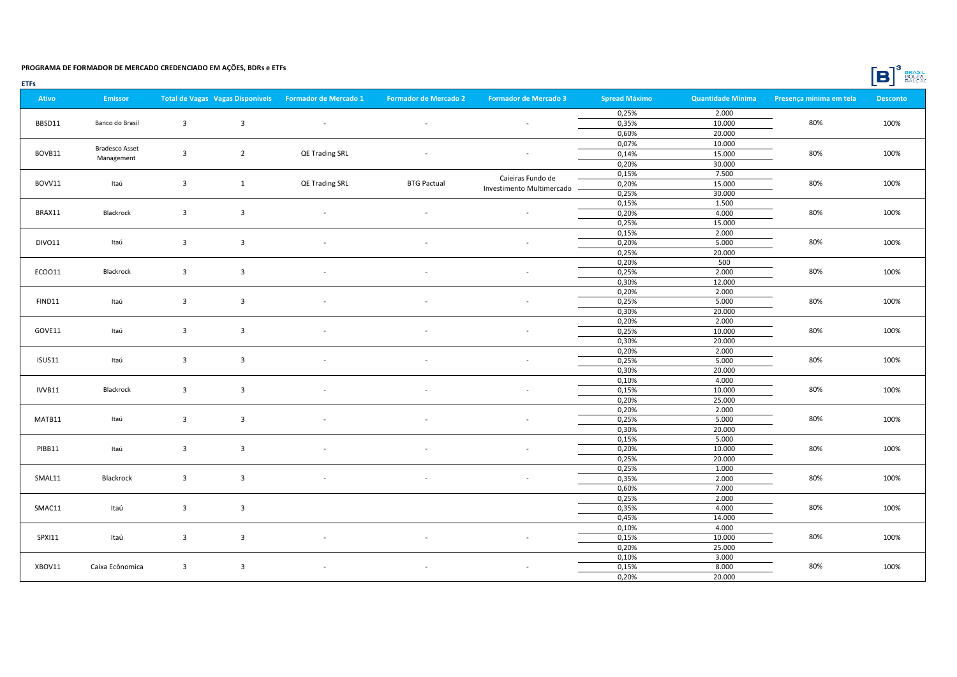|  | <b>BRASIL</b> |
|--|---------------|
|  | <b>BOLSA</b>  |

|--|

| <b>Ativo</b> | <b>Emissor</b>        |                         | Total de Vagas Vagas Disponíveis | <b>Formador de Mercado 1</b> | <b>Formador de Mercado 2</b> | <b>Formador de Mercado 3</b> | <b>Spread Máximo</b> | <b>Quantidade Mínima</b> | Presença mínima em tela | <b>Desconto</b> |
|--------------|-----------------------|-------------------------|----------------------------------|------------------------------|------------------------------|------------------------------|----------------------|--------------------------|-------------------------|-----------------|
|              |                       |                         |                                  |                              |                              |                              | 0,25%                | 2.000                    |                         |                 |
| BBSD11       | Banco do Brasil       | $\overline{\mathbf{3}}$ | $\overline{3}$                   | $\overline{\phantom{a}}$     | $\sim$                       | $\overline{\phantom{a}}$     | 0,35%                | 10.000                   | 80%                     | 100%            |
|              |                       |                         |                                  |                              |                              |                              | 0,60%                | 20.000                   |                         |                 |
|              |                       |                         |                                  |                              |                              |                              | 0,07%                | 10.000                   |                         |                 |
| BOVB11       | <b>Bradesco Asset</b> | $\overline{\mathbf{3}}$ | $\overline{2}$                   | QE Trading SRL               | $\sim$                       | $\overline{\phantom{a}}$     | 0,14%                | 15.000                   | 80%                     | 100%            |
|              | Management            |                         |                                  |                              |                              |                              | 0,20%                | 30.000                   |                         |                 |
|              |                       |                         |                                  |                              |                              |                              | 0,15%                | 7.500                    |                         |                 |
| BOVV11       | Itaú                  | $\overline{\mathbf{3}}$ | $\mathbf{1}$                     | QE Trading SRL               | <b>BTG Pactual</b>           | Caieiras Fundo de            | 0,20%                | 15.000                   | 80%                     | 100%            |
|              |                       |                         |                                  |                              |                              | Investimento Multimercado -  | 0,25%                | 30.000                   |                         |                 |
|              |                       |                         |                                  |                              |                              |                              | 0,15%                | 1.500                    |                         |                 |
| BRAX11       | Blackrock             | $\overline{\mathbf{3}}$ | $\overline{\mathbf{3}}$          | $\overline{\phantom{a}}$     | $\sim$                       | $\overline{\phantom{a}}$     | 0,20%                | 4.000                    | 80%                     | 100%            |
|              |                       |                         |                                  |                              |                              |                              | 0,25%                | 15.000                   |                         |                 |
|              |                       |                         |                                  |                              |                              |                              | 0,15%                | 2.000                    |                         |                 |
| DIVO11       | Itaú                  | $\overline{\mathbf{3}}$ | $\overline{\mathbf{3}}$          | $\overline{\phantom{a}}$     | $\sim$                       | $\overline{\phantom{a}}$     | 0,20%                | 5.000                    | 80%                     | 100%            |
|              |                       |                         |                                  |                              |                              |                              | 0,25%                | 20.000                   |                         |                 |
|              |                       |                         |                                  |                              |                              |                              | 0,20%                | 500                      |                         |                 |
| ECO011       | Blackrock             | $\overline{\mathbf{3}}$ | $\overline{\mathbf{3}}$          | $\overline{\phantom{a}}$     | $\overline{\phantom{a}}$     | $\overline{\phantom{a}}$     | 0,25%                | 2.000                    | 80%                     | 100%            |
|              |                       |                         |                                  |                              |                              |                              | 0,30%                | 12.000                   |                         |                 |
|              |                       |                         |                                  |                              |                              |                              | 0,20%                | 2.000                    |                         |                 |
| FIND11       | Itaú                  | $\overline{\mathbf{3}}$ | $\overline{\mathbf{3}}$          |                              | $\overline{\phantom{a}}$     | ٠                            | 0,25%                | 5.000                    | 80%                     | 100%            |
|              |                       |                         |                                  |                              |                              |                              | 0,30%                | 20.000                   |                         |                 |
|              |                       |                         |                                  |                              |                              |                              | 0,20%                | 2.000                    |                         |                 |
| GOVE11       | Itaú                  | $\overline{\mathbf{3}}$ | $\overline{\mathbf{3}}$          | $\overline{\phantom{a}}$     | $\sim$                       | $\overline{\phantom{a}}$     | 0,25%                | 10.000                   | 80%                     | 100%            |
|              |                       |                         |                                  |                              |                              |                              | 0,30%                | 20.000                   |                         |                 |
|              |                       |                         |                                  |                              |                              |                              | 0,20%                | 2.000                    |                         |                 |
| ISUS11       | Itaú                  | $\overline{\mathbf{3}}$ | $\overline{\mathbf{3}}$          | $\overline{a}$               | $\overline{\phantom{a}}$     | $\overline{\phantom{a}}$     | 0,25%                | 5.000                    | 80%                     | 100%            |
|              |                       |                         |                                  |                              |                              |                              | 0,30%                | 20.000                   |                         |                 |
|              |                       |                         |                                  |                              |                              |                              | 0,10%                | 4.000                    |                         |                 |
| IVVB11       | Blackrock             | $\overline{\mathbf{3}}$ | $\overline{\mathbf{3}}$          | $\overline{\phantom{a}}$     | $\sim$                       | $\overline{\phantom{a}}$     | 0,15%                | 10.000                   | 80%                     | 100%            |
|              |                       |                         |                                  |                              |                              |                              | 0,20%                | 25.000                   |                         |                 |
|              |                       |                         |                                  |                              |                              |                              | 0,20%                | 2.000                    |                         |                 |
| MATB11       | Itaú                  | $\overline{\mathbf{3}}$ | $\overline{\mathbf{3}}$          | $\overline{\phantom{a}}$     |                              |                              | 0,25%                | 5.000                    | 80%                     | 100%            |
|              |                       |                         |                                  |                              |                              |                              | 0,30%                | 20.000                   |                         |                 |
|              |                       |                         |                                  |                              |                              |                              | 0,15%                | 5.000                    |                         |                 |
| PIBB11       | Itaú                  | $\overline{\mathbf{3}}$ | $\overline{\mathbf{3}}$          | $\overline{\phantom{a}}$     | $\overline{\phantom{a}}$     | $\overline{\phantom{a}}$     | 0,20%                | 10.000                   | 80%                     | 100%            |
|              |                       |                         |                                  |                              |                              |                              | 0,25%                | 20.000                   |                         |                 |
|              |                       |                         |                                  |                              |                              |                              | 0,25%                | 1.000                    |                         |                 |
| SMAL11       | Blackrock             | $\overline{3}$          | $\overline{\mathbf{3}}$          | $\overline{\phantom{a}}$     | $\sim$                       | $\overline{\phantom{a}}$     | 0,35%                | 2.000                    | 80%                     | 100%            |
|              |                       |                         |                                  |                              |                              |                              | 0,60%                | 7.000                    |                         |                 |
|              |                       |                         |                                  |                              |                              |                              | 0,25%                | 2.000                    |                         |                 |
| SMAC11       | Itaú                  | $\overline{\mathbf{3}}$ | $\overline{\mathbf{3}}$          |                              |                              |                              | 0,35%                | 4.000                    | 80%                     | 100%            |
|              |                       |                         |                                  |                              |                              |                              | 0,45%                | 14.000                   |                         |                 |
|              |                       |                         |                                  |                              |                              |                              | 0,10%                | 4.000                    |                         |                 |
| SPXI11       | Itaú                  | $\overline{\mathbf{3}}$ | $\overline{\mathbf{3}}$          | $\overline{\phantom{a}}$     | $\overline{\phantom{a}}$     | $\overline{\phantom{a}}$     | 0,15%                | 10.000                   | 80%                     | 100%            |
|              |                       |                         |                                  |                              |                              |                              | 0,20%                | 25.000                   |                         |                 |
|              |                       |                         |                                  |                              |                              |                              | 0,10%                | 3.000                    |                         |                 |
| XBOV11       | Caixa Ecônomica       | $\overline{3}$          | $\overline{\mathbf{3}}$          | $\overline{\phantom{a}}$     | $\sim$                       | $\overline{\phantom{a}}$     | 0,15%                | 8.000                    | 80%                     | 100%            |
|              |                       |                         |                                  |                              |                              |                              | 0,20%                | 20.000                   |                         |                 |
|              |                       |                         |                                  |                              |                              |                              |                      |                          |                         |                 |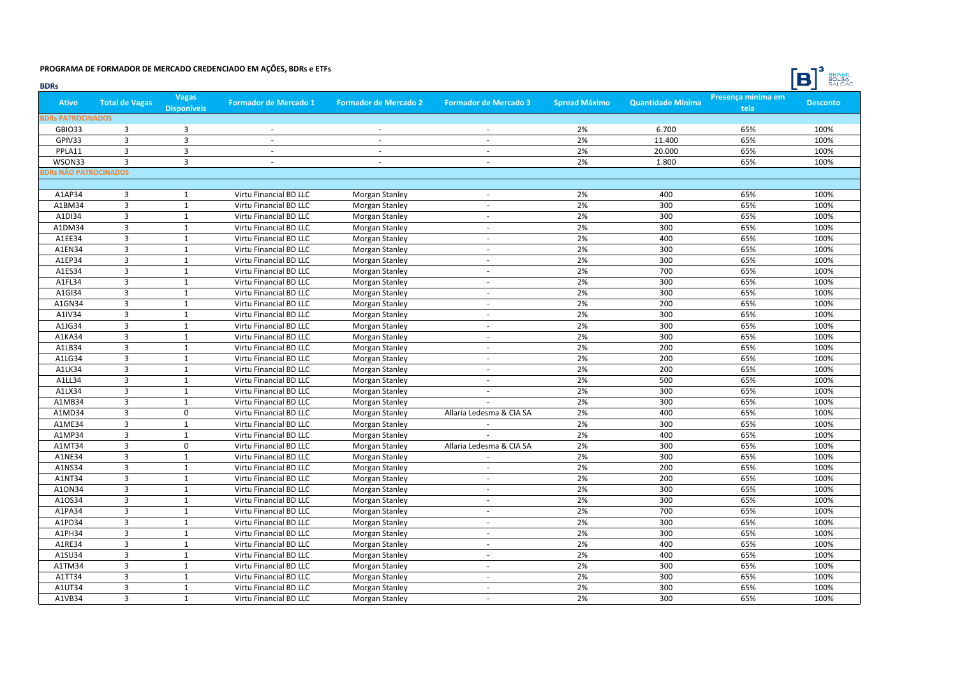

| <b>BDRs</b>                  |                         |                                    |                                                  |                              |                                |                      |                          |                            | <b>BALCAO</b>   |
|------------------------------|-------------------------|------------------------------------|--------------------------------------------------|------------------------------|--------------------------------|----------------------|--------------------------|----------------------------|-----------------|
| <b>Ativo</b>                 | <b>Total de Vagas</b>   | <b>Vagas</b><br><b>Disponíveis</b> | <b>Formador de Mercado 1</b>                     | <b>Formador de Mercado 2</b> | <b>Formador de Mercado 3</b>   | <b>Spread Máximo</b> | <b>Quantidade Mínima</b> | Presença mínima em<br>tela | <b>Desconto</b> |
| <b>BDRs PATROCINADOS</b>     |                         |                                    |                                                  |                              |                                |                      |                          |                            |                 |
| <b>GBIO33</b>                | $\overline{3}$          | $\overline{3}$                     | $\sim$                                           | $\sim$                       | $\sim$                         | 2%                   | 6.700                    | 65%                        | 100%            |
| GPIV33                       | 3                       | 3                                  | ÷.                                               | ÷.                           | ÷.                             | 2%                   | 11.400                   | 65%                        | 100%            |
| PPLA11                       | $\overline{3}$          | $\overline{3}$                     | $\sim$                                           | $\sim$                       | $\sim$                         | 2%                   | 20.000                   | 65%                        | 100%            |
| WSON33                       | $\overline{3}$          | $\overline{3}$                     | $\overline{\phantom{0}}$                         | $\overline{\phantom{a}}$     | $\overline{\phantom{a}}$       | 2%                   | 1.800                    | 65%                        | 100%            |
| <b>BDRs NÃO PATROCINADOS</b> |                         |                                    |                                                  |                              |                                |                      |                          |                            |                 |
|                              |                         |                                    |                                                  |                              |                                |                      |                          |                            |                 |
| A1AP34                       | 3                       | 1                                  | Virtu Financial BD LLC                           | Morgan Stanley               | $\overline{\phantom{a}}$       | 2%                   | 400                      | 65%                        | 100%            |
| A1BM34                       | $\overline{3}$          | $\mathbf{1}$                       | Virtu Financial BD LLC                           | Morgan Stanley               | $\sim$                         | 2%                   | 300                      | 65%                        | 100%            |
| A1DI34                       | $\overline{3}$          | $\mathbf{1}$                       | Virtu Financial BD LLC                           | Morgan Stanley               | ÷                              | 2%                   | 300                      | 65%                        | 100%            |
| A1DM34                       | $\overline{3}$          | $\mathbf{1}$                       | Virtu Financial BD LLC                           | <b>Morgan Stanley</b>        | ä,                             | 2%                   | 300                      | 65%                        | 100%            |
| A1EE34                       | $\overline{3}$          | $\mathbf{1}$                       | Virtu Financial BD LLC                           | Morgan Stanley               | ÷.                             | 2%                   | 400                      | 65%                        | 100%            |
| A1EN34                       | 3                       | $\mathbf 1$                        | Virtu Financial BD LLC                           | Morgan Stanley               |                                | 2%                   | 300                      | 65%                        | 100%            |
| A1EP34                       | 3                       | $\mathbf{1}$                       | Virtu Financial BD LLC                           | Morgan Stanley               | ÷.                             | 2%                   | 300                      | 65%                        | 100%            |
| A1ES34                       | 3                       | $\mathbf{1}$                       | Virtu Financial BD LLC                           | <b>Morgan Stanley</b>        | $\sim$                         | 2%                   | 700                      | 65%                        | 100%            |
| A1FL34                       | $\overline{3}$          | $\mathbf{1}$                       | Virtu Financial BD LLC                           | <b>Morgan Stanley</b>        | ä,                             | 2%                   | 300                      | 65%                        | 100%            |
| A1GI34                       | $\overline{3}$          | $\mathbf{1}$                       | Virtu Financial BD LLC                           | Morgan Stanley               | ÷.                             | 2%                   | 300                      | 65%                        | 100%            |
| A1GN34                       | $\overline{3}$          | $\mathbf{1}$                       | Virtu Financial BD LLC                           | Morgan Stanley               | $\sim$                         | 2%                   | 200                      | 65%                        | 100%            |
| A1IV34                       | 3                       | $\mathbf{1}$                       | Virtu Financial BD LLC                           | <b>Morgan Stanley</b>        | $\sim$                         | 2%                   | 300                      | 65%                        | 100%            |
| A1JG34                       | $\overline{3}$          | $\mathbf{1}$                       | Virtu Financial BD LLC                           | <b>Morgan Stanley</b>        | ä,                             | 2%                   | 300                      | 65%                        | 100%            |
| A1KA34                       | 3                       | $\mathbf{1}$                       | Virtu Financial BD LLC                           | Morgan Stanley               | $\sim$                         | 2%                   | 300                      | 65%                        | 100%            |
| A1LB34                       | $\overline{3}$          | $\mathbf{1}$                       | Virtu Financial BD LLC                           | Morgan Stanley               |                                | 2%                   | 200                      | 65%                        | 100%            |
| A1LG34                       | $\overline{3}$          | $\mathbf{1}$                       | Virtu Financial BD LLC                           | Morgan Stanley               | ÷.                             | 2%                   | 200                      | 65%                        | 100%            |
| A1LK34                       | $\overline{3}$          | $\mathbf{1}$                       | Virtu Financial BD LLC                           | Morgan Stanley               | ÷.                             | 2%                   | 200                      | 65%                        | 100%            |
| A1LL34                       | $\overline{3}$          | $\mathbf{1}$                       | Virtu Financial BD LLC                           | <b>Morgan Stanley</b>        | ä,                             | 2%                   | 500                      | 65%                        | 100%            |
| A1LX34                       | $\overline{3}$          | $\mathbf{1}$                       | Virtu Financial BD LLC                           | Morgan Stanley               | ÷.                             | 2%                   | 300                      | 65%                        | 100%            |
| A1MB34                       | 3                       | $\mathbf 1$                        | Virtu Financial BD LLC                           | Morgan Stanley               |                                | 2%                   | 300                      | 65%                        | 100%            |
| A1MD34                       | 3                       | $\mathbf 0$                        | Virtu Financial BD LLC                           | Morgan Stanley               | Allaria Ledesma & CIA SA       | 2%                   | 400                      | 65%                        | 100%            |
| A1ME34                       | $\overline{3}$          | $\mathbf{1}$                       | Virtu Financial BD LLC                           | <b>Morgan Stanley</b>        | ÷.                             | 2%                   | 300                      | 65%                        | 100%            |
| A1MP34                       | $\overline{3}$          | $\mathbf{1}$                       | Virtu Financial BD LLC                           |                              | $\overline{a}$                 | 2%                   | 400                      | 65%                        | 100%            |
| A1MT34                       | $\overline{\mathbf{3}}$ | $\mathbf 0$                        |                                                  | Morgan Stanley               |                                | 2%                   | 300                      | 65%                        | 100%            |
| A1NE34                       | $\overline{3}$          | $\mathbf{1}$                       | Virtu Financial BD LLC<br>Virtu Financial BD LLC | Morgan Stanley               | Allaria Ledesma & CIA SA<br>ä, | 2%                   | 300                      | 65%                        | 100%            |
| A1NS34                       | 3                       | $\mathbf{1}$                       |                                                  | Morgan Stanley               | $\overline{\phantom{a}}$       | 2%                   | 200                      | 65%                        | 100%            |
| A1NT34                       | $\overline{3}$          | $\mathbf 1$                        | Virtu Financial BD LLC                           | Morgan Stanley               |                                | 2%                   | 200                      | 65%                        | 100%            |
|                              | $\overline{\mathbf{3}}$ | $\mathbf 1$                        | Virtu Financial BD LLC                           | <b>Morgan Stanley</b>        |                                | 2%                   | 300                      |                            |                 |
| A10N34                       |                         |                                    | Virtu Financial BD LLC                           | Morgan Stanley               | $\blacksquare$                 |                      |                          | 65%                        | 100%            |
| A10S34                       | 3<br>$\overline{3}$     | $\mathbf{1}$                       | Virtu Financial BD LLC                           | Morgan Stanley               | $\sim$                         | 2%                   | 300                      | 65%                        | 100%            |
| A1PA34                       |                         | $\mathbf{1}$                       | Virtu Financial BD LLC                           | Morgan Stanley               | $\omega$                       | 2%                   | 700                      | 65%                        | 100%            |
| A1PD34                       | $\overline{3}$          | $\mathbf{1}$                       | Virtu Financial BD LLC                           | Morgan Stanley               | ÷.                             | 2%                   | 300                      | 65%                        | 100%            |
| A1PH34                       | $\overline{3}$          | $\mathbf{1}$                       | Virtu Financial BD LLC                           | Morgan Stanley               | ÷                              | 2%                   | 300                      | 65%                        | 100%            |
| A1RE34                       | 3                       | $\mathbf{1}$                       | Virtu Financial BD LLC                           | Morgan Stanley               | $\sim$                         | 2%                   | 400                      | 65%                        | 100%            |
| A1SU34                       | $\overline{3}$          | $\mathbf{1}$                       | Virtu Financial BD LLC                           | Morgan Stanley               | ÷.                             | 2%                   | 400                      | 65%                        | 100%            |
| A1TM34                       | 3                       | $\mathbf{1}$                       | Virtu Financial BD LLC                           | Morgan Stanley               | $\sim$                         | 2%                   | 300                      | 65%                        | 100%            |
| A1TT34                       | 3                       | $\mathbf{1}$                       | Virtu Financial BD LLC                           | Morgan Stanley               | $\sim$                         | 2%                   | 300                      | 65%                        | 100%            |
| A1UT34                       | $\overline{3}$          | $\mathbf{1}$                       | Virtu Financial BD LLC                           | Morgan Stanley               | $\sim$                         | 2%                   | 300                      | 65%                        | 100%            |
| A1VB34                       | $\overline{3}$          | $\mathbf{1}$                       | Virtu Financial BD LLC                           | Morgan Stanley               |                                | 2%                   | 300                      | 65%                        | 100%            |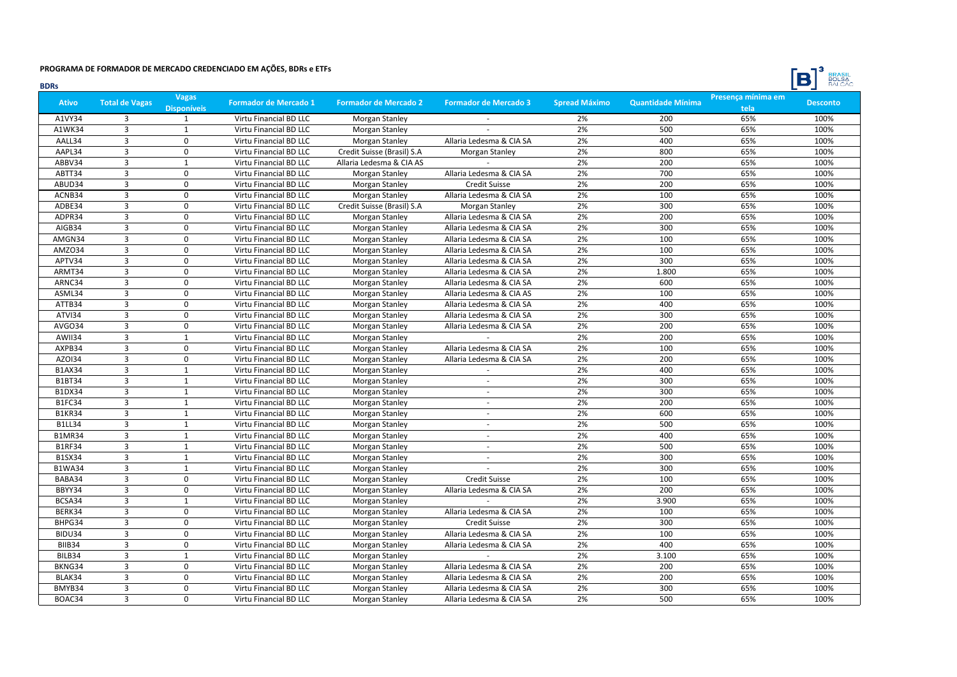

| <b>BDRs</b>   |                         |                                    |                              |                              |                              |                      |                          |                            | <b>BULSA</b><br>$\Box$ |
|---------------|-------------------------|------------------------------------|------------------------------|------------------------------|------------------------------|----------------------|--------------------------|----------------------------|------------------------|
| <b>Ativo</b>  | <b>Total de Vagas</b>   | <b>Vagas</b><br><b>Disponíveis</b> | <b>Formador de Mercado 1</b> | <b>Formador de Mercado 2</b> | <b>Formador de Mercado 3</b> | <b>Spread Máximo</b> | <b>Quantidade Mínima</b> | Presença mínima em<br>tela | <b>Desconto</b>        |
| A1VY34        | 3                       | $\mathbf{1}$                       | Virtu Financial BD LLC       | Morgan Stanley               |                              | 2%                   | 200                      | 65%                        | 100%                   |
| A1WK34        | $\overline{3}$          | 1                                  | Virtu Financial BD LLC       | Morgan Stanley               |                              | 2%                   | 500                      | 65%                        | 100%                   |
| AALL34        | 3                       | 0                                  | Virtu Financial BD LLC       | Morgan Stanley               | Allaria Ledesma & CIA SA     | 2%                   | 400                      | 65%                        | 100%                   |
| AAPL34        | $\overline{3}$          | $\Omega$                           | Virtu Financial BD LLC       | Credit Suisse (Brasil) S.A   | Morgan Stanley               | 2%                   | 800                      | 65%                        | 100%                   |
| ABBV34        | $\overline{3}$          | $\mathbf 1$                        | Virtu Financial BD LLC       | Allaria Ledesma & CIA AS     |                              | 2%                   | 200                      | 65%                        | 100%                   |
| ABTT34        | $\overline{\mathbf{3}}$ | 0                                  | Virtu Financial BD LLC       | Morgan Stanley               | Allaria Ledesma & CIA SA     | 2%                   | 700                      | 65%                        | 100%                   |
| ABUD34        | 3                       | 0                                  | Virtu Financial BD LLC       | Morgan Stanley               | <b>Credit Suisse</b>         | 2%                   | 200                      | 65%                        | 100%                   |
| ACNB34        | $\overline{3}$          | $\mathbf 0$                        | Virtu Financial BD LLC       | <b>Morgan Stanley</b>        | Allaria Ledesma & CIA SA     | 2%                   | 100                      | 65%                        | 100%                   |
| ADBE34        | $\overline{3}$          | 0                                  | Virtu Financial BD LLC       | Credit Suisse (Brasil) S.A   | Morgan Stanley               | 2%                   | 300                      | 65%                        | 100%                   |
| ADPR34        | $\overline{3}$          | 0                                  | Virtu Financial BD LLC       | Morgan Stanley               | Allaria Ledesma & CIA SA     | 2%                   | 200                      | 65%                        | 100%                   |
| AIGB34        | $\overline{3}$          | $\Omega$                           | Virtu Financial BD LLC       | Morgan Stanley               | Allaria Ledesma & CIA SA     | 2%                   | 300                      | 65%                        | 100%                   |
| AMGN34        | 3                       | $\Omega$                           | Virtu Financial BD LLC       | Morgan Stanley               | Allaria Ledesma & CIA SA     | 2%                   | 100                      | 65%                        | 100%                   |
| AMZO34        | $\overline{3}$          | $\mathbf 0$                        | Virtu Financial BD LLC       | Morgan Stanley               | Allaria Ledesma & CIA SA     | 2%                   | 100                      | 65%                        | 100%                   |
| APTV34        | $\overline{3}$          | $\Omega$                           | Virtu Financial BD LLC       | Morgan Stanley               | Allaria Ledesma & CIA SA     | 2%                   | 300                      | 65%                        | 100%                   |
| ARMT34        | $\overline{3}$          | 0                                  | Virtu Financial BD LLC       | Morgan Stanley               | Allaria Ledesma & CIA SA     | 2%                   | 1.800                    | 65%                        | 100%                   |
| ARNC34        | $\overline{3}$          | 0                                  | Virtu Financial BD LLC       | Morgan Stanley               | Allaria Ledesma & CIA SA     | 2%                   | 600                      | 65%                        | 100%                   |
| ASML34        | $\overline{3}$          | 0                                  | Virtu Financial BD LLC       | Morgan Stanley               | Allaria Ledesma & CIA AS     | 2%                   | 100                      | 65%                        | 100%                   |
| ATTB34        | $\overline{3}$          | 0                                  | Virtu Financial BD LLC       | Morgan Stanley               | Allaria Ledesma & CIA SA     | 2%                   | 400                      | 65%                        | 100%                   |
| ATVI34        | $\overline{3}$          | $\Omega$                           | Virtu Financial BD LLC       | Morgan Stanley               | Allaria Ledesma & CIA SA     | 2%                   | 300                      | 65%                        | 100%                   |
| AVGO34        | $\overline{3}$          | $\mathbf 0$                        | Virtu Financial BD LLC       | Morgan Stanley               | Allaria Ledesma & CIA SA     | 2%                   | 200                      | 65%                        | 100%                   |
| AWII34        | $\overline{3}$          | $\mathbf{1}$                       | Virtu Financial BD LLC       | Morgan Stanley               |                              | 2%                   | 200                      | 65%                        | 100%                   |
| AXPB34        | $\overline{3}$          | 0                                  | Virtu Financial BD LLC       | Morgan Stanley               | Allaria Ledesma & CIA SA     | 2%                   | 100                      | 65%                        | 100%                   |
| AZ0134        | $\overline{3}$          | 0                                  | Virtu Financial BD LLC       | Morgan Stanley               | Allaria Ledesma & CIA SA     | 2%                   | 200                      | 65%                        | 100%                   |
| <b>B1AX34</b> | $\overline{3}$          | $\mathbf 1$                        | Virtu Financial BD LLC       | Morgan Stanley               | $\overline{\phantom{a}}$     | 2%                   | 400                      | 65%                        | 100%                   |
| <b>B1BT34</b> | 3                       | $\mathbf{1}$                       | Virtu Financial BD LLC       | Morgan Stanley               | $\sim$                       | 2%                   | 300                      | 65%                        | 100%                   |
| <b>B1DX34</b> | $\overline{3}$          | $\mathbf{1}$                       | Virtu Financial BD LLC       | Morgan Stanley               | $\omega$                     | 2%                   | 300                      | 65%                        | 100%                   |
| B1FC34        | $\overline{3}$          | $\mathbf{1}$                       | Virtu Financial BD LLC       | Morgan Stanley               | ÷                            | 2%                   | 200                      | 65%                        | 100%                   |
| <b>B1KR34</b> | $\overline{3}$          | $\mathbf{1}$                       | Virtu Financial BD LLC       | Morgan Stanley               | $\sim$                       | 2%                   | 600                      | 65%                        | 100%                   |
| <b>B1LL34</b> | 3                       | $\mathbf{1}$                       | Virtu Financial BD LLC       | Morgan Stanley               | $\sim$                       | 2%                   | 500                      | 65%                        | 100%                   |
| <b>B1MR34</b> | $\overline{3}$          | $\mathbf{1}$                       | Virtu Financial BD LLC       | Morgan Stanley               |                              | 2%                   | 400                      | 65%                        | 100%                   |
| <b>B1RF34</b> | $\overline{3}$          | $\mathbf 1$                        | Virtu Financial BD LLC       | Morgan Stanley               | $\sim$                       | 2%                   | 500                      | 65%                        | 100%                   |
| <b>B1SX34</b> | $\overline{3}$          | $\mathbf{1}$                       | Virtu Financial BD LLC       | Morgan Stanley               |                              | 2%                   | 300                      | 65%                        | 100%                   |
| <b>B1WA34</b> | $\overline{3}$          | $\mathbf 1$                        | Virtu Financial BD LLC       | Morgan Stanley               |                              | 2%                   | 300                      | 65%                        | 100%                   |
| BABA34        | $\overline{3}$          | 0                                  | Virtu Financial BD LLC       | Morgan Stanley               | Credit Suisse                | 2%                   | 100                      | 65%                        | 100%                   |
| BBYY34        | $\overline{3}$          | 0                                  | Virtu Financial BD LLC       | Morgan Stanley               | Allaria Ledesma & CIA SA     | 2%                   | 200                      | 65%                        | 100%                   |
| BCSA34        | 3                       | $\mathbf{1}$                       | Virtu Financial BD LLC       | Morgan Stanley               | $\sim$                       | 2%                   | 3.900                    | 65%                        | 100%                   |
| BERK34        | 3                       | $\mathbf 0$                        | Virtu Financial BD LLC       | Morgan Stanley               | Allaria Ledesma & CIA SA     | 2%                   | 100                      | 65%                        | 100%                   |
| BHPG34        | $\overline{3}$          | $\Omega$                           | Virtu Financial BD LLC       | Morgan Stanley               | <b>Credit Suisse</b>         | 2%                   | 300                      | 65%                        | 100%                   |
| BIDU34        | $\overline{3}$          | $\Omega$                           | Virtu Financial BD LLC       | Morgan Stanley               | Allaria Ledesma & CIA SA     | 2%                   | 100                      | 65%                        | 100%                   |
| BIIB34        | $\overline{3}$          | 0                                  | Virtu Financial BD LLC       | Morgan Stanley               | Allaria Ledesma & CIA SA     | 2%                   | 400                      | 65%                        | 100%                   |
| BILB34        | $\overline{3}$          | $\mathbf 1$                        | Virtu Financial BD LLC       | Morgan Stanley               |                              | 2%                   | 3.100                    | 65%                        | 100%                   |
| BKNG34        | $\overline{3}$          | 0                                  | Virtu Financial BD LLC       | Morgan Stanley               | Allaria Ledesma & CIA SA     | 2%                   | 200                      | 65%                        | 100%                   |
| BLAK34        | 3                       | 0                                  | Virtu Financial BD LLC       | Morgan Stanley               | Allaria Ledesma & CIA SA     | 2%                   | 200                      | 65%                        | 100%                   |
| BMYB34        | $\overline{3}$          | 0                                  | Virtu Financial BD LLC       | Morgan Stanley               | Allaria Ledesma & CIA SA     | 2%                   | 300                      | 65%                        | 100%                   |
| BOAC34        | $\overline{3}$          | 0                                  | Virtu Financial BD LLC       | Morgan Stanley               | Allaria Ledesma & CIA SA     | 2%                   | 500                      | 65%                        | 100%                   |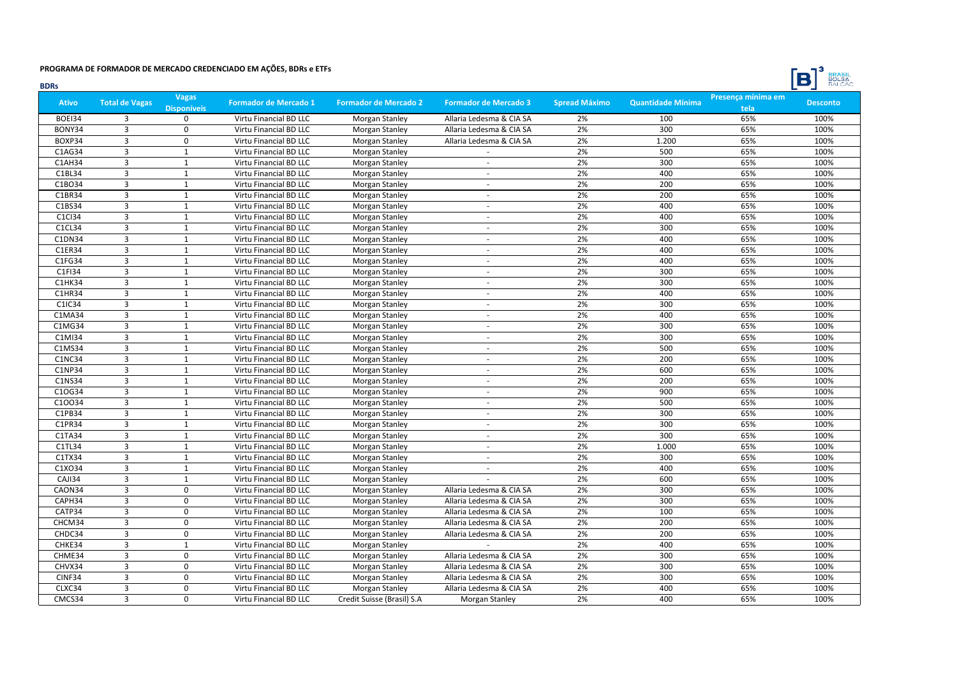

| <b>BDRs</b>  |                         |                                    |                              |                              |                              |                      |                          |                            | <b>BULSA</b><br>$\Box$ |
|--------------|-------------------------|------------------------------------|------------------------------|------------------------------|------------------------------|----------------------|--------------------------|----------------------------|------------------------|
| <b>Ativo</b> | <b>Total de Vagas</b>   | <b>Vagas</b><br><b>Disponíveis</b> | <b>Formador de Mercado 1</b> | <b>Formador de Mercado 2</b> | <b>Formador de Mercado 3</b> | <b>Spread Máximo</b> | <b>Quantidade Mínima</b> | Presença mínima em<br>tela | <b>Desconto</b>        |
| BOEI34       | 3                       | $\Omega$                           | Virtu Financial BD LLC       | Morgan Stanley               | Allaria Ledesma & CIA SA     | 2%                   | 100                      | 65%                        | 100%                   |
| BONY34       | $\overline{3}$          | $\Omega$                           | Virtu Financial BD LLC       | Morgan Stanley               | Allaria Ledesma & CIA SA     | 2%                   | 300                      | 65%                        | 100%                   |
| BOXP34       | $\overline{3}$          | $\mathbf 0$                        | Virtu Financial BD LLC       | Morgan Stanley               | Allaria Ledesma & CIA SA     | 2%                   | 1.200                    | 65%                        | 100%                   |
| C1AG34       | $\overline{3}$          | $\mathbf{1}$                       | Virtu Financial BD LLC       | Morgan Stanley               |                              | 2%                   | 500                      | 65%                        | 100%                   |
| C1AH34       | $\overline{3}$          | $\mathbf{1}$                       | Virtu Financial BD LLC       | Morgan Stanley               |                              | 2%                   | 300                      | 65%                        | 100%                   |
| C1BL34       | $\overline{\mathbf{3}}$ | $\mathbf 1$                        | Virtu Financial BD LLC       | Morgan Stanley               | $\sim$                       | 2%                   | 400                      | 65%                        | 100%                   |
| C1BO34       | $\overline{3}$          | $\mathbf{1}$                       | Virtu Financial BD LLC       | Morgan Stanley               | $\sim$                       | 2%                   | 200                      | 65%                        | 100%                   |
| C1BR34       | $\overline{3}$          | $\mathbf{1}$                       | Virtu Financial BD LLC       | Morgan Stanley               | $\sim$                       | 2%                   | 200                      | 65%                        | 100%                   |
| C1BS34       | $\overline{3}$          | $\mathbf{1}$                       | Virtu Financial BD LLC       | Morgan Stanley               | $\sim$                       | 2%                   | 400                      | 65%                        | 100%                   |
| C1CI34       | $\overline{3}$          | $\mathbf{1}$                       | Virtu Financial BD LLC       | Morgan Stanley               | $\sim$                       | 2%                   | 400                      | 65%                        | 100%                   |
| C1CL34       | $\overline{3}$          | $\mathbf{1}$                       | Virtu Financial BD LLC       | Morgan Stanley               | $\sim$                       | 2%                   | 300                      | 65%                        | 100%                   |
| C1DN34       | $\overline{3}$          | $\mathbf{1}$                       | Virtu Financial BD LLC       | Morgan Stanley               | $\sim$                       | 2%                   | 400                      | 65%                        | 100%                   |
| C1ER34       | $\overline{3}$          | $\mathbf 1$                        | Virtu Financial BD LLC       | Morgan Stanley               | $\overline{\phantom{a}}$     | 2%                   | 400                      | 65%                        | 100%                   |
| C1FG34       | $\overline{3}$          | $\mathbf 1$                        | Virtu Financial BD LLC       | Morgan Stanley               | $\sim$                       | 2%                   | 400                      | 65%                        | 100%                   |
| C1FI34       | $\overline{3}$          | 1                                  | Virtu Financial BD LLC       | Morgan Stanley               | $\sim$                       | 2%                   | 300                      | 65%                        | 100%                   |
| C1HK34       | $\overline{3}$          | $\mathbf{1}$                       | Virtu Financial BD LLC       | Morgan Stanley               | $\sim$                       | 2%                   | 300                      | 65%                        | 100%                   |
| C1HR34       | $\overline{3}$          | $\mathbf{1}$                       | Virtu Financial BD LLC       | Morgan Stanley               | $\omega$                     | 2%                   | 400                      | 65%                        | 100%                   |
| C1IC34       | $\overline{3}$          | $\mathbf{1}$                       | Virtu Financial BD LLC       | Morgan Stanley               | ÷                            | 2%                   | 300                      | 65%                        | 100%                   |
| C1MA34       | $\overline{3}$          | $\mathbf{1}$                       | Virtu Financial BD LLC       | Morgan Stanley               | $\sim$                       | 2%                   | 400                      | 65%                        | 100%                   |
| C1MG34       | $\overline{3}$          | $\mathbf{1}$                       | Virtu Financial BD LLC       | Morgan Stanley               | $\omega$                     | 2%                   | 300                      | 65%                        | 100%                   |
| C1MI34       | $\overline{3}$          | $\mathbf{1}$                       | Virtu Financial BD LLC       | Morgan Stanley               | $\sim$                       | 2%                   | 300                      | 65%                        | 100%                   |
| C1MS34       | $\overline{3}$          | $\mathbf{1}$                       | Virtu Financial BD LLC       | Morgan Stanley               | $\sim$                       | 2%                   | 500                      | 65%                        | 100%                   |
| C1NC34       | $\overline{3}$          | $\mathbf{1}$                       | Virtu Financial BD LLC       | Morgan Stanley               |                              | 2%                   | 200                      | 65%                        | 100%                   |
| C1NP34       | $\overline{3}$          | $\mathbf{1}$                       | Virtu Financial BD LLC       | Morgan Stanley               | ÷                            | 2%                   | 600                      | 65%                        | 100%                   |
| C1NS34       | 3                       | $\mathbf{1}$                       | Virtu Financial BD LLC       | Morgan Stanley               | $\sim$                       | 2%                   | 200                      | 65%                        | 100%                   |
| C10G34       | $\overline{3}$          | $\mathbf{1}$                       | Virtu Financial BD LLC       | Morgan Stanley               | $\mathbf{r}$                 | 2%                   | 900                      | 65%                        | 100%                   |
| C10034       | $\overline{3}$          | $\mathbf{1}$                       | Virtu Financial BD LLC       | Morgan Stanley               | ÷                            | 2%                   | 500                      | 65%                        | 100%                   |
| C1PB34       | $\overline{3}$          | $\mathbf{1}$                       | Virtu Financial BD LLC       | Morgan Stanley               | $\sim$                       | 2%                   | 300                      | 65%                        | 100%                   |
| C1PR34       | 3                       | 1                                  | Virtu Financial BD LLC       | Morgan Stanley               | $\overline{\phantom{a}}$     | 2%                   | 300                      | 65%                        | 100%                   |
| C1TA34       | $\overline{3}$          | $\mathbf{1}$                       | Virtu Financial BD LLC       | Morgan Stanley               |                              | 2%                   | 300                      | 65%                        | 100%                   |
| C1TL34       | $\overline{3}$          | $\mathbf 1$                        | Virtu Financial BD LLC       | Morgan Stanley               |                              | 2%                   | 1.000                    | 65%                        | 100%                   |
| C1TX34       | $\overline{3}$          | 1                                  | Virtu Financial BD LLC       | Morgan Stanley               |                              | 2%                   | 300                      | 65%                        | 100%                   |
| C1XO34       | $\overline{\mathbf{3}}$ | $\mathbf 1$                        | Virtu Financial BD LLC       | Morgan Stanley               | $\sim$                       | 2%                   | 400                      | 65%                        | 100%                   |
| CAJI34       | $\overline{3}$          | $\mathbf{1}$                       | Virtu Financial BD LLC       | Morgan Stanley               | ÷                            | 2%                   | 600                      | 65%                        | 100%                   |
| CAON34       | $\overline{3}$          | $\mathbf 0$                        | Virtu Financial BD LLC       | Morgan Stanley               | Allaria Ledesma & CIA SA     | 2%                   | 300                      | 65%                        | 100%                   |
| CAPH34       | 3                       | 0                                  | Virtu Financial BD LLC       | Morgan Stanley               | Allaria Ledesma & CIA SA     | 2%                   | 300                      | 65%                        | 100%                   |
| CATP34       | $\overline{3}$          | $\mathbf 0$                        | Virtu Financial BD LLC       | Morgan Stanley               | Allaria Ledesma & CIA SA     | 2%                   | 100                      | 65%                        | 100%                   |
| CHCM34       | $\overline{3}$          | $\Omega$                           | Virtu Financial BD LLC       | Morgan Stanley               | Allaria Ledesma & CIA SA     | 2%                   | 200                      | 65%                        | 100%                   |
| CHDC34       | $\overline{3}$          | $\mathbf 0$                        | Virtu Financial BD LLC       | Morgan Stanley               | Allaria Ledesma & CIA SA     | 2%                   | 200                      | 65%                        | 100%                   |
| CHKE34       | $\overline{3}$          | $\mathbf{1}$                       | Virtu Financial BD LLC       | Morgan Stanley               |                              | 2%                   | 400                      | 65%                        | 100%                   |
| CHME34       | $\overline{\mathbf{3}}$ | 0                                  | Virtu Financial BD LLC       | Morgan Stanley               | Allaria Ledesma & CIA SA     | 2%                   | 300                      | 65%                        | 100%                   |
| CHVX34       | $\overline{3}$          | 0                                  | Virtu Financial BD LLC       | Morgan Stanley               | Allaria Ledesma & CIA SA     | 2%                   | 300                      | 65%                        | 100%                   |
| CINF34       | 3                       | 0                                  | Virtu Financial BD LLC       | Morgan Stanley               | Allaria Ledesma & CIA SA     | 2%                   | 300                      | 65%                        | 100%                   |
| CLXC34       | $\overline{3}$          | $\mathbf 0$                        | Virtu Financial BD LLC       | Morgan Stanley               | Allaria Ledesma & CIA SA     | 2%                   | 400                      | 65%                        | 100%                   |
| CMCS34       | $\overline{3}$          | $\Omega$                           | Virtu Financial BD LLC       | Credit Suisse (Brasil) S.A   | Morgan Stanley               | 2%                   | 400                      | 65%                        | 100%                   |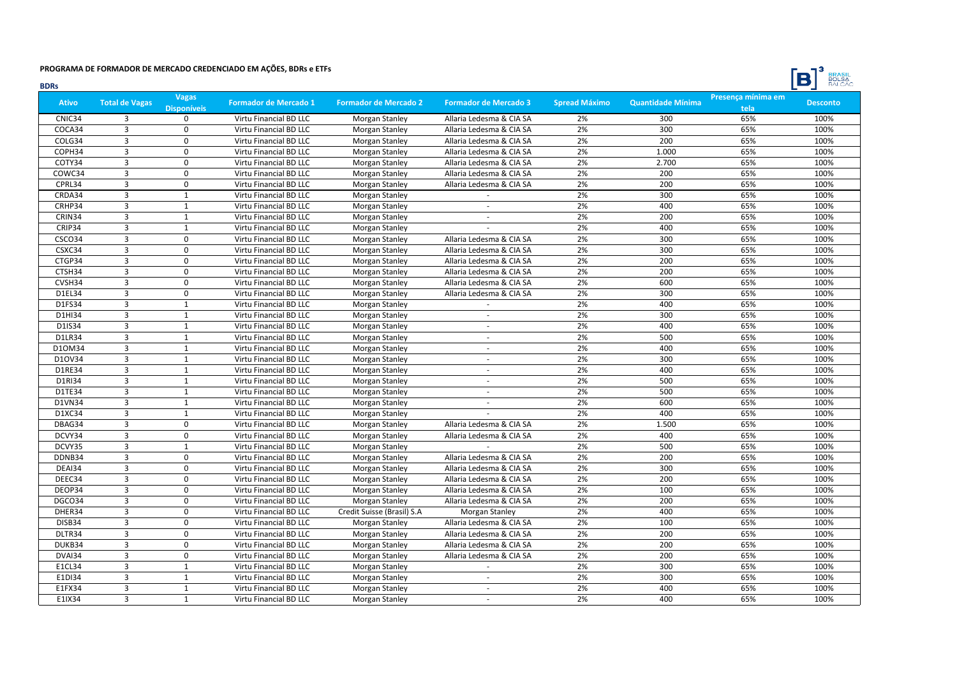

| <b>BDRs</b>   |                         |                                    |                              |                              |                              |                      |                          |                            | <b>BULSA</b><br>$\Box$ |
|---------------|-------------------------|------------------------------------|------------------------------|------------------------------|------------------------------|----------------------|--------------------------|----------------------------|------------------------|
| <b>Ativo</b>  | <b>Total de Vagas</b>   | <b>Vagas</b><br><b>Disponíveis</b> | <b>Formador de Mercado 1</b> | <b>Formador de Mercado 2</b> | <b>Formador de Mercado 3</b> | <b>Spread Máximo</b> | <b>Quantidade Mínima</b> | Presença mínima em<br>tela | <b>Desconto</b>        |
| CNIC34        | 3                       | $\Omega$                           | Virtu Financial BD LLC       | Morgan Stanley               | Allaria Ledesma & CIA SA     | 2%                   | 300                      | 65%                        | 100%                   |
| COCA34        | $\overline{3}$          | $\Omega$                           | Virtu Financial BD LLC       | Morgan Stanley               | Allaria Ledesma & CIA SA     | 2%                   | 300                      | 65%                        | 100%                   |
| COLG34        | $\overline{3}$          | $\mathbf 0$                        | Virtu Financial BD LLC       | Morgan Stanley               | Allaria Ledesma & CIA SA     | 2%                   | 200                      | 65%                        | 100%                   |
| COPH34        | $\overline{3}$          | $\Omega$                           | Virtu Financial BD LLC       | Morgan Stanley               | Allaria Ledesma & CIA SA     | 2%                   | 1.000                    | 65%                        | 100%                   |
| COTY34        | $\overline{3}$          | $\mathbf 0$                        | Virtu Financial BD LLC       | Morgan Stanley               | Allaria Ledesma & CIA SA     | 2%                   | 2.700                    | 65%                        | 100%                   |
| COWC34        | $\overline{\mathbf{3}}$ | $\pmb{0}$                          | Virtu Financial BD LLC       | Morgan Stanley               | Allaria Ledesma & CIA SA     | 2%                   | 200                      | 65%                        | 100%                   |
| CPRL34        | $\overline{3}$          | 0                                  | Virtu Financial BD LLC       | Morgan Stanley               | Allaria Ledesma & CIA SA     | 2%                   | 200                      | 65%                        | 100%                   |
| CRDA34        | $\overline{3}$          | $\mathbf{1}$                       | Virtu Financial BD LLC       | Morgan Stanley               | $\sim$                       | 2%                   | 300                      | 65%                        | 100%                   |
| CRHP34        | $\overline{3}$          | $\mathbf{1}$                       | Virtu Financial BD LLC       | Morgan Stanley               | ÷                            | 2%                   | 400                      | 65%                        | 100%                   |
| CRIN34        | $\overline{3}$          | $\mathbf{1}$                       | Virtu Financial BD LLC       | Morgan Stanley               | $\mathbf{r}$                 | 2%                   | 200                      | 65%                        | 100%                   |
| CRIP34        | $\overline{3}$          | $\mathbf{1}$                       | Virtu Financial BD LLC       | Morgan Stanley               |                              | 2%                   | 400                      | 65%                        | 100%                   |
| CSCO34        | $\overline{3}$          | 0                                  | Virtu Financial BD LLC       | Morgan Stanley               | Allaria Ledesma & CIA SA     | 2%                   | 300                      | 65%                        | 100%                   |
| CSXC34        | $\overline{3}$          | $\mathbf 0$                        | Virtu Financial BD LLC       | Morgan Stanley               | Allaria Ledesma & CIA SA     | 2%                   | 300                      | 65%                        | 100%                   |
| CTGP34        | $\overline{\mathbf{3}}$ | $\pmb{0}$                          | Virtu Financial BD LLC       | Morgan Stanley               | Allaria Ledesma & CIA SA     | 2%                   | 200                      | 65%                        | 100%                   |
| CTSH34        | $\overline{3}$          | 0                                  | Virtu Financial BD LLC       | Morgan Stanley               | Allaria Ledesma & CIA SA     | 2%                   | 200                      | 65%                        | 100%                   |
| CVSH34        | $\overline{3}$          | $\pmb{0}$                          | Virtu Financial BD LLC       | Morgan Stanley               | Allaria Ledesma & CIA SA     | 2%                   | 600                      | 65%                        | 100%                   |
| D1EL34        | $\overline{3}$          | $\mathbf 0$                        | Virtu Financial BD LLC       | Morgan Stanley               | Allaria Ledesma & CIA SA     | 2%                   | 300                      | 65%                        | 100%                   |
| D1FS34        | $\overline{3}$          | $\mathbf{1}$                       | Virtu Financial BD LLC       | Morgan Stanley               | ÷                            | 2%                   | 400                      | 65%                        | 100%                   |
| D1HI34        | $\overline{3}$          | $\mathbf{1}$                       | Virtu Financial BD LLC       | Morgan Stanley               | $\mathbf{r}$                 | 2%                   | 300                      | 65%                        | 100%                   |
| D1IS34        | $\overline{3}$          | $\mathbf{1}$                       | Virtu Financial BD LLC       | Morgan Stanley               | $\omega$                     | 2%                   | 400                      | 65%                        | 100%                   |
| <b>D1LR34</b> | $\overline{3}$          | $\mathbf{1}$                       | Virtu Financial BD LLC       | Morgan Stanley               | $\sim$                       | 2%                   | 500                      | 65%                        | 100%                   |
| D10M34        | $\overline{3}$          | $\mathbf{1}$                       | Virtu Financial BD LLC       | Morgan Stanley               | ÷                            | 2%                   | 400                      | 65%                        | 100%                   |
| D10V34        | $\overline{3}$          | $\mathbf{1}$                       | Virtu Financial BD LLC       | Morgan Stanley               |                              | 2%                   | 300                      | 65%                        | 100%                   |
| D1RE34        | $\overline{3}$          | $\mathbf{1}$                       | Virtu Financial BD LLC       | Morgan Stanley               | $\sim$                       | 2%                   | 400                      | 65%                        | 100%                   |
| D1RI34        | 3                       | $\mathbf{1}$                       | Virtu Financial BD LLC       | Morgan Stanley               | $\sim$                       | 2%                   | 500                      | 65%                        | 100%                   |
| D1TE34        | $\overline{3}$          | $\mathbf{1}$                       | Virtu Financial BD LLC       | Morgan Stanley               | $\mathbf{r}$                 | 2%                   | 500                      | 65%                        | 100%                   |
| D1VN34        | $\overline{3}$          | $\mathbf{1}$                       | Virtu Financial BD LLC       | Morgan Stanley               | $\mathbf{r}$                 | 2%                   | 600                      | 65%                        | 100%                   |
| D1XC34        | $\overline{3}$          | $\mathbf{1}$                       | Virtu Financial BD LLC       | Morgan Stanley               |                              | 2%                   | 400                      | 65%                        | 100%                   |
| DBAG34        | 3                       | 0                                  | Virtu Financial BD LLC       | Morgan Stanley               | Allaria Ledesma & CIA SA     | 2%                   | 1.500                    | 65%                        | 100%                   |
| DCVY34        | $\overline{3}$          | $\mathbf 0$                        | Virtu Financial BD LLC       | Morgan Stanley               | Allaria Ledesma & CIA SA     | 2%                   | 400                      | 65%                        | 100%                   |
| DCVY35        | $\overline{3}$          | $\mathbf{1}$                       | Virtu Financial BD LLC       | Morgan Stanley               |                              | 2%                   | 500                      | 65%                        | 100%                   |
| DDNB34        | $\overline{3}$          | 0                                  | Virtu Financial BD LLC       | Morgan Stanley               | Allaria Ledesma & CIA SA     | 2%                   | 200                      | 65%                        | 100%                   |
| DEAI34        | $\overline{\mathbf{3}}$ | $\mathbf 0$                        | Virtu Financial BD LLC       | Morgan Stanley               | Allaria Ledesma & CIA SA     | 2%                   | 300                      | 65%                        | 100%                   |
| DEEC34        | $\overline{3}$          | 0                                  | Virtu Financial BD LLC       | Morgan Stanley               | Allaria Ledesma & CIA SA     | 2%                   | 200                      | 65%                        | 100%                   |
| DEOP34        | $\overline{3}$          | $\Omega$                           | Virtu Financial BD LLC       | Morgan Stanley               | Allaria Ledesma & CIA SA     | 2%                   | 100                      | 65%                        | 100%                   |
| DGCO34        | 3                       | 0                                  | Virtu Financial BD LLC       | Morgan Stanley               | Allaria Ledesma & CIA SA     | 2%                   | 200                      | 65%                        | 100%                   |
| DHER34        | $\overline{3}$          | $\mathbf 0$                        | Virtu Financial BD LLC       | Credit Suisse (Brasil) S.A   | Morgan Stanley               | 2%                   | 400                      | 65%                        | 100%                   |
| DISB34        | $\overline{3}$          | $\Omega$                           | Virtu Financial BD LLC       | Morgan Stanley               | Allaria Ledesma & CIA SA     | 2%                   | 100                      | 65%                        | 100%                   |
| DLTR34        | $\overline{3}$          | $\mathbf 0$                        | Virtu Financial BD LLC       | Morgan Stanley               | Allaria Ledesma & CIA SA     | 2%                   | 200                      | 65%                        | 100%                   |
| DUKB34        | $\overline{3}$          | $\pmb{0}$                          | Virtu Financial BD LLC       | Morgan Stanley               | Allaria Ledesma & CIA SA     | 2%                   | 200                      | 65%                        | 100%                   |
| DVAI34        | $\overline{\mathbf{3}}$ | $\pmb{0}$                          | Virtu Financial BD LLC       | Morgan Stanley               | Allaria Ledesma & CIA SA     | 2%                   | 200                      | 65%                        | 100%                   |
| E1CL34        | $\overline{3}$          | $\mathbf{1}$                       | Virtu Financial BD LLC       | Morgan Stanley               | $\sim$                       | 2%                   | 300                      | 65%                        | 100%                   |
| E1DI34        | 3                       | $\mathbf{1}$                       | Virtu Financial BD LLC       | Morgan Stanley               | ÷                            | 2%                   | 300                      | 65%                        | 100%                   |
| E1FX34        | $\overline{3}$          | $\mathbf{1}$                       | Virtu Financial BD LLC       | Morgan Stanley               | $\omega$                     | 2%                   | 400                      | 65%                        | 100%                   |
| E1IX34        | $\overline{3}$          | $\mathbf{1}$                       | Virtu Financial BD LLC       | Morgan Stanley               |                              | 2%                   | 400                      | 65%                        | 100%                   |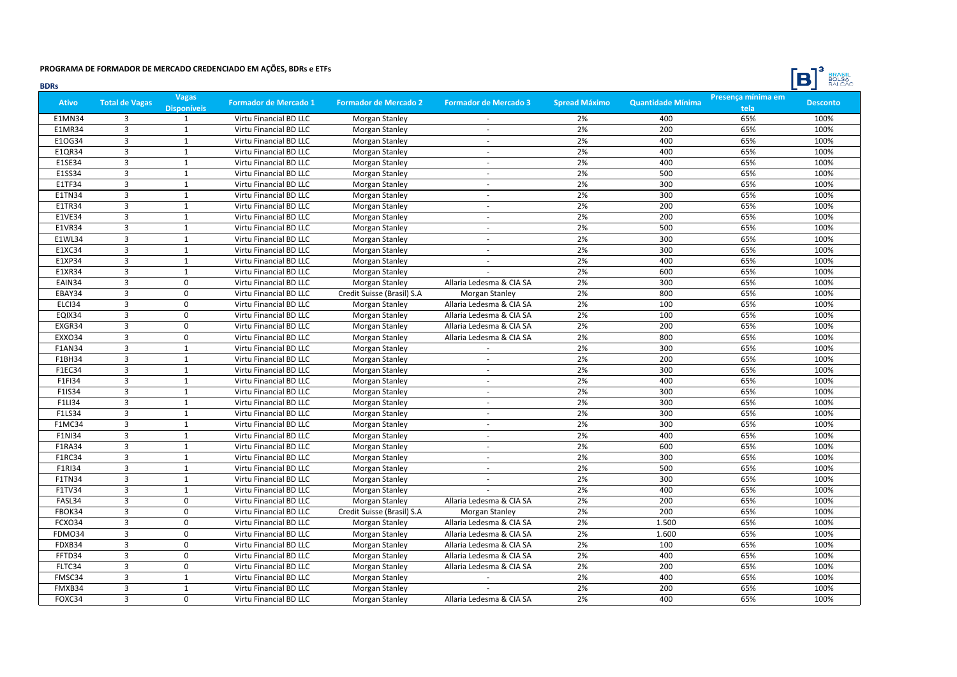

| <b>BDRs</b>   |                       |                                    |                              |                              |                              |                      |                          |                            | <b>BULSA</b><br>$\Box$ |
|---------------|-----------------------|------------------------------------|------------------------------|------------------------------|------------------------------|----------------------|--------------------------|----------------------------|------------------------|
| <b>Ativo</b>  | <b>Total de Vagas</b> | <b>Vagas</b><br><b>Disponíveis</b> | <b>Formador de Mercado 1</b> | <b>Formador de Mercado 2</b> | <b>Formador de Mercado 3</b> | <b>Spread Máximo</b> | <b>Quantidade Mínima</b> | Presença mínima em<br>tela | <b>Desconto</b>        |
| <b>E1MN34</b> | 3                     | 1                                  | Virtu Financial BD LLC       | Morgan Stanley               |                              | 2%                   | 400                      | 65%                        | 100%                   |
| E1MR34        | 3                     | 1                                  | Virtu Financial BD LLC       | Morgan Stanley               | $\sim$                       | 2%                   | 200                      | 65%                        | 100%                   |
| E10G34        | $\overline{3}$        | $\mathbf{1}$                       | Virtu Financial BD LLC       | <b>Morgan Stanley</b>        | $\sim$                       | 2%                   | 400                      | 65%                        | 100%                   |
| E1QR34        | $\overline{3}$        | $\mathbf{1}$                       | Virtu Financial BD LLC       | Morgan Stanley               | ÷                            | 2%                   | 400                      | 65%                        | 100%                   |
| E1SE34        | 3                     | $\mathbf{1}$                       | Virtu Financial BD LLC       | <b>Morgan Stanley</b>        |                              | 2%                   | 400                      | 65%                        | 100%                   |
| E1SS34        | $\overline{3}$        | $\mathbf 1$                        | Virtu Financial BD LLC       | <b>Morgan Stanley</b>        | $\sim$                       | 2%                   | 500                      | 65%                        | 100%                   |
| E1TF34        | 3                     | 1                                  | Virtu Financial BD LLC       | Morgan Stanley               | $\sim$                       | 2%                   | 300                      | 65%                        | 100%                   |
| <b>E1TN34</b> | $\overline{3}$        | $\mathbf{1}$                       | Virtu Financial BD LLC       | Morgan Stanley               | $\sim$                       | 2%                   | 300                      | 65%                        | 100%                   |
| E1TR34        | $\overline{3}$        | $\mathbf{1}$                       | Virtu Financial BD LLC       | <b>Morgan Stanley</b>        | ÷                            | 2%                   | 200                      | 65%                        | 100%                   |
| E1VE34        | $\overline{3}$        | $\mathbf{1}$                       | Virtu Financial BD LLC       | Morgan Stanley               | $\sim$                       | 2%                   | 200                      | 65%                        | 100%                   |
| E1VR34        | 3                     | 1                                  | Virtu Financial BD LLC       | Morgan Stanley               | $\sim$                       | 2%                   | 500                      | 65%                        | 100%                   |
| E1WL34        | $\overline{3}$        | $\mathbf{1}$                       | Virtu Financial BD LLC       | <b>Morgan Stanley</b>        | $\sim$                       | 2%                   | 300                      | 65%                        | 100%                   |
| E1XC34        | $\overline{3}$        | $\mathbf 1$                        | Virtu Financial BD LLC       | Morgan Stanley               | $\overline{\phantom{a}}$     | 2%                   | 300                      | 65%                        | 100%                   |
| E1XP34        | $\overline{3}$        | $\mathbf{1}$                       | Virtu Financial BD LLC       | Morgan Stanley               | $\sim$                       | 2%                   | 400                      | 65%                        | 100%                   |
| E1XR34        | $\overline{3}$        | 1                                  | Virtu Financial BD LLC       | Morgan Stanley               |                              | 2%                   | 600                      | 65%                        | 100%                   |
| EAIN34        | $\overline{3}$        | 0                                  | Virtu Financial BD LLC       | Morgan Stanley               | Allaria Ledesma & CIA SA     | 2%                   | 300                      | 65%                        | 100%                   |
| EBAY34        | $\overline{3}$        | $\mathbf 0$                        | Virtu Financial BD LLC       | Credit Suisse (Brasil) S.A   | Morgan Stanley               | 2%                   | 800                      | 65%                        | 100%                   |
| ELCI34        | $\overline{3}$        | 0                                  | Virtu Financial BD LLC       | Morgan Stanley               | Allaria Ledesma & CIA SA     | 2%                   | 100                      | 65%                        | 100%                   |
| EQIX34        | 3                     | $\Omega$                           | Virtu Financial BD LLC       | Morgan Stanley               | Allaria Ledesma & CIA SA     | 2%                   | 100                      | 65%                        | 100%                   |
| EXGR34        | 3                     | $\mathbf 0$                        | Virtu Financial BD LLC       | Morgan Stanley               | Allaria Ledesma & CIA SA     | 2%                   | 200                      | 65%                        | 100%                   |
| EXXO34        | $\overline{3}$        | $\mathbf 0$                        | Virtu Financial BD LLC       | Morgan Stanley               | Allaria Ledesma & CIA SA     | 2%                   | 800                      | 65%                        | 100%                   |
| <b>F1AN34</b> | $\overline{3}$        | $\mathbf{1}$                       | Virtu Financial BD LLC       | Morgan Stanley               | $\sim$                       | 2%                   | 300                      | 65%                        | 100%                   |
| F1BH34        | $\overline{3}$        | $\mathbf{1}$                       | Virtu Financial BD LLC       | Morgan Stanley               |                              | 2%                   | 200                      | 65%                        | 100%                   |
| F1EC34        | $\overline{3}$        | $\mathbf{1}$                       | Virtu Financial BD LLC       | Morgan Stanley               | $\sim$                       | 2%                   | 300                      | 65%                        | 100%                   |
| F1FI34        | 3                     | $\mathbf{1}$                       | Virtu Financial BD LLC       | Morgan Stanley               | $\sim$                       | 2%                   | 400                      | 65%                        | 100%                   |
| F1IS34        | $\overline{3}$        | $\mathbf{1}$                       | Virtu Financial BD LLC       | <b>Morgan Stanley</b>        | $\sim$                       | 2%                   | 300                      | 65%                        | 100%                   |
| F1LI34        | $\overline{3}$        | 1                                  | Virtu Financial BD LLC       | <b>Morgan Stanley</b>        | ÷                            | 2%                   | 300                      | 65%                        | 100%                   |
| F1LS34        | $\overline{3}$        | $\mathbf{1}$                       | Virtu Financial BD LLC       | <b>Morgan Stanley</b>        | $\sim$                       | 2%                   | 300                      | 65%                        | 100%                   |
| <b>F1MC34</b> | 3                     | 1                                  | Virtu Financial BD LLC       | Morgan Stanley               | $\sim$                       | 2%                   | 300                      | 65%                        | 100%                   |
| F1NI34        | $\overline{3}$        | $\mathbf 1$                        | Virtu Financial BD LLC       | <b>Morgan Stanley</b>        |                              | 2%                   | 400                      | 65%                        | 100%                   |
| <b>F1RA34</b> | $\overline{3}$        | $\mathbf{1}$                       | Virtu Financial BD LLC       | Morgan Stanley               |                              | 2%                   | 600                      | 65%                        | 100%                   |
| F1RC34        | 3                     | 1                                  | Virtu Financial BD LLC       | <b>Morgan Stanley</b>        |                              | 2%                   | 300                      | 65%                        | 100%                   |
| F1RI34        | $\overline{3}$        | $\mathbf{1}$                       | Virtu Financial BD LLC       | Morgan Stanley               | $\sim$                       | 2%                   | 500                      | 65%                        | 100%                   |
| <b>F1TN34</b> | $\overline{3}$        | $\mathbf{1}$                       | Virtu Financial BD LLC       | Morgan Stanley               | $\sim$                       | 2%                   | 300                      | 65%                        | 100%                   |
| F1TV34        | $\overline{3}$        | $\mathbf{1}$                       | Virtu Financial BD LLC       | <b>Morgan Stanley</b>        |                              | 2%                   | 400                      | 65%                        | 100%                   |
| FASL34        | 3                     | $\mathbf 0$                        | Virtu Financial BD LLC       | Morgan Stanley               | Allaria Ledesma & CIA SA     | 2%                   | 200                      | 65%                        | 100%                   |
| FBOK34        | 3                     | $\mathbf 0$                        | Virtu Financial BD LLC       | Credit Suisse (Brasil) S.A   | Morgan Stanley               | 2%                   | 200                      | 65%                        | 100%                   |
| FCXO34        | $\overline{3}$        | $\Omega$                           | Virtu Financial BD LLC       | Morgan Stanley               | Allaria Ledesma & CIA SA     | 2%                   | 1.500                    | 65%                        | 100%                   |
| FDMO34        | $\overline{3}$        | $\Omega$                           | Virtu Financial BD LLC       | Morgan Stanley               | Allaria Ledesma & CIA SA     | 2%                   | 1.600                    | 65%                        | 100%                   |
| FDXB34        | $\overline{3}$        | $\mathbf 0$                        | Virtu Financial BD LLC       | Morgan Stanley               | Allaria Ledesma & CIA SA     | 2%                   | 100                      | 65%                        | 100%                   |
| FFTD34        | $\overline{3}$        | $\pmb{0}$                          | Virtu Financial BD LLC       | Morgan Stanley               | Allaria Ledesma & CIA SA     | 2%                   | 400                      | 65%                        | 100%                   |
| FLTC34        | 3                     | 0                                  | Virtu Financial BD LLC       | Morgan Stanley               | Allaria Ledesma & CIA SA     | 2%                   | 200                      | 65%                        | 100%                   |
| FMSC34        | 3                     | $\mathbf{1}$                       | Virtu Financial BD LLC       | Morgan Stanley               | $\sim$                       | 2%                   | 400                      | 65%                        | 100%                   |
| FMXB34        | $\overline{3}$        | $\mathbf{1}$                       | Virtu Financial BD LLC       | <b>Morgan Stanley</b>        |                              | 2%                   | 200                      | 65%                        | 100%                   |
| FOXC34        | $\overline{3}$        | $\Omega$                           | Virtu Financial BD LLC       | Morgan Stanley               | Allaria Ledesma & CIA SA     | 2%                   | 400                      | 65%                        | 100%                   |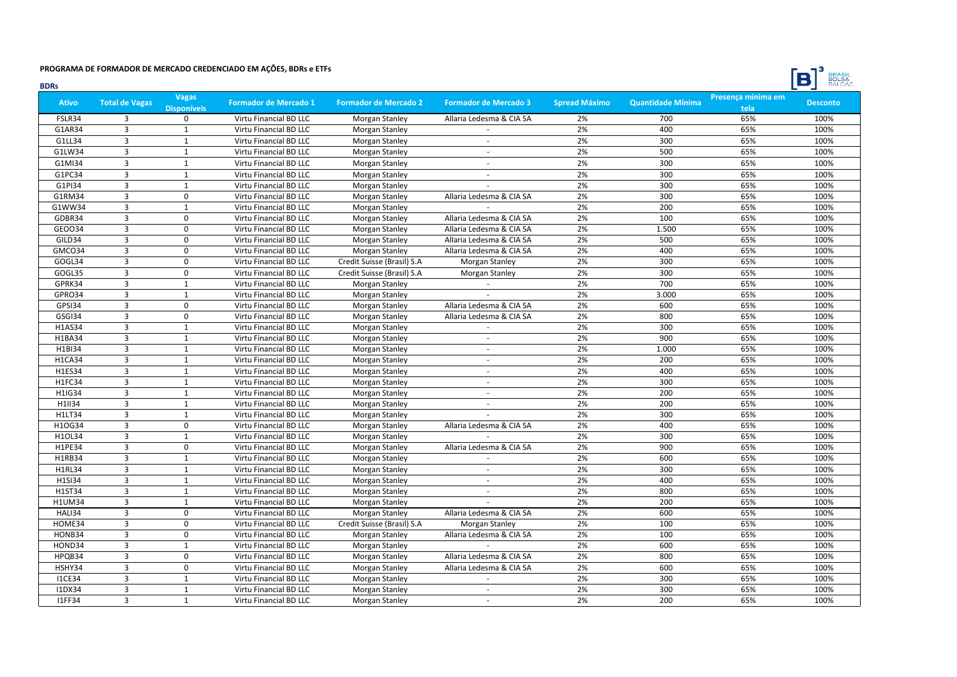

| <b>BDRs</b>   |                       |                                    |                              |                              |                              |                      |                          |                            | <b>BULSA</b><br>DI |
|---------------|-----------------------|------------------------------------|------------------------------|------------------------------|------------------------------|----------------------|--------------------------|----------------------------|--------------------|
| <b>Ativo</b>  | <b>Total de Vagas</b> | <b>Vagas</b><br><b>Disponíveis</b> | <b>Formador de Mercado 1</b> | <b>Formador de Mercado 2</b> | <b>Formador de Mercado 3</b> | <b>Spread Máximo</b> | <b>Quantidade Mínima</b> | Presença mínima em<br>tela | <b>Desconto</b>    |
| FSLR34        | $\overline{3}$        | 0                                  | Virtu Financial BD LLC       | Morgan Stanley               | Allaria Ledesma & CIA SA     | 2%                   | 700                      | 65%                        | 100%               |
| G1AR34        | $\overline{3}$        | $\mathbf{1}$                       | Virtu Financial BD LLC       | Morgan Stanley               |                              | 2%                   | 400                      | 65%                        | 100%               |
| G1LL34        | $\overline{3}$        | $\mathbf{1}$                       | Virtu Financial BD LLC       | Morgan Stanley               | ÷                            | 2%                   | 300                      | 65%                        | 100%               |
| G1LW34        | 3                     | $\mathbf{1}$                       | Virtu Financial BD LLC       | Morgan Stanley               | ÷                            | 2%                   | 500                      | 65%                        | 100%               |
| G1MI34        | $\overline{3}$        | $\mathbf 1$                        | Virtu Financial BD LLC       | Morgan Stanley               | $\sim$                       | 2%                   | 300                      | 65%                        | 100%               |
| G1PC34        | $\overline{3}$        | $\mathbf{1}$                       | Virtu Financial BD LLC       | Morgan Stanley               | ÷                            | 2%                   | 300                      | 65%                        | 100%               |
| G1PI34        | $\overline{3}$        | $\mathbf{1}$                       | Virtu Financial BD LLC       | Morgan Stanley               |                              | 2%                   | 300                      | 65%                        | 100%               |
| G1RM34        | $\overline{3}$        | $\mathbf 0$                        | Virtu Financial BD LLC       | Morgan Stanley               | Allaria Ledesma & CIA SA     | 2%                   | 300                      | 65%                        | 100%               |
| G1WW34        | $\overline{3}$        | $\mathbf{1}$                       | Virtu Financial BD LLC       | Morgan Stanley               |                              | 2%                   | 200                      | 65%                        | 100%               |
| GDBR34        | 3                     | $\mathbf 0$                        | Virtu Financial BD LLC       | Morgan Stanley               | Allaria Ledesma & CIA SA     | 2%                   | 100                      | 65%                        | 100%               |
| GEO034        | $\overline{3}$        | $\Omega$                           | Virtu Financial BD LLC       | Morgan Stanley               | Allaria Ledesma & CIA SA     | 2%                   | 1.500                    | 65%                        | 100%               |
| GILD34        | $\overline{3}$        | $\mathbf 0$                        | Virtu Financial BD LLC       | Morgan Stanley               | Allaria Ledesma & CIA SA     | 2%                   | 500                      | 65%                        | 100%               |
| GMCO34        | $\overline{3}$        | 0                                  | Virtu Financial BD LLC       | Morgan Stanley               | Allaria Ledesma & CIA SA     | 2%                   | 400                      | 65%                        | 100%               |
| GOGL34        | 3                     | 0                                  | Virtu Financial BD LLC       | Credit Suisse (Brasil) S.A   | Morgan Stanley               | 2%                   | 300                      | 65%                        | 100%               |
| GOGL35        | $\overline{3}$        | 0                                  | Virtu Financial BD LLC       | Credit Suisse (Brasil) S.A   | Morgan Stanley               | 2%                   | 300                      | 65%                        | 100%               |
| GPRK34        | $\overline{3}$        | $\mathbf{1}$                       | Virtu Financial BD LLC       | Morgan Stanley               | ÷                            | 2%                   | 700                      | 65%                        | 100%               |
| GPRO34        | $\overline{3}$        | $\mathbf{1}$                       | Virtu Financial BD LLC       | Morgan Stanley               | $\mathcal{L}$                | 2%                   | 3.000                    | 65%                        | 100%               |
| GPSI34        | 3                     | $\mathbf 0$                        | Virtu Financial BD LLC       | Morgan Stanley               | Allaria Ledesma & CIA SA     | 2%                   | 600                      | 65%                        | 100%               |
| GSGI34        | $\overline{3}$        | $\Omega$                           | Virtu Financial BD LLC       | Morgan Stanley               | Allaria Ledesma & CIA SA     | 2%                   | 800                      | 65%                        | 100%               |
| <b>H1AS34</b> | 3                     | $\mathbf{1}$                       | Virtu Financial BD LLC       | Morgan Stanley               |                              | 2%                   | 300                      | 65%                        | 100%               |
| H1BA34        | $\overline{3}$        | $\mathbf 1$                        | Virtu Financial BD LLC       | Morgan Stanley               |                              | 2%                   | 900                      | 65%                        | 100%               |
| H1BI34        | $\overline{3}$        | $\mathbf 1$                        | Virtu Financial BD LLC       | Morgan Stanley               | $\overline{\phantom{a}}$     | 2%                   | 1.000                    | 65%                        | 100%               |
| <b>H1CA34</b> | $\overline{3}$        | $\mathbf{1}$                       | Virtu Financial BD LLC       | Morgan Stanley               | $\sim$                       | 2%                   | 200                      | 65%                        | 100%               |
| H1ES34        | 3                     | $\mathbf{1}$                       | Virtu Financial BD LLC       | Morgan Stanley               | $\sim$                       | 2%                   | 400                      | 65%                        | 100%               |
| <b>H1FC34</b> | $\overline{3}$        | $\mathbf{1}$                       | Virtu Financial BD LLC       | Morgan Stanley               | ÷                            | 2%                   | 300                      | 65%                        | 100%               |
| H1IG34        | $\overline{3}$        | $\mathbf{1}$                       | Virtu Financial BD LLC       | <b>Morgan Stanley</b>        | $\mathbf{r}$                 | 2%                   | 200                      | 65%                        | 100%               |
| H1II34        | 3                     | $\mathbf{1}$                       | Virtu Financial BD LLC       | Morgan Stanley               | $\sim$                       | 2%                   | 200                      | 65%                        | 100%               |
| H1LT34        | $\overline{3}$        | $\mathbf{1}$                       | Virtu Financial BD LLC       | Morgan Stanley               |                              | 2%                   | 300                      | 65%                        | 100%               |
| H10G34        | 3                     | $\Omega$                           | Virtu Financial BD LLC       | Morgan Stanley               | Allaria Ledesma & CIA SA     | 2%                   | 400                      | 65%                        | 100%               |
| H1OL34        | $\overline{3}$        | $\mathbf{1}$                       | Virtu Financial BD LLC       | Morgan Stanley               |                              | 2%                   | 300                      | 65%                        | 100%               |
| H1PE34        | $\overline{3}$        | 0                                  | Virtu Financial BD LLC       | Morgan Stanley               | Allaria Ledesma & CIA SA     | 2%                   | 900                      | 65%                        | 100%               |
| H1RB34        | 3                     | $\mathbf{1}$                       | Virtu Financial BD LLC       | Morgan Stanley               |                              | 2%                   | 600                      | 65%                        | 100%               |
| H1RL34        | 3                     | $\mathbf{1}$                       | Virtu Financial BD LLC       | Morgan Stanley               | $\sim$                       | 2%                   | 300                      | 65%                        | 100%               |
| H1SI34        | $\overline{3}$        | $\mathbf{1}$                       | Virtu Financial BD LLC       | Morgan Stanley               | $\overline{\phantom{a}}$     | 2%                   | 400                      | 65%                        | 100%               |
| H1ST34        | $\overline{3}$        | $\mathbf{1}$                       | Virtu Financial BD LLC       | Morgan Stanley               | $\omega$                     | 2%                   | 800                      | 65%                        | 100%               |
| <b>H1UM34</b> | 3                     | $\mathbf{1}$                       | Virtu Financial BD LLC       | Morgan Stanley               |                              | 2%                   | 200                      | 65%                        | 100%               |
| HALI34        | $\overline{3}$        | 0                                  | Virtu Financial BD LLC       | Morgan Stanley               | Allaria Ledesma & CIA SA     | 2%                   | 600                      | 65%                        | 100%               |
| HOME34        | 3                     | $\mathbf 0$                        | Virtu Financial BD LLC       | Credit Suisse (Brasil) S.A   | Morgan Stanley               | 2%                   | 100                      | 65%                        | 100%               |
| HONB34        | $\overline{3}$        | $\Omega$                           | Virtu Financial BD LLC       | Morgan Stanley               | Allaria Ledesma & CIA SA     | 2%                   | 100                      | 65%                        | 100%               |
| HOND34        | $\overline{3}$        | $\mathbf 1$                        | Virtu Financial BD LLC       | Morgan Stanley               |                              | 2%                   | 600                      | 65%                        | 100%               |
| HPQB34        | 3                     | 0                                  | Virtu Financial BD LLC       | Morgan Stanley               | Allaria Ledesma & CIA SA     | 2%                   | 800                      | 65%                        | 100%               |
| HSHY34        | $\overline{3}$        | 0                                  | Virtu Financial BD LLC       | Morgan Stanley               | Allaria Ledesma & CIA SA     | 2%                   | 600                      | 65%                        | 100%               |
| <b>I1CE34</b> | 3                     | $\mathbf{1}$                       | Virtu Financial BD LLC       | Morgan Stanley               | $\sim$                       | 2%                   | 300                      | 65%                        | 100%               |
| <b>I1DX34</b> | $\overline{3}$        | $\mathbf{1}$                       | Virtu Financial BD LLC       | Morgan Stanley               | $\omega$                     | 2%                   | 300                      | 65%                        | 100%               |
| <b>I1FF34</b> | $\overline{3}$        | $\mathbf{1}$                       | Virtu Financial BD LLC       | Morgan Stanley               | ÷                            | 2%                   | 200                      | 65%                        | 100%               |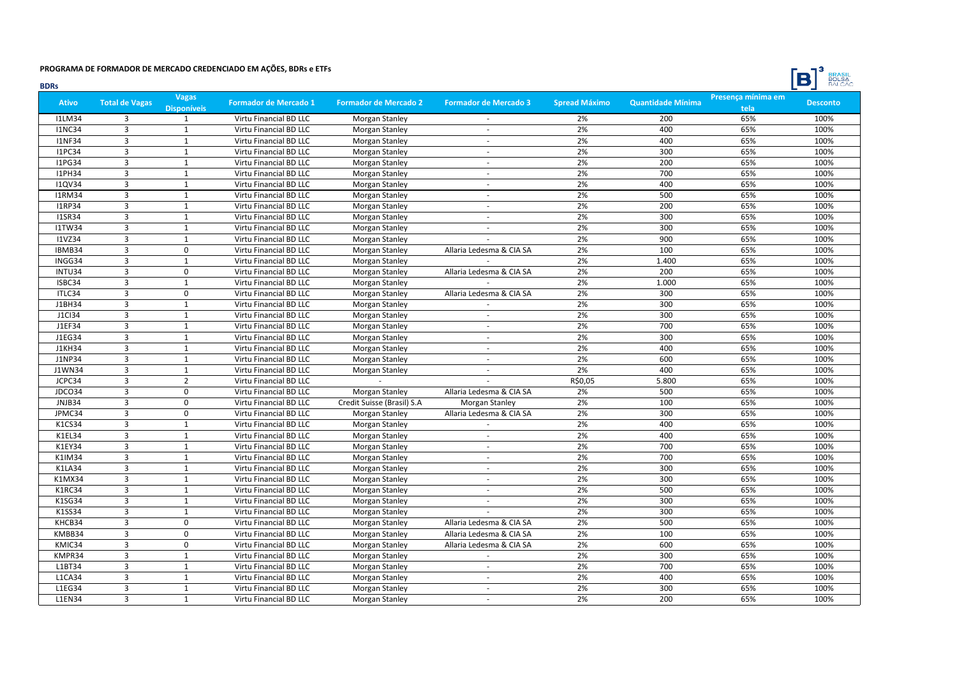

| <b>BDRs</b>   |                         |                                    |                              |                              |                              |                      |                          |                            | <b>BULSA</b><br>$\Box$ |
|---------------|-------------------------|------------------------------------|------------------------------|------------------------------|------------------------------|----------------------|--------------------------|----------------------------|------------------------|
| <b>Ativo</b>  | <b>Total de Vagas</b>   | <b>Vagas</b><br><b>Disponíveis</b> | <b>Formador de Mercado 1</b> | <b>Formador de Mercado 2</b> | <b>Formador de Mercado 3</b> | <b>Spread Máximo</b> | <b>Quantidade Mínima</b> | Presença mínima em<br>tela | <b>Desconto</b>        |
| <b>I1LM34</b> | 3                       | $\mathbf{1}$                       | Virtu Financial BD LLC       | Morgan Stanley               |                              | 2%                   | 200                      | 65%                        | 100%                   |
| <b>I1NC34</b> | $\overline{3}$          | 1                                  | Virtu Financial BD LLC       | Morgan Stanley               | $\mathbf{r}$                 | 2%                   | 400                      | 65%                        | 100%                   |
| <b>I1NF34</b> | $\overline{3}$          | $\mathbf{1}$                       | Virtu Financial BD LLC       | Morgan Stanley               | $\sim$                       | 2%                   | 400                      | 65%                        | 100%                   |
| <b>I1PC34</b> | $\overline{3}$          | $\mathbf{1}$                       | Virtu Financial BD LLC       | Morgan Stanley               | ÷                            | 2%                   | 300                      | 65%                        | 100%                   |
| <b>I1PG34</b> | $\overline{3}$          | $\mathbf{1}$                       | Virtu Financial BD LLC       | <b>Morgan Stanley</b>        |                              | 2%                   | 200                      | 65%                        | 100%                   |
| <b>I1PH34</b> | $\overline{\mathbf{3}}$ | $\mathbf 1$                        | Virtu Financial BD LLC       | Morgan Stanley               | $\sim$                       | 2%                   | 700                      | 65%                        | 100%                   |
| <b>I1QV34</b> | $\overline{3}$          | $\mathbf{1}$                       | Virtu Financial BD LLC       | Morgan Stanley               | $\sim$                       | 2%                   | 400                      | 65%                        | 100%                   |
| <b>I1RM34</b> | $\overline{3}$          | $\mathbf{1}$                       | Virtu Financial BD LLC       | Morgan Stanley               | ÷                            | 2%                   | 500                      | 65%                        | 100%                   |
| <b>I1RP34</b> | $\overline{3}$          | $\mathbf{1}$                       | Virtu Financial BD LLC       | Morgan Stanley               | ÷                            | 2%                   | 200                      | 65%                        | 100%                   |
| <b>I1SR34</b> | $\overline{3}$          | $\mathbf{1}$                       | Virtu Financial BD LLC       | Morgan Stanley               | $\mathbf{r}$                 | 2%                   | 300                      | 65%                        | 100%                   |
| <b>I1TW34</b> | $\overline{3}$          | $\mathbf{1}$                       | Virtu Financial BD LLC       | Morgan Stanley               | ÷                            | 2%                   | 300                      | 65%                        | 100%                   |
| <b>I1VZ34</b> | $\overline{3}$          | $\mathbf{1}$                       | Virtu Financial BD LLC       | Morgan Stanley               |                              | 2%                   | 900                      | 65%                        | 100%                   |
| IBMB34        | $\overline{3}$          | $\mathbf 0$                        | Virtu Financial BD LLC       | Morgan Stanley               | Allaria Ledesma & CIA SA     | 2%                   | 100                      | 65%                        | 100%                   |
| INGG34        | $\overline{\mathbf{3}}$ | $\mathbf{1}$                       | Virtu Financial BD LLC       | Morgan Stanley               |                              | 2%                   | 1.400                    | 65%                        | 100%                   |
| INTU34        | $\overline{3}$          | 0                                  | Virtu Financial BD LLC       | Morgan Stanley               | Allaria Ledesma & CIA SA     | 2%                   | 200                      | 65%                        | 100%                   |
| ISBC34        | $\overline{3}$          | $\mathbf{1}$                       | Virtu Financial BD LLC       | Morgan Stanley               |                              | 2%                   | 1.000                    | 65%                        | 100%                   |
| ITLC34        | $\overline{3}$          | $\mathbf 0$                        | Virtu Financial BD LLC       | Morgan Stanley               | Allaria Ledesma & CIA SA     | 2%                   | 300                      | 65%                        | 100%                   |
| J1BH34        | $\overline{3}$          | $\mathbf{1}$                       | Virtu Financial BD LLC       | Morgan Stanley               |                              | 2%                   | 300                      | 65%                        | 100%                   |
| <b>J1CI34</b> | $\overline{3}$          | $\mathbf{1}$                       | Virtu Financial BD LLC       | Morgan Stanley               | ÷                            | 2%                   | 300                      | 65%                        | 100%                   |
| J1EF34        | $\overline{3}$          | $\mathbf{1}$                       | Virtu Financial BD LLC       | Morgan Stanley               | $\omega$                     | 2%                   | 700                      | 65%                        | 100%                   |
| J1EG34        | $\overline{3}$          | $\mathbf{1}$                       | Virtu Financial BD LLC       | Morgan Stanley               | $\sim$                       | 2%                   | 300                      | 65%                        | 100%                   |
| <b>J1KH34</b> | $\overline{3}$          | $\mathbf{1}$                       | Virtu Financial BD LLC       | Morgan Stanley               | ÷                            | 2%                   | 400                      | 65%                        | 100%                   |
| <b>J1NP34</b> | $\overline{3}$          | $\mathbf{1}$                       | Virtu Financial BD LLC       | Morgan Stanley               |                              | 2%                   | 600                      | 65%                        | 100%                   |
| J1WN34        | $\overline{3}$          | $\mathbf{1}$                       | Virtu Financial BD LLC       | Morgan Stanley               | $\sim$                       | 2%                   | 400                      | 65%                        | 100%                   |
| JCPC34        | 3                       | $\overline{2}$                     | Virtu Financial BD LLC       |                              |                              | R\$0,05              | 5.800                    | 65%                        | 100%                   |
| JDCO34        | $\overline{3}$          | $\mathbf 0$                        | Virtu Financial BD LLC       | Morgan Stanley               | Allaria Ledesma & CIA SA     | 2%                   | 500                      | 65%                        | 100%                   |
| JNJB34        | $\overline{3}$          | $\pmb{0}$                          | Virtu Financial BD LLC       | Credit Suisse (Brasil) S.A   | Morgan Stanley               | 2%                   | 100                      | 65%                        | 100%                   |
| JPMC34        | $\overline{3}$          | $\mathbf 0$                        | Virtu Financial BD LLC       | Morgan Stanley               | Allaria Ledesma & CIA SA     | 2%                   | 300                      | 65%                        | 100%                   |
| K1CS34        | 3                       | 1                                  | Virtu Financial BD LLC       | Morgan Stanley               |                              | 2%                   | 400                      | 65%                        | 100%                   |
| K1EL34        | $\overline{3}$          | $\mathbf{1}$                       | Virtu Financial BD LLC       | Morgan Stanley               |                              | 2%                   | 400                      | 65%                        | 100%                   |
| K1EY34        | $\overline{3}$          | $\mathbf{1}$                       | Virtu Financial BD LLC       | Morgan Stanley               | ÷                            | 2%                   | 700                      | 65%                        | 100%                   |
| K1IM34        | $\overline{3}$          | 1                                  | Virtu Financial BD LLC       | Morgan Stanley               | $\sim$                       | 2%                   | 700                      | 65%                        | 100%                   |
| <b>K1LA34</b> | $\overline{\mathbf{3}}$ | $\mathbf 1$                        | Virtu Financial BD LLC       | Morgan Stanley               | $\sim$                       | 2%                   | 300                      | 65%                        | 100%                   |
| K1MX34        | $\overline{3}$          | $\mathbf{1}$                       | Virtu Financial BD LLC       | Morgan Stanley               | $\overline{\phantom{a}}$     | 2%                   | 300                      | 65%                        | 100%                   |
| K1RC34        | $\overline{3}$          | $\mathbf{1}$                       | Virtu Financial BD LLC       | <b>Morgan Stanley</b>        | ÷                            | 2%                   | 500                      | 65%                        | 100%                   |
| K1SG34        | 3                       | $\mathbf{1}$                       | Virtu Financial BD LLC       | Morgan Stanley               | ÷                            | 2%                   | 300                      | 65%                        | 100%                   |
| K1SS34        | $\overline{\mathbf{3}}$ | $\mathbf{1}$                       | Virtu Financial BD LLC       | Morgan Stanley               |                              | 2%                   | 300                      | 65%                        | 100%                   |
| KHCB34        | $\overline{3}$          | $\Omega$                           | Virtu Financial BD LLC       | Morgan Stanley               | Allaria Ledesma & CIA SA     | 2%                   | 500                      | 65%                        | 100%                   |
| KMBB34        | $\overline{3}$          | $\mathbf 0$                        | Virtu Financial BD LLC       | Morgan Stanley               | Allaria Ledesma & CIA SA     | 2%                   | 100                      | 65%                        | 100%                   |
| KMIC34        | $\overline{3}$          | $\pmb{0}$                          | Virtu Financial BD LLC       | Morgan Stanley               | Allaria Ledesma & CIA SA     | 2%                   | 600                      | 65%                        | 100%                   |
| KMPR34        | $\overline{\mathbf{3}}$ | $\mathbf{1}$                       | Virtu Financial BD LLC       | Morgan Stanley               |                              | 2%                   | 300                      | 65%                        | 100%                   |
| L1BT34        | $\overline{3}$          | $\mathbf{1}$                       | Virtu Financial BD LLC       | Morgan Stanley               | $\sim$                       | 2%                   | 700                      | 65%                        | 100%                   |
| <b>L1CA34</b> | 3                       | $\mathbf{1}$                       | Virtu Financial BD LLC       | <b>Morgan Stanley</b>        | $\sim$                       | 2%                   | 400                      | 65%                        | 100%                   |
| L1EG34        | $\overline{3}$          | $\mathbf{1}$                       | Virtu Financial BD LLC       | Morgan Stanley               | $\overline{\phantom{a}}$     | 2%                   | 300                      | 65%                        | 100%                   |
| <b>L1EN34</b> | $\overline{3}$          | 1                                  | Virtu Financial BD LLC       | Morgan Stanley               |                              | 2%                   | 200                      | 65%                        | 100%                   |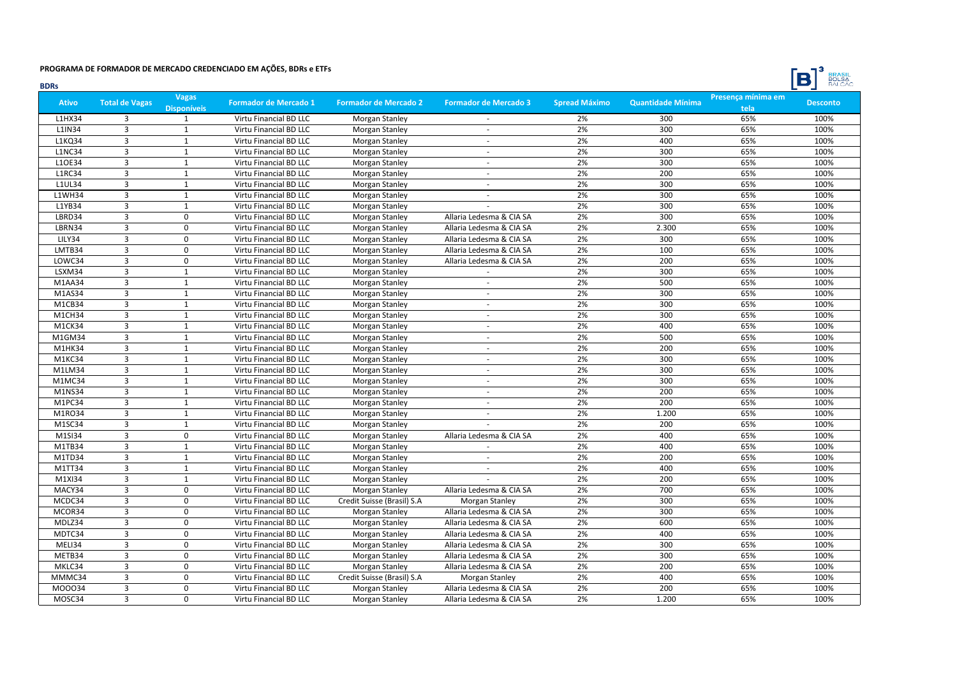

| <b>BDRs</b>   |                         |                                    |                              |                              |                              |                      |                          |                            | <b>BULSA</b><br>$\Box$ |
|---------------|-------------------------|------------------------------------|------------------------------|------------------------------|------------------------------|----------------------|--------------------------|----------------------------|------------------------|
| <b>Ativo</b>  | <b>Total de Vagas</b>   | <b>Vagas</b><br><b>Disponíveis</b> | <b>Formador de Mercado 1</b> | <b>Formador de Mercado 2</b> | <b>Formador de Mercado 3</b> | <b>Spread Máximo</b> | <b>Quantidade Mínima</b> | Presença mínima em<br>tela | <b>Desconto</b>        |
| L1HX34        | 3                       | $\mathbf{1}$                       | Virtu Financial BD LLC       | Morgan Stanley               |                              | 2%                   | 300                      | 65%                        | 100%                   |
| L1IN34        | $\overline{3}$          | 1                                  | Virtu Financial BD LLC       | Morgan Stanley               | ÷                            | 2%                   | 300                      | 65%                        | 100%                   |
| L1KQ34        | $\overline{3}$          | $\mathbf{1}$                       | Virtu Financial BD LLC       | <b>Morgan Stanley</b>        | $\sim$                       | 2%                   | 400                      | 65%                        | 100%                   |
| <b>L1NC34</b> | $\overline{3}$          | $\mathbf{1}$                       | Virtu Financial BD LLC       | Morgan Stanley               | ÷                            | 2%                   | 300                      | 65%                        | 100%                   |
| L1OE34        | $\overline{3}$          | $\mathbf{1}$                       | Virtu Financial BD LLC       | Morgan Stanley               |                              | 2%                   | 300                      | 65%                        | 100%                   |
| <b>L1RC34</b> | $\overline{3}$          | $\mathbf 1$                        | Virtu Financial BD LLC       | Morgan Stanley               | $\sim$                       | 2%                   | 200                      | 65%                        | 100%                   |
| <b>L1UL34</b> | $\overline{3}$          | $\mathbf{1}$                       | Virtu Financial BD LLC       | Morgan Stanley               | $\sim$                       | 2%                   | 300                      | 65%                        | 100%                   |
| <b>L1WH34</b> | $\overline{3}$          | $\mathbf{1}$                       | Virtu Financial BD LLC       | Morgan Stanley               | ÷                            | 2%                   | 300                      | 65%                        | 100%                   |
| L1YB34        | $\overline{3}$          | $\mathbf{1}$                       | Virtu Financial BD LLC       | Morgan Stanley               |                              | 2%                   | 300                      | 65%                        | 100%                   |
| LBRD34        | 3                       | $\mathbf 0$                        | Virtu Financial BD LLC       | Morgan Stanley               | Allaria Ledesma & CIA SA     | 2%                   | 300                      | 65%                        | 100%                   |
| LBRN34        | $\overline{3}$          | $\Omega$                           | Virtu Financial BD LLC       | Morgan Stanley               | Allaria Ledesma & CIA SA     | 2%                   | 2.300                    | 65%                        | 100%                   |
| LILY34        | $\overline{3}$          | $\Omega$                           | Virtu Financial BD LLC       | Morgan Stanley               | Allaria Ledesma & CIA SA     | 2%                   | 300                      | 65%                        | 100%                   |
| LMTB34        | $\overline{3}$          | $\mathbf 0$                        | Virtu Financial BD LLC       | Morgan Stanley               | Allaria Ledesma & CIA SA     | 2%                   | 100                      | 65%                        | 100%                   |
| LOWC34        | $\overline{\mathbf{3}}$ | $\pmb{0}$                          | Virtu Financial BD LLC       | Morgan Stanley               | Allaria Ledesma & CIA SA     | 2%                   | 200                      | 65%                        | 100%                   |
| LSXM34        | $\overline{3}$          | 1                                  | Virtu Financial BD LLC       | Morgan Stanley               | $\sim$                       | 2%                   | 300                      | 65%                        | 100%                   |
| M1AA34        | $\overline{3}$          | $\mathbf{1}$                       | Virtu Financial BD LLC       | Morgan Stanley               | $\overline{\phantom{a}}$     | 2%                   | 500                      | 65%                        | 100%                   |
| M1AS34        | $\overline{3}$          | $\mathbf{1}$                       | Virtu Financial BD LLC       | Morgan Stanley               | $\omega$                     | 2%                   | 300                      | 65%                        | 100%                   |
| M1CB34        | $\overline{3}$          | $\mathbf{1}$                       | Virtu Financial BD LLC       | Morgan Stanley               | ÷                            | 2%                   | 300                      | 65%                        | 100%                   |
| M1CH34        | $\overline{3}$          | $\mathbf{1}$                       | Virtu Financial BD LLC       | Morgan Stanley               | ÷                            | 2%                   | 300                      | 65%                        | 100%                   |
| M1CK34        | $\overline{3}$          | $\mathbf{1}$                       | Virtu Financial BD LLC       | Morgan Stanley               | $\omega$                     | 2%                   | 400                      | 65%                        | 100%                   |
| M1GM34        | $\overline{3}$          | $\mathbf{1}$                       | Virtu Financial BD LLC       | Morgan Stanley               | $\sim$                       | 2%                   | 500                      | 65%                        | 100%                   |
| M1HK34        | $\overline{3}$          | $\mathbf{1}$                       | Virtu Financial BD LLC       | Morgan Stanley               | ÷                            | 2%                   | 200                      | 65%                        | 100%                   |
| M1KC34        | $\overline{3}$          | $\mathbf{1}$                       | Virtu Financial BD LLC       | Morgan Stanley               |                              | 2%                   | 300                      | 65%                        | 100%                   |
| M1LM34        | $\overline{3}$          | $\mathbf{1}$                       | Virtu Financial BD LLC       | Morgan Stanley               | ÷                            | 2%                   | 300                      | 65%                        | 100%                   |
| M1MC34        | 3                       | $\mathbf{1}$                       | Virtu Financial BD LLC       | Morgan Stanley               | $\sim$                       | 2%                   | 300                      | 65%                        | 100%                   |
| M1NS34        | $\overline{3}$          | $\mathbf{1}$                       | Virtu Financial BD LLC       | Morgan Stanley               | $\mathbf{r}$                 | 2%                   | 200                      | 65%                        | 100%                   |
| M1PC34        | $\overline{3}$          | $\mathbf{1}$                       | Virtu Financial BD LLC       | Morgan Stanley               | ÷                            | 2%                   | 200                      | 65%                        | 100%                   |
| M1RO34        | $\overline{3}$          | $\mathbf{1}$                       | Virtu Financial BD LLC       | Morgan Stanley               | ÷                            | 2%                   | 1.200                    | 65%                        | 100%                   |
| M1SC34        | 3                       | 1                                  | Virtu Financial BD LLC       | Morgan Stanley               |                              | 2%                   | 200                      | 65%                        | 100%                   |
| M1SI34        | $\overline{3}$          | $\mathbf 0$                        | Virtu Financial BD LLC       | Morgan Stanley               | Allaria Ledesma & CIA SA     | 2%                   | 400                      | 65%                        | 100%                   |
| M1TB34        | $\overline{3}$          | $\mathbf{1}$                       | Virtu Financial BD LLC       | Morgan Stanley               |                              | 2%                   | 400                      | 65%                        | 100%                   |
| M1TD34        | $\overline{3}$          | 1                                  | Virtu Financial BD LLC       | Morgan Stanley               |                              | 2%                   | 200                      | 65%                        | 100%                   |
| M1TT34        | $\overline{3}$          | $\mathbf{1}$                       | Virtu Financial BD LLC       | Morgan Stanley               | $\sim$                       | 2%                   | 400                      | 65%                        | 100%                   |
| M1XI34        | $\overline{3}$          | $\mathbf{1}$                       | Virtu Financial BD LLC       | Morgan Stanley               |                              | 2%                   | 200                      | 65%                        | 100%                   |
| MACY34        | $\overline{3}$          | $\mathbf 0$                        | Virtu Financial BD LLC       | Morgan Stanley               | Allaria Ledesma & CIA SA     | 2%                   | 700                      | 65%                        | 100%                   |
| MCDC34        | 3                       | 0                                  | Virtu Financial BD LLC       | Credit Suisse (Brasil) S.A   | Morgan Stanley               | 2%                   | 300                      | 65%                        | 100%                   |
| MCOR34        | $\overline{3}$          | $\mathbf 0$                        | Virtu Financial BD LLC       | Morgan Stanley               | Allaria Ledesma & CIA SA     | 2%                   | 300                      | 65%                        | 100%                   |
| MDLZ34        | $\overline{3}$          | $\Omega$                           | Virtu Financial BD LLC       | Morgan Stanley               | Allaria Ledesma & CIA SA     | 2%                   | 600                      | 65%                        | 100%                   |
| MDTC34        | $\overline{3}$          | $\Omega$                           | Virtu Financial BD LLC       | Morgan Stanley               | Allaria Ledesma & CIA SA     | 2%                   | 400                      | 65%                        | 100%                   |
| MELI34        | $\overline{3}$          | $\pmb{0}$                          | Virtu Financial BD LLC       | Morgan Stanley               | Allaria Ledesma & CIA SA     | 2%                   | 300                      | 65%                        | 100%                   |
| METB34        | $\overline{\mathbf{3}}$ | $\pmb{0}$                          | Virtu Financial BD LLC       | Morgan Stanley               | Allaria Ledesma & CIA SA     | 2%                   | 300                      | 65%                        | 100%                   |
| MKLC34        | $\overline{3}$          | 0                                  | Virtu Financial BD LLC       | Morgan Stanley               | Allaria Ledesma & CIA SA     | 2%                   | 200                      | 65%                        | 100%                   |
| MMMC34        | 3                       | 0                                  | Virtu Financial BD LLC       | Credit Suisse (Brasil) S.A   | Morgan Stanley               | 2%                   | 400                      | 65%                        | 100%                   |
| M00034        | $\overline{3}$          | $\mathbf 0$                        | Virtu Financial BD LLC       | Morgan Stanley               | Allaria Ledesma & CIA SA     | 2%                   | 200                      | 65%                        | 100%                   |
| MOSC34        | $\overline{3}$          | $\Omega$                           | Virtu Financial BD LLC       | Morgan Stanley               | Allaria Ledesma & CIA SA     | 2%                   | 1.200                    | 65%                        | 100%                   |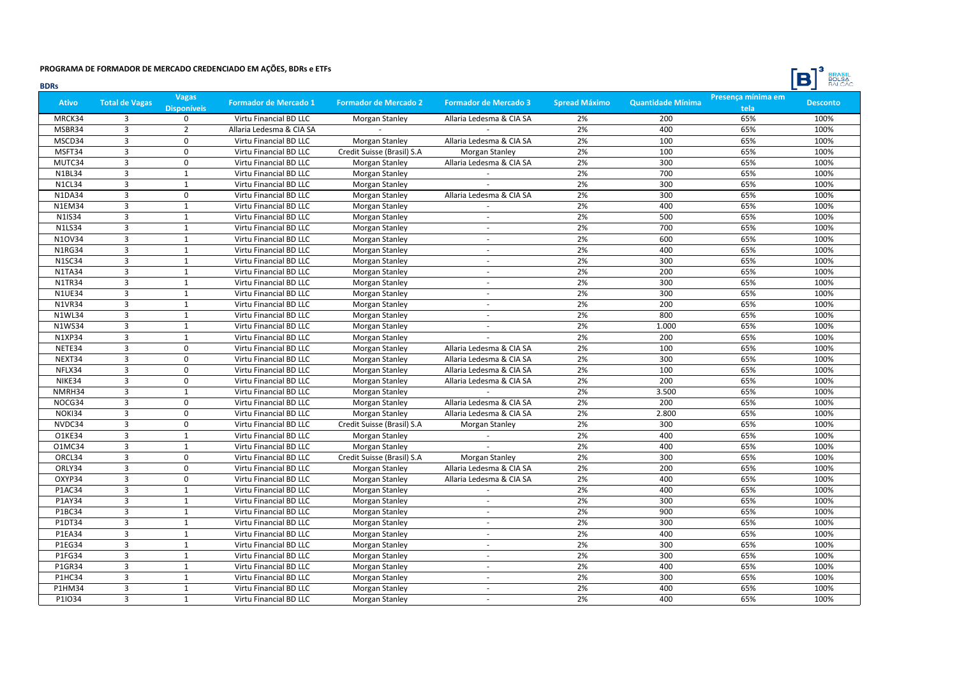

| <b>BDRs</b>   |                       |                                    |                              |                              |                              |                      |                          |                            | <b>BULSA</b><br>DI |
|---------------|-----------------------|------------------------------------|------------------------------|------------------------------|------------------------------|----------------------|--------------------------|----------------------------|--------------------|
| <b>Ativo</b>  | <b>Total de Vagas</b> | <b>Vagas</b><br><b>Disponíveis</b> | <b>Formador de Mercado 1</b> | <b>Formador de Mercado 2</b> | <b>Formador de Mercado 3</b> | <b>Spread Máximo</b> | <b>Quantidade Mínima</b> | Presença mínima em<br>tela | <b>Desconto</b>    |
| MRCK34        | 3                     | $\Omega$                           | Virtu Financial BD LLC       | Morgan Stanley               | Allaria Ledesma & CIA SA     | 2%                   | 200                      | 65%                        | 100%               |
| MSBR34        | 3                     | $\overline{2}$                     | Allaria Ledesma & CIA SA     |                              |                              | 2%                   | 400                      | 65%                        | 100%               |
| MSCD34        | 3                     | $\mathbf 0$                        | Virtu Financial BD LLC       | Morgan Stanley               | Allaria Ledesma & CIA SA     | 2%                   | 100                      | 65%                        | 100%               |
| MSFT34        | $\overline{3}$        | $\mathbf 0$                        | Virtu Financial BD LLC       | Credit Suisse (Brasil) S.A   | Morgan Stanley               | 2%                   | 100                      | 65%                        | 100%               |
| MUTC34        | 3                     | $\mathbf 0$                        | Virtu Financial BD LLC       | Morgan Stanley               | Allaria Ledesma & CIA SA     | 2%                   | 300                      | 65%                        | 100%               |
| <b>N1BL34</b> | 3                     | $\mathbf 1$                        | Virtu Financial BD LLC       | Morgan Stanley               |                              | 2%                   | 700                      | 65%                        | 100%               |
| N1CL34        | 3                     | $\mathbf{1}$                       | Virtu Financial BD LLC       | Morgan Stanley               |                              | 2%                   | 300                      | 65%                        | 100%               |
| <b>N1DA34</b> | $\overline{3}$        | $\mathbf 0$                        | Virtu Financial BD LLC       | <b>Morgan Stanley</b>        | Allaria Ledesma & CIA SA     | 2%                   | 300                      | 65%                        | 100%               |
| <b>N1EM34</b> | 3                     | $\mathbf{1}$                       | Virtu Financial BD LLC       | Morgan Stanley               | ÷                            | 2%                   | 400                      | 65%                        | 100%               |
| N1IS34        | 3                     | $\mathbf 1$                        | Virtu Financial BD LLC       | Morgan Stanley               | $\sim$                       | 2%                   | 500                      | 65%                        | 100%               |
| <b>N1LS34</b> | $\overline{3}$        | $\mathbf{1}$                       | Virtu Financial BD LLC       | Morgan Stanley               | $\sim$                       | 2%                   | 700                      | 65%                        | 100%               |
| N10V34        | $\overline{3}$        | $\mathbf{1}$                       | Virtu Financial BD LLC       | Morgan Stanley               | $\sim$                       | 2%                   | 600                      | 65%                        | 100%               |
| <b>N1RG34</b> | 3                     | $\mathbf{1}$                       | Virtu Financial BD LLC       | Morgan Stanley               | $\sim$                       | 2%                   | 400                      | 65%                        | 100%               |
| <b>N1SC34</b> | 3                     | $\mathbf{1}$                       | Virtu Financial BD LLC       | Morgan Stanley               | $\sim$                       | 2%                   | 300                      | 65%                        | 100%               |
| <b>N1TA34</b> | 3                     | $\mathbf 1$                        | Virtu Financial BD LLC       | Morgan Stanley               | $\sim$                       | 2%                   | 200                      | 65%                        | 100%               |
| <b>N1TR34</b> | 3                     | 1                                  | Virtu Financial BD LLC       | Morgan Stanley               | $\sim$                       | 2%                   | 300                      | 65%                        | 100%               |
| <b>N1UE34</b> | $\overline{3}$        | $\mathbf{1}$                       | Virtu Financial BD LLC       | Morgan Stanley               | $\omega$                     | 2%                   | 300                      | 65%                        | 100%               |
| <b>N1VR34</b> | 3                     | $\mathbf{1}$                       | Virtu Financial BD LLC       | Morgan Stanley               | ÷                            | 2%                   | 200                      | 65%                        | 100%               |
| <b>N1WL34</b> | 3                     | $\mathbf{1}$                       | Virtu Financial BD LLC       | Morgan Stanley               | $\sim$                       | 2%                   | 800                      | 65%                        | 100%               |
| <b>N1WS34</b> | 3                     | $\mathbf{1}$                       | Virtu Financial BD LLC       | Morgan Stanley               | $\omega$                     | 2%                   | 1.000                    | 65%                        | 100%               |
| <b>N1XP34</b> | $\overline{3}$        | $\mathbf{1}$                       | Virtu Financial BD LLC       | Morgan Stanley               |                              | 2%                   | 200                      | 65%                        | 100%               |
| NETE34        | 3                     | $\mathbf 0$                        | Virtu Financial BD LLC       | Morgan Stanley               | Allaria Ledesma & CIA SA     | 2%                   | 100                      | 65%                        | 100%               |
| NEXT34        | 3                     | $\pmb{0}$                          | Virtu Financial BD LLC       | Morgan Stanley               | Allaria Ledesma & CIA SA     | 2%                   | 300                      | 65%                        | 100%               |
| NFLX34        | 3                     | $\pmb{0}$                          | Virtu Financial BD LLC       | Morgan Stanley               | Allaria Ledesma & CIA SA     | 2%                   | 100                      | 65%                        | 100%               |
| NIKE34        | 3                     | 0                                  | Virtu Financial BD LLC       | Morgan Stanley               | Allaria Ledesma & CIA SA     | 2%                   | 200                      | 65%                        | 100%               |
| NMRH34        | 3                     | $\mathbf{1}$                       | Virtu Financial BD LLC       | Morgan Stanley               | $\sim$                       | 2%                   | 3.500                    | 65%                        | 100%               |
| NOCG34        | 3                     | $\pmb{0}$                          | Virtu Financial BD LLC       | Morgan Stanley               | Allaria Ledesma & CIA SA     | 2%                   | 200                      | 65%                        | 100%               |
| NOKI34        | $\overline{3}$        | $\mathbf 0$                        | Virtu Financial BD LLC       | Morgan Stanley               | Allaria Ledesma & CIA SA     | 2%                   | 2.800                    | 65%                        | 100%               |
| NVDC34        | 3                     | 0                                  | Virtu Financial BD LLC       | Credit Suisse (Brasil) S.A   | Morgan Stanley               | 2%                   | 300                      | 65%                        | 100%               |
| O1KE34        | $\overline{3}$        | $\mathbf 1$                        | Virtu Financial BD LLC       | <b>Morgan Stanley</b>        |                              | 2%                   | 400                      | 65%                        | 100%               |
| 01MC34        | $\overline{3}$        | $\mathbf{1}$                       | Virtu Financial BD LLC       | Morgan Stanley               |                              | 2%                   | 400                      | 65%                        | 100%               |
| ORCL34        | 3                     | $\mathbf 0$                        | Virtu Financial BD LLC       | Credit Suisse (Brasil) S.A   | Morgan Stanley               | 2%                   | 300                      | 65%                        | 100%               |
| ORLY34        | $\overline{3}$        | $\mathbf 0$                        | Virtu Financial BD LLC       | Morgan Stanley               | Allaria Ledesma & CIA SA     | 2%                   | 200                      | 65%                        | 100%               |
| OXYP34        | 3                     | 0                                  | Virtu Financial BD LLC       | Morgan Stanley               | Allaria Ledesma & CIA SA     | 2%                   | 400                      | 65%                        | 100%               |
| <b>P1AC34</b> | $\overline{3}$        | $\mathbf{1}$                       | Virtu Financial BD LLC       | Morgan Stanley               | $\sim$                       | 2%                   | 400                      | 65%                        | 100%               |
| P1AY34        | 3                     | $\mathbf{1}$                       | Virtu Financial BD LLC       | Morgan Stanley               | ÷                            | 2%                   | 300                      | 65%                        | 100%               |
| P1BC34        | $\overline{3}$        | $\mathbf 1$                        | Virtu Financial BD LLC       | Morgan Stanley               | ÷.                           | 2%                   | 900                      | 65%                        | 100%               |
| P1DT34        | 3                     | $\mathbf{1}$                       | Virtu Financial BD LLC       | Morgan Stanley               | $\sim$                       | 2%                   | 300                      | 65%                        | 100%               |
| <b>P1EA34</b> | $\overline{3}$        | $\mathbf{1}$                       | Virtu Financial BD LLC       | Morgan Stanley               | ÷.                           | 2%                   | 400                      | 65%                        | 100%               |
| P1EG34        | $\overline{3}$        | $\mathbf 1$                        | Virtu Financial BD LLC       | Morgan Stanley               | $\sim$                       | 2%                   | 300                      | 65%                        | 100%               |
| P1FG34        | 3                     | $\mathbf{1}$                       | Virtu Financial BD LLC       | Morgan Stanley               | $\overline{\phantom{a}}$     | 2%                   | 300                      | 65%                        | 100%               |
| P1GR34        | 3                     | $\mathbf{1}$                       | Virtu Financial BD LLC       | Morgan Stanley               | $\sim$                       | 2%                   | 400                      | 65%                        | 100%               |
| P1HC34        | 3                     | $\mathbf{1}$                       | Virtu Financial BD LLC       | Morgan Stanley               | $\sim$                       | 2%                   | 300                      | 65%                        | 100%               |
| P1HM34        | $\overline{3}$        | $\mathbf{1}$                       | Virtu Financial BD LLC       | Morgan Stanley               | $\omega$                     | 2%                   | 400                      | 65%                        | 100%               |
| P1IO34        | $\overline{3}$        | $\mathbf{1}$                       | Virtu Financial BD LLC       | Morgan Stanley               |                              | 2%                   | 400                      | 65%                        | 100%               |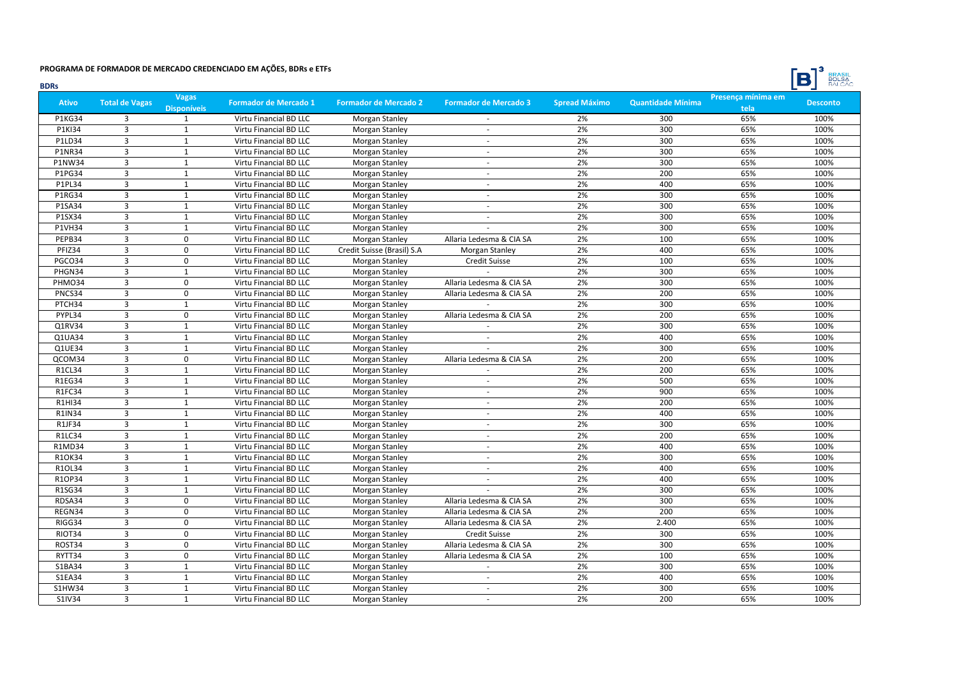

| <b>BDRs</b>   |                       |                                    |                              |                              |                              |                      |                          |                            | <b>BULSA</b><br>$\Box$ |
|---------------|-----------------------|------------------------------------|------------------------------|------------------------------|------------------------------|----------------------|--------------------------|----------------------------|------------------------|
| <b>Ativo</b>  | <b>Total de Vagas</b> | <b>Vagas</b><br><b>Disponíveis</b> | <b>Formador de Mercado 1</b> | <b>Formador de Mercado 2</b> | <b>Formador de Mercado 3</b> | <b>Spread Máximo</b> | <b>Quantidade Mínima</b> | Presença mínima em<br>tela | <b>Desconto</b>        |
| <b>P1KG34</b> | 3                     | $\mathbf{1}$                       | Virtu Financial BD LLC       | Morgan Stanley               |                              | 2%                   | 300                      | 65%                        | 100%                   |
| P1KI34        | 3                     | 1                                  | Virtu Financial BD LLC       | Morgan Stanley               | ÷.                           | 2%                   | 300                      | 65%                        | 100%                   |
| P1LD34        | $\overline{3}$        | $\mathbf{1}$                       | Virtu Financial BD LLC       | Morgan Stanley               | ÷.                           | 2%                   | 300                      | 65%                        | 100%                   |
| <b>P1NR34</b> | $\overline{3}$        | $\mathbf{1}$                       | Virtu Financial BD LLC       | Morgan Stanley               | ÷.                           | 2%                   | 300                      | 65%                        | 100%                   |
| P1NW34        | $\overline{3}$        | $\mathbf 1$                        | Virtu Financial BD LLC       | Morgan Stanley               |                              | 2%                   | 300                      | 65%                        | 100%                   |
| P1PG34        | $\overline{3}$        | $\mathbf 1$                        | Virtu Financial BD LLC       | <b>Morgan Stanley</b>        | ÷.                           | 2%                   | 200                      | 65%                        | 100%                   |
| P1PL34        | $\overline{3}$        | $\mathbf{1}$                       | Virtu Financial BD LLC       | Morgan Stanley               | $\sim$                       | 2%                   | 400                      | 65%                        | 100%                   |
| <b>P1RG34</b> | $\overline{3}$        | $\mathbf{1}$                       | Virtu Financial BD LLC       | Morgan Stanley               | ×.                           | 2%                   | 300                      | 65%                        | 100%                   |
| P1SA34        | $\overline{3}$        | $\mathbf{1}$                       | Virtu Financial BD LLC       | Morgan Stanley               | ÷.                           | 2%                   | 300                      | 65%                        | 100%                   |
| P1SX34        | $\overline{3}$        | $\mathbf{1}$                       | Virtu Financial BD LLC       | <b>Morgan Stanley</b>        | ÷.                           | 2%                   | 300                      | 65%                        | 100%                   |
| <b>P1VH34</b> | $\overline{3}$        | $\mathbf{1}$                       | Virtu Financial BD LLC       | Morgan Stanley               |                              | 2%                   | 300                      | 65%                        | 100%                   |
| PEPB34        | $\overline{3}$        | $\Omega$                           | Virtu Financial BD LLC       | Morgan Stanley               | Allaria Ledesma & CIA SA     | 2%                   | 100                      | 65%                        | 100%                   |
| PFIZ34        | $\overline{3}$        | $\mathbf 0$                        | Virtu Financial BD LLC       | Credit Suisse (Brasil) S.A   | Morgan Stanley               | 2%                   | 400                      | 65%                        | 100%                   |
| PGCO34        | $\overline{3}$        | 0                                  | Virtu Financial BD LLC       | Morgan Stanley               | <b>Credit Suisse</b>         | 2%                   | 100                      | 65%                        | 100%                   |
| PHGN34        | 3                     | $\mathbf{1}$                       | Virtu Financial BD LLC       | Morgan Stanley               |                              | 2%                   | 300                      | 65%                        | 100%                   |
| PHMO34        | $\overline{3}$        | 0                                  | Virtu Financial BD LLC       | Morgan Stanley               | Allaria Ledesma & CIA SA     | 2%                   | 300                      | 65%                        | 100%                   |
| PNCS34        | $\overline{3}$        | $\mathbf 0$                        | Virtu Financial BD LLC       | <b>Morgan Stanley</b>        | Allaria Ledesma & CIA SA     | 2%                   | 200                      | 65%                        | 100%                   |
| PTCH34        | $\overline{3}$        | $\mathbf{1}$                       | Virtu Financial BD LLC       | Morgan Stanley               | $\sim$                       | 2%                   | 300                      | 65%                        | 100%                   |
| PYPL34        | $\overline{3}$        | $\Omega$                           | Virtu Financial BD LLC       | Morgan Stanley               | Allaria Ledesma & CIA SA     | 2%                   | 200                      | 65%                        | 100%                   |
| Q1RV34        | $\overline{3}$        | $\mathbf{1}$                       | Virtu Financial BD LLC       | <b>Morgan Stanley</b>        |                              | 2%                   | 300                      | 65%                        | 100%                   |
| Q1UA34        | $\overline{3}$        | $\mathbf{1}$                       | Virtu Financial BD LLC       | <b>Morgan Stanley</b>        |                              | 2%                   | 400                      | 65%                        | 100%                   |
| Q1UE34        | $\overline{3}$        | $\mathbf{1}$                       | Virtu Financial BD LLC       | Morgan Stanley               |                              | 2%                   | 300                      | 65%                        | 100%                   |
| QCOM34        | $\overline{3}$        | 0                                  | Virtu Financial BD LLC       | Morgan Stanley               | Allaria Ledesma & CIA SA     | 2%                   | 200                      | 65%                        | 100%                   |
| <b>R1CL34</b> | $\overline{3}$        | $\mathbf 1$                        | Virtu Financial BD LLC       | Morgan Stanley               | $\overline{\phantom{a}}$     | 2%                   | 200                      | 65%                        | 100%                   |
| <b>R1EG34</b> | 3                     | $\mathbf{1}$                       | Virtu Financial BD LLC       | Morgan Stanley               | ÷.                           | 2%                   | 500                      | 65%                        | 100%                   |
| R1FC34        | $\overline{3}$        | $\mathbf{1}$                       | Virtu Financial BD LLC       | Morgan Stanley               | ÷.                           | 2%                   | 900                      | 65%                        | 100%                   |
| R1HI34        | $\overline{3}$        | 1                                  | Virtu Financial BD LLC       | <b>Morgan Stanley</b>        | ÷.                           | 2%                   | 200                      | 65%                        | 100%                   |
| <b>R1IN34</b> | $\overline{3}$        | $\mathbf{1}$                       | Virtu Financial BD LLC       | Morgan Stanley               | ÷.                           | 2%                   | 400                      | 65%                        | 100%                   |
| R1JF34        | $\overline{3}$        | $\mathbf{1}$                       | Virtu Financial BD LLC       | Morgan Stanley               | ÷.                           | 2%                   | 300                      | 65%                        | 100%                   |
| <b>R1LC34</b> | $\overline{3}$        | $\mathbf{1}$                       | Virtu Financial BD LLC       | <b>Morgan Stanley</b>        |                              | 2%                   | 200                      | 65%                        | 100%                   |
| <b>R1MD34</b> | $\overline{3}$        | $\mathbf 1$                        | Virtu Financial BD LLC       | Morgan Stanley               | ÷.                           | 2%                   | 400                      | 65%                        | 100%                   |
| R1OK34        | $\overline{3}$        | $\mathbf{1}$                       | Virtu Financial BD LLC       | Morgan Stanley               |                              | 2%                   | 300                      | 65%                        | 100%                   |
| R1OL34        | $\overline{3}$        | $\mathbf 1$                        | Virtu Financial BD LLC       | <b>Morgan Stanley</b>        | $\mathbf{r}$                 | 2%                   | 400                      | 65%                        | 100%                   |
| R1OP34        | $\overline{3}$        | $\mathbf{1}$                       | Virtu Financial BD LLC       | <b>Morgan Stanley</b>        | $\sim$                       | 2%                   | 400                      | 65%                        | 100%                   |
| R1SG34        | $\overline{3}$        | $\mathbf{1}$                       | Virtu Financial BD LLC       | <b>Morgan Stanley</b>        |                              | 2%                   | 300                      | 65%                        | 100%                   |
| RDSA34        | 3                     | 0                                  | Virtu Financial BD LLC       | Morgan Stanley               | Allaria Ledesma & CIA SA     | 2%                   | 300                      | 65%                        | 100%                   |
| REGN34        | $\overline{3}$        | $\Omega$                           | Virtu Financial BD LLC       | <b>Morgan Stanley</b>        | Allaria Ledesma & CIA SA     | 2%                   | 200                      | 65%                        | 100%                   |
| RIGG34        | $\overline{3}$        | $\Omega$                           | Virtu Financial BD LLC       | <b>Morgan Stanley</b>        | Allaria Ledesma & CIA SA     | 2%                   | 2.400                    | 65%                        | 100%                   |
| RIOT34        | $\overline{3}$        | $\Omega$                           | Virtu Financial BD LLC       | Morgan Stanley               | <b>Credit Suisse</b>         | 2%                   | 300                      | 65%                        | 100%                   |
| ROST34        | $\overline{3}$        | $\mathbf 0$                        | Virtu Financial BD LLC       | Morgan Stanley               | Allaria Ledesma & CIA SA     | 2%                   | 300                      | 65%                        | 100%                   |
| RYTT34        | $\overline{3}$        | 0                                  | Virtu Financial BD LLC       | Morgan Stanley               | Allaria Ledesma & CIA SA     | 2%                   | 100                      | 65%                        | 100%                   |
| S1BA34        | $\overline{3}$        | $\mathbf{1}$                       | Virtu Financial BD LLC       | Morgan Stanley               | $\sim$                       | 2%                   | 300                      | 65%                        | 100%                   |
| <b>S1EA34</b> | 3                     | $\mathbf{1}$                       | Virtu Financial BD LLC       | Morgan Stanley               | ÷.                           | 2%                   | 400                      | 65%                        | 100%                   |
| S1HW34        | $\overline{3}$        | $\mathbf{1}$                       | Virtu Financial BD LLC       | Morgan Stanley               | ÷.                           | 2%                   | 300                      | 65%                        | 100%                   |
| S1IV34        | $\overline{3}$        | $\mathbf{1}$                       | Virtu Financial BD LLC       | Morgan Stanley               |                              | 2%                   | 200                      | 65%                        | 100%                   |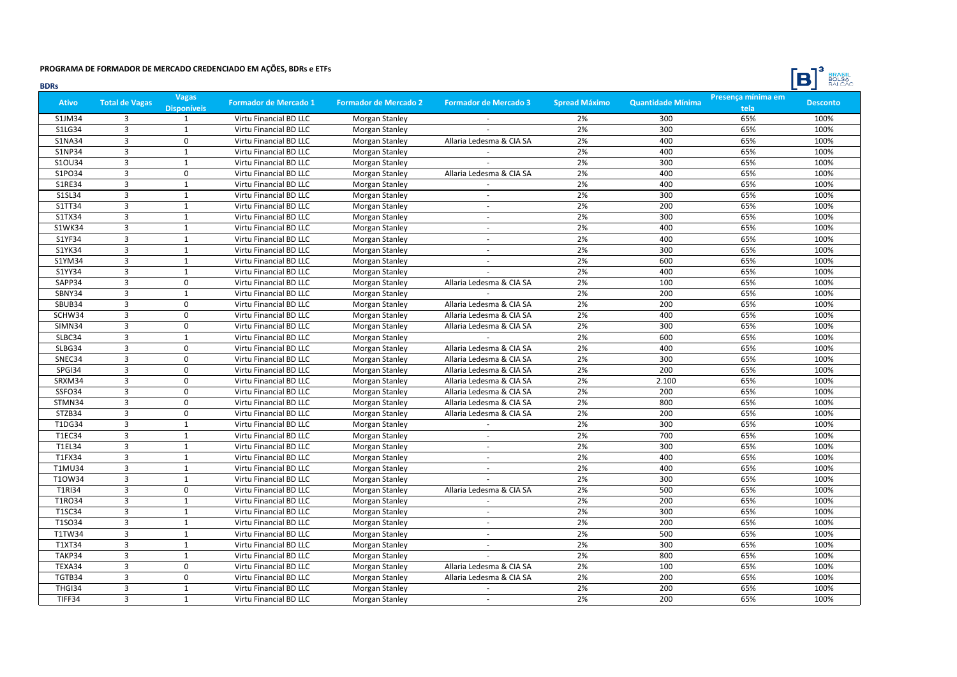

| <b>BDRs</b>   |                       |                                    |                              |                       |                              |                      |                          |                            | <b>BULSA</b><br>$\Box$ |
|---------------|-----------------------|------------------------------------|------------------------------|-----------------------|------------------------------|----------------------|--------------------------|----------------------------|------------------------|
| <b>Ativo</b>  | <b>Total de Vagas</b> | <b>Vagas</b><br><b>Disponíveis</b> | <b>Formador de Mercado 1</b> | Formador de Mercado 2 | <b>Formador de Mercado 3</b> | <b>Spread Máximo</b> | <b>Quantidade Mínima</b> | Presença mínima em<br>tela | <b>Desconto</b>        |
| S1JM34        | 3                     | $\mathbf{1}$                       | Virtu Financial BD LLC       | Morgan Stanley        |                              | 2%                   | 300                      | 65%                        | 100%                   |
| S1LG34        | $\overline{3}$        | 1                                  | Virtu Financial BD LLC       | Morgan Stanley        |                              | 2%                   | 300                      | 65%                        | 100%                   |
| <b>S1NA34</b> | $\overline{3}$        | 0                                  | Virtu Financial BD LLC       | <b>Morgan Stanley</b> | Allaria Ledesma & CIA SA     | 2%                   | 400                      | 65%                        | 100%                   |
| <b>S1NP34</b> | $\overline{3}$        | $\mathbf{1}$                       | Virtu Financial BD LLC       | Morgan Stanley        |                              | 2%                   | 400                      | 65%                        | 100%                   |
| S10U34        | 3                     | $\mathbf 1$                        | Virtu Financial BD LLC       | Morgan Stanley        |                              | 2%                   | 300                      | 65%                        | 100%                   |
| S1PO34        | $\overline{3}$        | 0                                  | Virtu Financial BD LLC       | Morgan Stanley        | Allaria Ledesma & CIA SA     | 2%                   | 400                      | 65%                        | 100%                   |
| S1RE34        | 3                     | $\mathbf{1}$                       | Virtu Financial BD LLC       | Morgan Stanley        |                              | 2%                   | 400                      | 65%                        | 100%                   |
| S1SL34        | $\overline{3}$        | $\mathbf{1}$                       | Virtu Financial BD LLC       | Morgan Stanley        | ×.                           | 2%                   | 300                      | 65%                        | 100%                   |
| S1TT34        | $\overline{3}$        | $\mathbf{1}$                       | Virtu Financial BD LLC       | <b>Morgan Stanley</b> | ÷.                           | 2%                   | 200                      | 65%                        | 100%                   |
| S1TX34        | 3                     | $\mathbf{1}$                       | Virtu Financial BD LLC       | <b>Morgan Stanley</b> | ÷.                           | 2%                   | 300                      | 65%                        | 100%                   |
| S1WK34        | 3                     | $\mathbf{1}$                       | Virtu Financial BD LLC       | Morgan Stanley        | ÷.                           | 2%                   | 400                      | 65%                        | 100%                   |
| S1YF34        | $\overline{3}$        | $\mathbf{1}$                       | Virtu Financial BD LLC       | <b>Morgan Stanley</b> | ÷                            | 2%                   | 400                      | 65%                        | 100%                   |
| S1YK34        | $\overline{3}$        | $\mathbf 1$                        | Virtu Financial BD LLC       | <b>Morgan Stanley</b> | $\omega$                     | 2%                   | 300                      | 65%                        | 100%                   |
| S1YM34        | $\overline{3}$        | $\mathbf 1$                        | Virtu Financial BD LLC       | Morgan Stanley        | $\sim$                       | 2%                   | 600                      | 65%                        | 100%                   |
| S1YY34        | 3                     | $\mathbf{1}$                       | Virtu Financial BD LLC       | Morgan Stanley        |                              | 2%                   | 400                      | 65%                        | 100%                   |
| SAPP34        | $\overline{3}$        | 0                                  | Virtu Financial BD LLC       | <b>Morgan Stanley</b> | Allaria Ledesma & CIA SA     | 2%                   | 100                      | 65%                        | 100%                   |
| SBNY34        | $\overline{3}$        | $\mathbf{1}$                       | Virtu Financial BD LLC       | <b>Morgan Stanley</b> |                              | 2%                   | 200                      | 65%                        | 100%                   |
| SBUB34        | $\overline{3}$        | $\mathbf 0$                        | Virtu Financial BD LLC       | <b>Morgan Stanley</b> | Allaria Ledesma & CIA SA     | 2%                   | 200                      | 65%                        | 100%                   |
| SCHW34        | 3                     | $\Omega$                           | Virtu Financial BD LLC       | <b>Morgan Stanley</b> | Allaria Ledesma & CIA SA     | 2%                   | 400                      | 65%                        | 100%                   |
| SIMN34        | 3                     | $\mathbf 0$                        | Virtu Financial BD LLC       | <b>Morgan Stanley</b> | Allaria Ledesma & CIA SA     | 2%                   | 300                      | 65%                        | 100%                   |
| SLBC34        | $\overline{3}$        | $\mathbf{1}$                       | Virtu Financial BD LLC       | Morgan Stanley        |                              | 2%                   | 600                      | 65%                        | 100%                   |
| SLBG34        | $\overline{3}$        | $\mathbf 0$                        | Virtu Financial BD LLC       | Morgan Stanley        | Allaria Ledesma & CIA SA     | 2%                   | 400                      | 65%                        | 100%                   |
| SNEC34        | $\overline{3}$        | 0                                  | Virtu Financial BD LLC       | Morgan Stanley        | Allaria Ledesma & CIA SA     | 2%                   | 300                      | 65%                        | 100%                   |
| SPGI34        | $\overline{3}$        | 0                                  | Virtu Financial BD LLC       | Morgan Stanley        | Allaria Ledesma & CIA SA     | 2%                   | 200                      | 65%                        | 100%                   |
| SRXM34        | 3                     | 0                                  | Virtu Financial BD LLC       | <b>Morgan Stanley</b> | Allaria Ledesma & CIA SA     | 2%                   | 2.100                    | 65%                        | 100%                   |
| SSFO34        | $\overline{3}$        | 0                                  | Virtu Financial BD LLC       | <b>Morgan Stanley</b> | Allaria Ledesma & CIA SA     | 2%                   | 200                      | 65%                        | 100%                   |
| STMN34        | $\overline{3}$        | $\mathbf 0$                        | Virtu Financial BD LLC       | <b>Morgan Stanley</b> | Allaria Ledesma & CIA SA     | 2%                   | 800                      | 65%                        | 100%                   |
| STZB34        | $\overline{3}$        | 0                                  | Virtu Financial BD LLC       | <b>Morgan Stanley</b> | Allaria Ledesma & CIA SA     | 2%                   | 200                      | 65%                        | 100%                   |
| T1DG34        | 3                     | $\mathbf{1}$                       | Virtu Financial BD LLC       | <b>Morgan Stanley</b> |                              | 2%                   | 300                      | 65%                        | 100%                   |
| T1EC34        | $\overline{3}$        | $\mathbf{1}$                       | Virtu Financial BD LLC       | <b>Morgan Stanley</b> |                              | 2%                   | 700                      | 65%                        | 100%                   |
| <b>T1EL34</b> | $\overline{3}$        | $\mathbf 1$                        | Virtu Financial BD LLC       | Morgan Stanley        | ÷.                           | 2%                   | 300                      | 65%                        | 100%                   |
| T1FX34        | 3                     | $\mathbf{1}$                       | Virtu Financial BD LLC       | <b>Morgan Stanley</b> |                              | 2%                   | 400                      | 65%                        | 100%                   |
| T1MU34        | $\overline{3}$        | $\mathbf 1$                        | Virtu Financial BD LLC       | Morgan Stanley        | $\omega$                     | 2%                   | 400                      | 65%                        | 100%                   |
| T10W34        | $\overline{3}$        | $\mathbf{1}$                       | Virtu Financial BD LLC       | <b>Morgan Stanley</b> | ÷.                           | 2%                   | 300                      | 65%                        | 100%                   |
| <b>T1RI34</b> | $\overline{3}$        | $\Omega$                           | Virtu Financial BD LLC       | <b>Morgan Stanley</b> | Allaria Ledesma & CIA SA     | 2%                   | 500                      | 65%                        | 100%                   |
| T1RO34        | 3                     | $\mathbf{1}$                       | Virtu Financial BD LLC       | <b>Morgan Stanley</b> |                              | 2%                   | 200                      | 65%                        | 100%                   |
| T1SC34        | 3                     | $\mathbf{1}$                       | Virtu Financial BD LLC       | <b>Morgan Stanley</b> | ÷.                           | 2%                   | 300                      | 65%                        | 100%                   |
| T1SO34        | $\overline{3}$        | $\mathbf{1}$                       | Virtu Financial BD LLC       | Morgan Stanley        | ÷.                           | 2%                   | 200                      | 65%                        | 100%                   |
| T1TW34        | $\overline{3}$        | $\mathbf{1}$                       | Virtu Financial BD LLC       | <b>Morgan Stanley</b> | $\sim$                       | 2%                   | 500                      | 65%                        | 100%                   |
| T1XT34        | $\overline{3}$        | $\mathbf 1$                        | Virtu Financial BD LLC       | Morgan Stanley        | ÷.                           | 2%                   | 300                      | 65%                        | 100%                   |
| TAKP34        | $\overline{3}$        | $\mathbf 1$                        | Virtu Financial BD LLC       | Morgan Stanley        |                              | 2%                   | 800                      | 65%                        | 100%                   |
| TEXA34        | $\overline{3}$        | 0                                  | Virtu Financial BD LLC       | Morgan Stanley        | Allaria Ledesma & CIA SA     | 2%                   | 100                      | 65%                        | 100%                   |
| TGTB34        | 3                     | 0                                  | Virtu Financial BD LLC       | <b>Morgan Stanley</b> | Allaria Ledesma & CIA SA     | 2%                   | 200                      | 65%                        | 100%                   |
| THGI34        | $\overline{3}$        | $\mathbf{1}$                       | Virtu Financial BD LLC       | <b>Morgan Stanley</b> | $\omega$                     | 2%                   | 200                      | 65%                        | 100%                   |
| TIFF34        | $\overline{3}$        | $\mathbf{1}$                       | Virtu Financial BD LLC       | Morgan Stanley        | $\sim$                       | 2%                   | 200                      | 65%                        | 100%                   |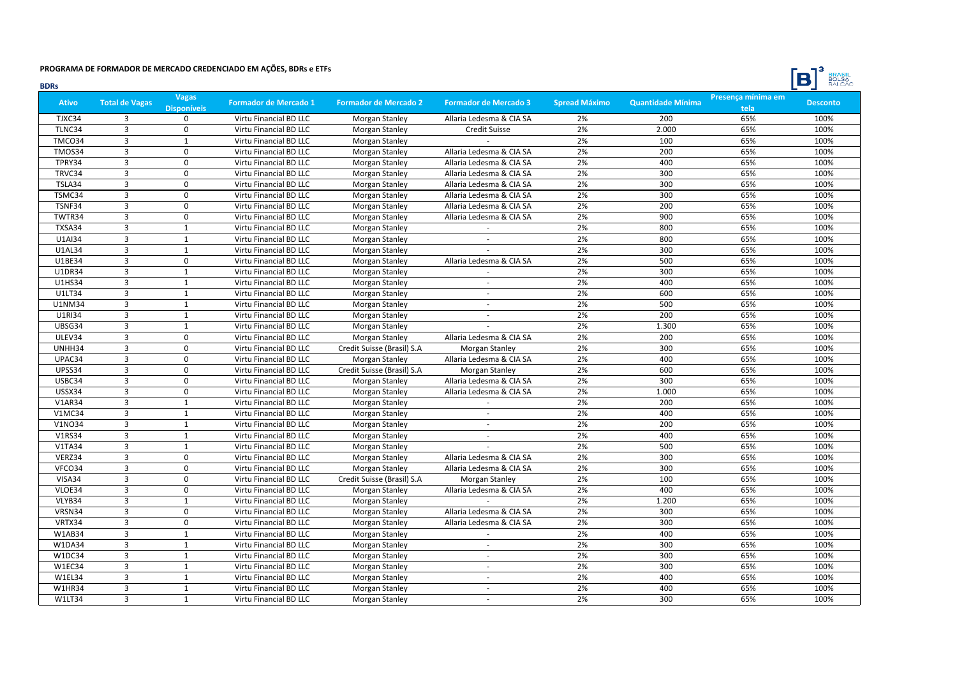

| <b>BDRs</b>   |                       |                                    |                              |                              |                              |                      |                          |                            | <b>BULSA</b><br>D |
|---------------|-----------------------|------------------------------------|------------------------------|------------------------------|------------------------------|----------------------|--------------------------|----------------------------|-------------------|
| <b>Ativo</b>  | <b>Total de Vagas</b> | <b>Vagas</b><br><b>Disponíveis</b> | <b>Formador de Mercado 1</b> | <b>Formador de Mercado 2</b> | <b>Formador de Mercado 3</b> | <b>Spread Máximo</b> | <b>Quantidade Mínima</b> | Presença mínima em<br>tela | <b>Desconto</b>   |
| TJXC34        | 3                     | $\Omega$                           | Virtu Financial BD LLC       | Morgan Stanley               | Allaria Ledesma & CIA SA     | 2%                   | 200                      | 65%                        | 100%              |
| TLNC34        | 3                     | $\mathbf 0$                        | Virtu Financial BD LLC       | Morgan Stanley               | <b>Credit Suisse</b>         | 2%                   | 2.000                    | 65%                        | 100%              |
| TMCO34        | 3                     | $\mathbf 1$                        | Virtu Financial BD LLC       | Morgan Stanley               |                              | 2%                   | 100                      | 65%                        | 100%              |
| TMOS34        | $\overline{3}$        | $\mathbf 0$                        | Virtu Financial BD LLC       | Morgan Stanley               | Allaria Ledesma & CIA SA     | 2%                   | 200                      | 65%                        | 100%              |
| TPRY34        | 3                     | $\mathbf 0$                        | Virtu Financial BD LLC       | Morgan Stanley               | Allaria Ledesma & CIA SA     | 2%                   | 400                      | 65%                        | 100%              |
| TRVC34        | 3                     | $\pmb{0}$                          | Virtu Financial BD LLC       | Morgan Stanley               | Allaria Ledesma & CIA SA     | 2%                   | 300                      | 65%                        | 100%              |
| TSLA34        | 3                     | $\pmb{0}$                          | Virtu Financial BD LLC       | Morgan Stanley               | Allaria Ledesma & CIA SA     | 2%                   | 300                      | 65%                        | 100%              |
| TSMC34        | $\overline{3}$        | $\mathbf 0$                        | Virtu Financial BD LLC       | <b>Morgan Stanley</b>        | Allaria Ledesma & CIA SA     | 2%                   | 300                      | 65%                        | 100%              |
| TSNF34        | 3                     | $\mathbf 0$                        | Virtu Financial BD LLC       | <b>Morgan Stanley</b>        | Allaria Ledesma & CIA SA     | 2%                   | 200                      | 65%                        | 100%              |
| TWTR34        | 3                     | $\mathbf 0$                        | Virtu Financial BD LLC       | <b>Morgan Stanley</b>        | Allaria Ledesma & CIA SA     | 2%                   | 900                      | 65%                        | 100%              |
| TXSA34        | $\overline{3}$        | $\mathbf{1}$                       | Virtu Financial BD LLC       | Morgan Stanley               |                              | 2%                   | 800                      | 65%                        | 100%              |
| U1AI34        | $\overline{3}$        | $\mathbf{1}$                       | Virtu Financial BD LLC       | <b>Morgan Stanley</b>        |                              | 2%                   | 800                      | 65%                        | 100%              |
| <b>U1AL34</b> | 3                     | $\mathbf 1$                        | Virtu Financial BD LLC       | Morgan Stanley               |                              | 2%                   | 300                      | 65%                        | 100%              |
| U1BE34        | 3                     | $\pmb{0}$                          | Virtu Financial BD LLC       | Morgan Stanley               | Allaria Ledesma & CIA SA     | 2%                   | 500                      | 65%                        | 100%              |
| <b>U1DR34</b> | 3                     | $\mathbf 1$                        | Virtu Financial BD LLC       | Morgan Stanley               | $\overline{\phantom{a}}$     | 2%                   | 300                      | 65%                        | 100%              |
| <b>U1HS34</b> | 3                     | 1                                  | Virtu Financial BD LLC       | Morgan Stanley               | $\sim$                       | 2%                   | 400                      | 65%                        | 100%              |
| U1LT34        | $\overline{3}$        | $\mathbf{1}$                       | Virtu Financial BD LLC       | <b>Morgan Stanley</b>        | $\omega$                     | 2%                   | 600                      | 65%                        | 100%              |
| U1NM34        | 3                     | $\mathbf{1}$                       | Virtu Financial BD LLC       | Morgan Stanley               | ÷                            | 2%                   | 500                      | 65%                        | 100%              |
| U1RI34        | 3                     | $\mathbf{1}$                       | Virtu Financial BD LLC       | <b>Morgan Stanley</b>        | $\sim$                       | 2%                   | 200                      | 65%                        | 100%              |
| UBSG34        | 3                     | $\mathbf{1}$                       | Virtu Financial BD LLC       | <b>Morgan Stanley</b>        |                              | 2%                   | 1.300                    | 65%                        | 100%              |
| ULEV34        | $\overline{3}$        | $\mathbf 0$                        | Virtu Financial BD LLC       | Morgan Stanley               | Allaria Ledesma & CIA SA     | 2%                   | 200                      | 65%                        | 100%              |
| UNHH34        | 3                     | $\Omega$                           | Virtu Financial BD LLC       | Credit Suisse (Brasil) S.A   | Morgan Stanley               | 2%                   | 300                      | 65%                        | 100%              |
| UPAC34        | 3                     | $\pmb{0}$                          | Virtu Financial BD LLC       | Morgan Stanley               | Allaria Ledesma & CIA SA     | 2%                   | 400                      | 65%                        | 100%              |
| UPSS34        | 3                     | $\pmb{0}$                          | Virtu Financial BD LLC       | Credit Suisse (Brasil) S.A   | Morgan Stanley               | 2%                   | 600                      | 65%                        | 100%              |
| USBC34        | 3                     | $\mathbf 0$                        | Virtu Financial BD LLC       | Morgan Stanley               | Allaria Ledesma & CIA SA     | 2%                   | 300                      | 65%                        | 100%              |
| USSX34        | 3                     | $\mathbf 0$                        | Virtu Financial BD LLC       | Morgan Stanley               | Allaria Ledesma & CIA SA     | 2%                   | 1.000                    | 65%                        | 100%              |
| <b>V1AR34</b> | 3                     | $\mathbf{1}$                       | Virtu Financial BD LLC       | Morgan Stanley               |                              | 2%                   | 200                      | 65%                        | 100%              |
| <b>V1MC34</b> | $\overline{3}$        | $\mathbf{1}$                       | Virtu Financial BD LLC       | Morgan Stanley               | $\sim$                       | 2%                   | 400                      | 65%                        | 100%              |
| <b>V1NO34</b> | 3                     | $\mathbf{1}$                       | Virtu Financial BD LLC       | <b>Morgan Stanley</b>        | $\sim$                       | 2%                   | 200                      | 65%                        | 100%              |
| V1RS34        | $\overline{3}$        | $\mathbf{1}$                       | Virtu Financial BD LLC       | <b>Morgan Stanley</b>        |                              | 2%                   | 400                      | 65%                        | 100%              |
| <b>V1TA34</b> | $\overline{3}$        | $\mathbf{1}$                       | Virtu Financial BD LLC       | Morgan Stanley               |                              | 2%                   | 500                      | 65%                        | 100%              |
| VERZ34        | 3                     | $\mathbf 0$                        | Virtu Financial BD LLC       | Morgan Stanley               | Allaria Ledesma & CIA SA     | 2%                   | 300                      | 65%                        | 100%              |
| VFCO34        | $\overline{3}$        | $\mathbf 0$                        | Virtu Financial BD LLC       | Morgan Stanley               | Allaria Ledesma & CIA SA     | 2%                   | 300                      | 65%                        | 100%              |
| VISA34        | 3                     | 0                                  | Virtu Financial BD LLC       | Credit Suisse (Brasil) S.A   | Morgan Stanley               | 2%                   | 100                      | 65%                        | 100%              |
| VLOE34        | $\overline{3}$        | $\Omega$                           | Virtu Financial BD LLC       | Morgan Stanley               | Allaria Ledesma & CIA SA     | 2%                   | 400                      | 65%                        | 100%              |
| VLYB34        | 3                     | 1                                  | Virtu Financial BD LLC       | Morgan Stanley               | $\sim$                       | 2%                   | 1.200                    | 65%                        | 100%              |
| VRSN34        | $\overline{3}$        | $\pmb{0}$                          | Virtu Financial BD LLC       | Morgan Stanley               | Allaria Ledesma & CIA SA     | 2%                   | 300                      | 65%                        | 100%              |
| VRTX34        | 3                     | $\mathbf 0$                        | Virtu Financial BD LLC       | Morgan Stanley               | Allaria Ledesma & CIA SA     | 2%                   | 300                      | 65%                        | 100%              |
| W1AB34        | $\overline{3}$        | $\mathbf 1$                        | Virtu Financial BD LLC       | Morgan Stanley               |                              | 2%                   | 400                      | 65%                        | 100%              |
| W1DA34        | $\overline{3}$        | $\mathbf 1$                        | Virtu Financial BD LLC       | Morgan Stanley               | $\sim$                       | 2%                   | 300                      | 65%                        | 100%              |
| W1DC34        | 3                     | $\mathbf{1}$                       | Virtu Financial BD LLC       | Morgan Stanley               | $\sim$                       | 2%                   | 300                      | 65%                        | 100%              |
| W1EC34        | 3                     | $\mathbf{1}$                       | Virtu Financial BD LLC       | Morgan Stanley               | $\sim$                       | 2%                   | 300                      | 65%                        | 100%              |
| W1EL34        | 3                     | $\mathbf{1}$                       | Virtu Financial BD LLC       | Morgan Stanley               | $\sim$                       | 2%                   | 400                      | 65%                        | 100%              |
| <b>W1HR34</b> | $\overline{3}$        | $\mathbf{1}$                       | Virtu Financial BD LLC       | <b>Morgan Stanley</b>        | $\omega$                     | 2%                   | 400                      | 65%                        | 100%              |
| <b>W1LT34</b> | $\overline{3}$        | $\mathbf{1}$                       | Virtu Financial BD LLC       | Morgan Stanley               |                              | 2%                   | 300                      | 65%                        | 100%              |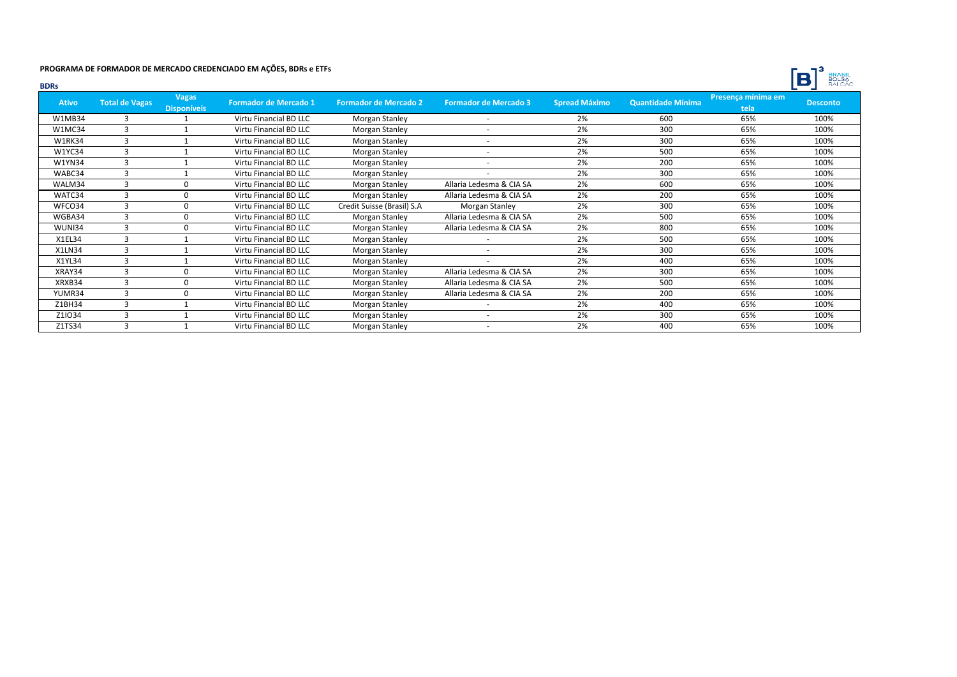

| <b>BDRs</b>   |                       |                                    |                              |                              |                              |                      |                   |                            | BALCÃO<br>D     |
|---------------|-----------------------|------------------------------------|------------------------------|------------------------------|------------------------------|----------------------|-------------------|----------------------------|-----------------|
| <b>Ativo</b>  | <b>Total de Vagas</b> | <b>Vagas</b><br><b>Disponíveis</b> | <b>Formador de Mercado 1</b> | <b>Formador de Mercado 2</b> | <b>Formador de Mercado 3</b> | <b>Spread Máximo</b> | Quantidade Mínima | Presença mínima em<br>tela | <b>Desconto</b> |
| <b>W1MB34</b> | 3                     |                                    | Virtu Financial BD LLC       | Morgan Stanley               | $\sim$                       | 2%                   | 600               | 65%                        | 100%            |
| W1MC34        | 3                     |                                    | Virtu Financial BD LLC       | Morgan Stanley               | $\overline{\phantom{a}}$     | 2%                   | 300               | 65%                        | 100%            |
| <b>W1RK34</b> | 3                     |                                    | Virtu Financial BD LLC       | Morgan Stanley               |                              | 2%                   | 300               | 65%                        | 100%            |
| <b>W1YC34</b> | 3                     |                                    | Virtu Financial BD LLC       | Morgan Stanley               |                              | 2%                   | 500               | 65%                        | 100%            |
| <b>W1YN34</b> | 3                     |                                    | Virtu Financial BD LLC       | Morgan Stanley               |                              | 2%                   | 200               | 65%                        | 100%            |
| WABC34        | 3                     |                                    | Virtu Financial BD LLC       | Morgan Stanley               | $\overline{a}$               | 2%                   | 300               | 65%                        | 100%            |
| WALM34        | 3                     | $\Omega$                           | Virtu Financial BD LLC       | Morgan Stanley               | Allaria Ledesma & CIA SA     | 2%                   | 600               | 65%                        | 100%            |
| WATC34        | 3                     | $\Omega$                           | Virtu Financial BD LLC       | Morgan Stanley               | Allaria Ledesma & CIA SA     | 2%                   | 200               | 65%                        | 100%            |
| WFCO34        | 3                     | $\Omega$                           | Virtu Financial BD LLC       | Credit Suisse (Brasil) S.A   | Morgan Stanley               | 2%                   | 300               | 65%                        | 100%            |
| WGBA34        | 3                     | $\Omega$                           | Virtu Financial BD LLC       | Morgan Stanley               | Allaria Ledesma & CIA SA     | 2%                   | 500               | 65%                        | 100%            |
| WUNI34        | 3                     | $\Omega$                           | Virtu Financial BD LLC       | Morgan Stanley               | Allaria Ledesma & CIA SA     | 2%                   | 800               | 65%                        | 100%            |
| X1EL34        | З                     |                                    | Virtu Financial BD LLC       | Morgan Stanley               |                              | 2%                   | 500               | 65%                        | 100%            |
| X1LN34        | 3                     |                                    | Virtu Financial BD LLC       | Morgan Stanley               |                              | 2%                   | 300               | 65%                        | 100%            |
| X1YL34        | 3                     |                                    | Virtu Financial BD LLC       | Morgan Stanley               |                              | 2%                   | 400               | 65%                        | 100%            |
| XRAY34        | 3                     | n                                  | Virtu Financial BD LLC       | Morgan Stanley               | Allaria Ledesma & CIA SA     | 2%                   | 300               | 65%                        | 100%            |
| XRXB34        | 3                     | n                                  | Virtu Financial BD LLC       | Morgan Stanley               | Allaria Ledesma & CIA SA     | 2%                   | 500               | 65%                        | 100%            |
| YUMR34        | 3                     | $\Omega$                           | Virtu Financial BD LLC       | Morgan Stanley               | Allaria Ledesma & CIA SA     | 2%                   | 200               | 65%                        | 100%            |
| Z1BH34        | 3                     |                                    | Virtu Financial BD LLC       | Morgan Stanley               |                              | 2%                   | 400               | 65%                        | 100%            |
| Z1IO34        | 3                     |                                    | Virtu Financial BD LLC       | Morgan Stanley               | $\sim$                       | 2%                   | 300               | 65%                        | 100%            |
| Z1TS34        | 3                     |                                    | Virtu Financial BD LLC       | Morgan Stanley               |                              | 2%                   | 400               | 65%                        | 100%            |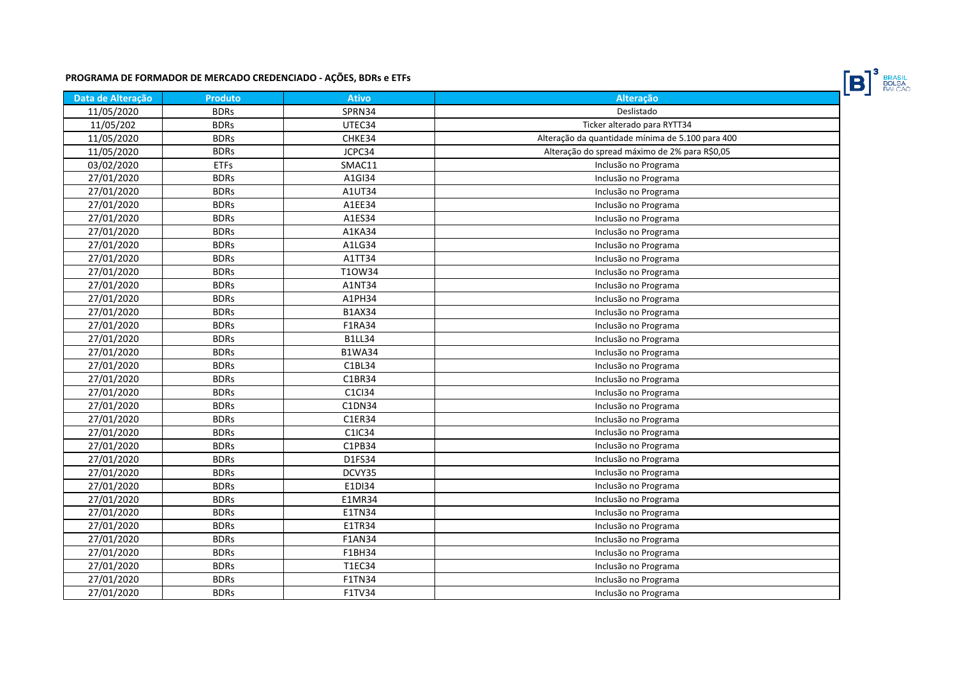

| Data de Alteração | <b>Produto</b> | <b>Ativo</b>  | Alteração                                        |
|-------------------|----------------|---------------|--------------------------------------------------|
| 11/05/2020        | <b>BDRs</b>    | SPRN34        | Deslistado                                       |
| 11/05/202         | <b>BDRs</b>    | UTEC34        | Ticker alterado para RYTT34                      |
| 11/05/2020        | <b>BDRs</b>    | CHKE34        | Alteração da quantidade mínima de 5.100 para 400 |
| 11/05/2020        | <b>BDRs</b>    | JCPC34        | Alteração do spread máximo de 2% para R\$0,05    |
| 03/02/2020        | <b>ETFs</b>    | SMAC11        | Inclusão no Programa                             |
| 27/01/2020        | <b>BDRs</b>    | A1GI34        | Inclusão no Programa                             |
| 27/01/2020        | <b>BDRs</b>    | A1UT34        | Inclusão no Programa                             |
| 27/01/2020        | <b>BDRs</b>    | A1EE34        | Inclusão no Programa                             |
| 27/01/2020        | <b>BDRs</b>    | A1ES34        | Inclusão no Programa                             |
| 27/01/2020        | <b>BDRs</b>    | A1KA34        | Inclusão no Programa                             |
| 27/01/2020        | <b>BDRs</b>    | A1LG34        | Inclusão no Programa                             |
| 27/01/2020        | <b>BDRs</b>    | A1TT34        | Inclusão no Programa                             |
| 27/01/2020        | <b>BDRs</b>    | T10W34        | Inclusão no Programa                             |
| 27/01/2020        | <b>BDRs</b>    | A1NT34        | Inclusão no Programa                             |
| 27/01/2020        | <b>BDRs</b>    | A1PH34        | Inclusão no Programa                             |
| 27/01/2020        | <b>BDRs</b>    | <b>B1AX34</b> | Inclusão no Programa                             |
| 27/01/2020        | <b>BDRs</b>    | F1RA34        | Inclusão no Programa                             |
| 27/01/2020        | <b>BDRs</b>    | <b>B1LL34</b> | Inclusão no Programa                             |
| 27/01/2020        | <b>BDRs</b>    | <b>B1WA34</b> | Inclusão no Programa                             |
| 27/01/2020        | <b>BDRs</b>    | C1BL34        | Inclusão no Programa                             |
| 27/01/2020        | <b>BDRs</b>    | C1BR34        | Inclusão no Programa                             |
| 27/01/2020        | <b>BDRs</b>    | C1Cl34        | Inclusão no Programa                             |
| 27/01/2020        | <b>BDRs</b>    | C1DN34        | Inclusão no Programa                             |
| 27/01/2020        | <b>BDRs</b>    | C1ER34        | Inclusão no Programa                             |
| 27/01/2020        | <b>BDRs</b>    | C1IC34        | Inclusão no Programa                             |
| 27/01/2020        | <b>BDRs</b>    | C1PB34        | Inclusão no Programa                             |
| 27/01/2020        | <b>BDRs</b>    | D1FS34        | Inclusão no Programa                             |
| 27/01/2020        | <b>BDRs</b>    | DCVY35        | Inclusão no Programa                             |
| 27/01/2020        | <b>BDRs</b>    | E1DI34        | Inclusão no Programa                             |
| 27/01/2020        | <b>BDRs</b>    | E1MR34        | Inclusão no Programa                             |
| 27/01/2020        | <b>BDRs</b>    | E1TN34        | Inclusão no Programa                             |
| 27/01/2020        | <b>BDRs</b>    | E1TR34        | Inclusão no Programa                             |
| 27/01/2020        | <b>BDRs</b>    | <b>F1AN34</b> | Inclusão no Programa                             |
| 27/01/2020        | <b>BDRs</b>    | F1BH34        | Inclusão no Programa                             |
| 27/01/2020        | <b>BDRs</b>    | T1EC34        | Inclusão no Programa                             |
| 27/01/2020        | <b>BDRs</b>    | <b>F1TN34</b> | Inclusão no Programa                             |
| 27/01/2020        | <b>BDRs</b>    | F1TV34        | Inclusão no Programa                             |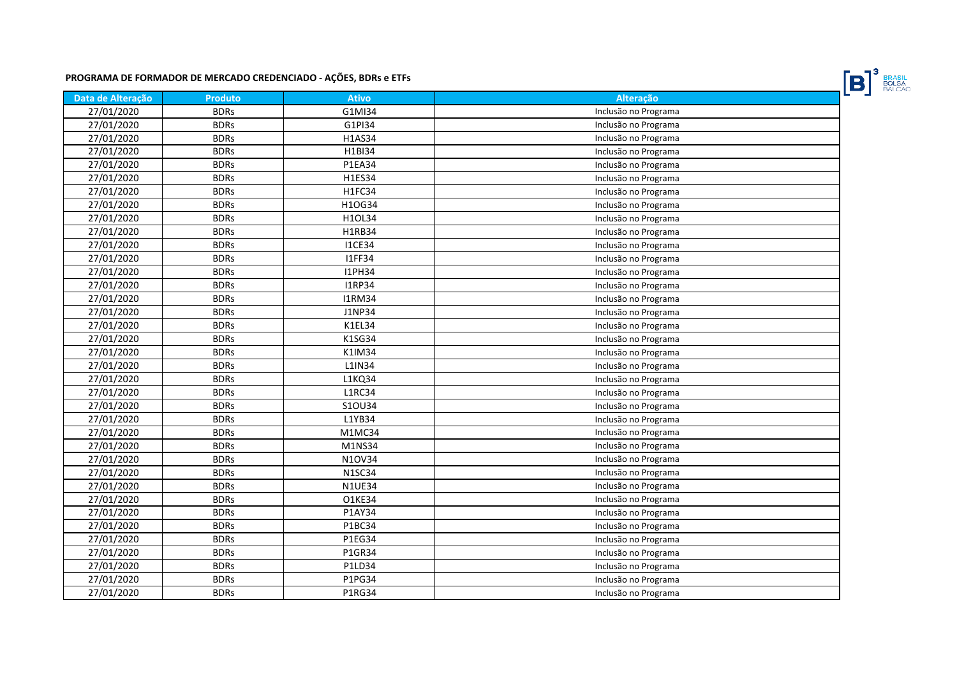

| Data de Alteração | <b>Produto</b> | <b>Ativo</b>  | Alteração            |
|-------------------|----------------|---------------|----------------------|
| 27/01/2020        | <b>BDRs</b>    | G1MI34        | Inclusão no Programa |
| 27/01/2020        | <b>BDRs</b>    | G1PI34        | Inclusão no Programa |
| 27/01/2020        | <b>BDRs</b>    | <b>H1AS34</b> | Inclusão no Programa |
| 27/01/2020        | <b>BDRs</b>    | H1BI34        | Inclusão no Programa |
| 27/01/2020        | <b>BDRs</b>    | P1EA34        | Inclusão no Programa |
| 27/01/2020        | <b>BDRs</b>    | H1ES34        | Inclusão no Programa |
| 27/01/2020        | <b>BDRs</b>    | <b>H1FC34</b> | Inclusão no Programa |
| 27/01/2020        | <b>BDRs</b>    | H1OG34        | Inclusão no Programa |
| 27/01/2020        | <b>BDRs</b>    | H1OL34        | Inclusão no Programa |
| 27/01/2020        | <b>BDRs</b>    | H1RB34        | Inclusão no Programa |
| 27/01/2020        | <b>BDRs</b>    | <b>I1CE34</b> | Inclusão no Programa |
| 27/01/2020        | <b>BDRs</b>    | <b>I1FF34</b> | Inclusão no Programa |
| 27/01/2020        | <b>BDRs</b>    | <b>I1PH34</b> | Inclusão no Programa |
| 27/01/2020        | <b>BDRs</b>    | <b>I1RP34</b> | Inclusão no Programa |
| 27/01/2020        | <b>BDRs</b>    | <b>I1RM34</b> | Inclusão no Programa |
| 27/01/2020        | <b>BDRs</b>    | J1NP34        | Inclusão no Programa |
| 27/01/2020        | <b>BDRs</b>    | K1EL34        | Inclusão no Programa |
| 27/01/2020        | <b>BDRs</b>    | K1SG34        | Inclusão no Programa |
| 27/01/2020        | <b>BDRs</b>    | K1IM34        | Inclusão no Programa |
| 27/01/2020        | <b>BDRs</b>    | L1IN34        | Inclusão no Programa |
| 27/01/2020        | <b>BDRs</b>    | L1KQ34        | Inclusão no Programa |
| 27/01/2020        | <b>BDRs</b>    | <b>L1RC34</b> | Inclusão no Programa |
| 27/01/2020        | <b>BDRs</b>    | S10U34        | Inclusão no Programa |
| 27/01/2020        | <b>BDRs</b>    | L1YB34        | Inclusão no Programa |
| 27/01/2020        | <b>BDRs</b>    | M1MC34        | Inclusão no Programa |
| 27/01/2020        | <b>BDRs</b>    | M1NS34        | Inclusão no Programa |
| 27/01/2020        | <b>BDRs</b>    | N10V34        | Inclusão no Programa |
| 27/01/2020        | <b>BDRs</b>    | <b>N1SC34</b> | Inclusão no Programa |
| 27/01/2020        | <b>BDRs</b>    | <b>N1UE34</b> | Inclusão no Programa |
| 27/01/2020        | <b>BDRs</b>    | O1KE34        | Inclusão no Programa |
| 27/01/2020        | <b>BDRs</b>    | P1AY34        | Inclusão no Programa |
| 27/01/2020        | <b>BDRs</b>    | P1BC34        | Inclusão no Programa |
| 27/01/2020        | <b>BDRs</b>    | P1EG34        | Inclusão no Programa |
| 27/01/2020        | <b>BDRs</b>    | P1GR34        | Inclusão no Programa |
| 27/01/2020        | <b>BDRs</b>    | P1LD34        | Inclusão no Programa |
| 27/01/2020        | <b>BDRs</b>    | P1PG34        | Inclusão no Programa |
| 27/01/2020        | <b>BDRs</b>    | <b>P1RG34</b> | Inclusão no Programa |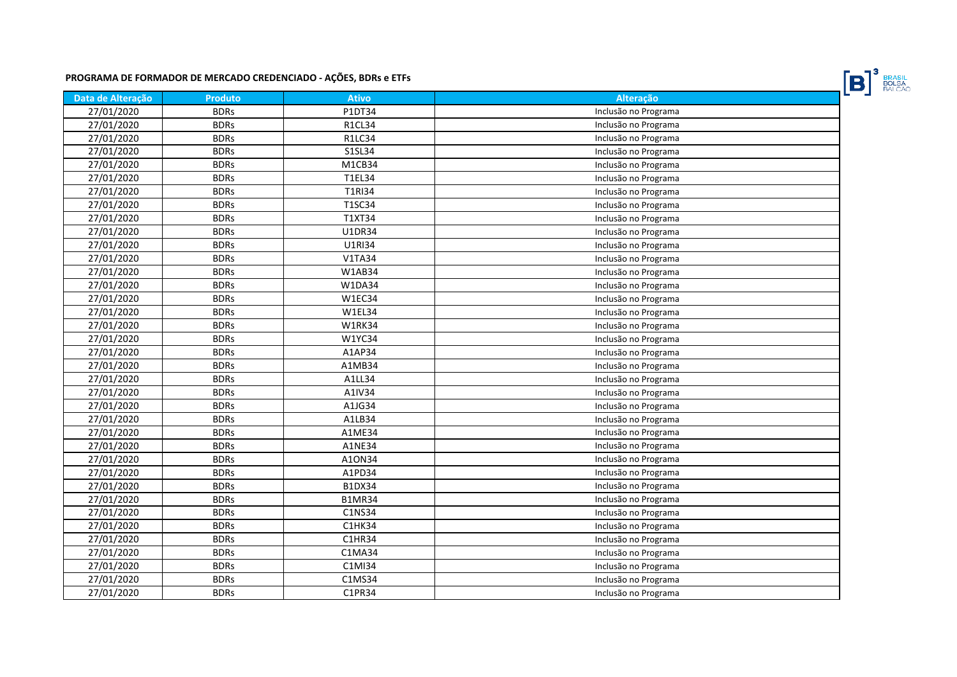

| Data de Alteração | <b>Produto</b> | <b>Ativo</b>  | Alteração            |
|-------------------|----------------|---------------|----------------------|
| 27/01/2020        | <b>BDRs</b>    | P1DT34        | Inclusão no Programa |
| 27/01/2020        | <b>BDRs</b>    | <b>R1CL34</b> | Inclusão no Programa |
| 27/01/2020        | <b>BDRs</b>    | R1LC34        | Inclusão no Programa |
| 27/01/2020        | <b>BDRs</b>    | S1SL34        | Inclusão no Programa |
| 27/01/2020        | <b>BDRs</b>    | M1CB34        | Inclusão no Programa |
| 27/01/2020        | <b>BDRs</b>    | T1EL34        | Inclusão no Programa |
| 27/01/2020        | <b>BDRs</b>    | <b>T1RI34</b> | Inclusão no Programa |
| 27/01/2020        | <b>BDRs</b>    | T1SC34        | Inclusão no Programa |
| 27/01/2020        | <b>BDRs</b>    | T1XT34        | Inclusão no Programa |
| 27/01/2020        | <b>BDRs</b>    | U1DR34        | Inclusão no Programa |
| 27/01/2020        | <b>BDRs</b>    | <b>U1RI34</b> | Inclusão no Programa |
| 27/01/2020        | <b>BDRs</b>    | <b>V1TA34</b> | Inclusão no Programa |
| 27/01/2020        | <b>BDRs</b>    | W1AB34        | Inclusão no Programa |
| 27/01/2020        | <b>BDRs</b>    | W1DA34        | Inclusão no Programa |
| 27/01/2020        | <b>BDRs</b>    | W1EC34        | Inclusão no Programa |
| 27/01/2020        | <b>BDRs</b>    | W1EL34        | Inclusão no Programa |
| 27/01/2020        | <b>BDRs</b>    | <b>W1RK34</b> | Inclusão no Programa |
| 27/01/2020        | <b>BDRs</b>    | W1YC34        | Inclusão no Programa |
| 27/01/2020        | <b>BDRs</b>    | A1AP34        | Inclusão no Programa |
| 27/01/2020        | <b>BDRs</b>    | A1MB34        | Inclusão no Programa |
| 27/01/2020        | <b>BDRs</b>    | A1LL34        | Inclusão no Programa |
| 27/01/2020        | <b>BDRs</b>    | A1IV34        | Inclusão no Programa |
| 27/01/2020        | <b>BDRs</b>    | A1JG34        | Inclusão no Programa |
| 27/01/2020        | <b>BDRs</b>    | A1LB34        | Inclusão no Programa |
| 27/01/2020        | <b>BDRs</b>    | A1ME34        | Inclusão no Programa |
| 27/01/2020        | <b>BDRs</b>    | A1NE34        | Inclusão no Programa |
| 27/01/2020        | <b>BDRs</b>    | A10N34        | Inclusão no Programa |
| 27/01/2020        | <b>BDRs</b>    | A1PD34        | Inclusão no Programa |
| 27/01/2020        | <b>BDRs</b>    | <b>B1DX34</b> | Inclusão no Programa |
| 27/01/2020        | <b>BDRs</b>    | <b>B1MR34</b> | Inclusão no Programa |
| 27/01/2020        | <b>BDRs</b>    | C1NS34        | Inclusão no Programa |
| 27/01/2020        | <b>BDRs</b>    | C1HK34        | Inclusão no Programa |
| 27/01/2020        | <b>BDRs</b>    | C1HR34        | Inclusão no Programa |
| 27/01/2020        | <b>BDRs</b>    | C1MA34        | Inclusão no Programa |
| 27/01/2020        | <b>BDRs</b>    | C1MI34        | Inclusão no Programa |
| 27/01/2020        | <b>BDRs</b>    | C1MS34        | Inclusão no Programa |
| 27/01/2020        | <b>BDRs</b>    | C1PR34        | Inclusão no Programa |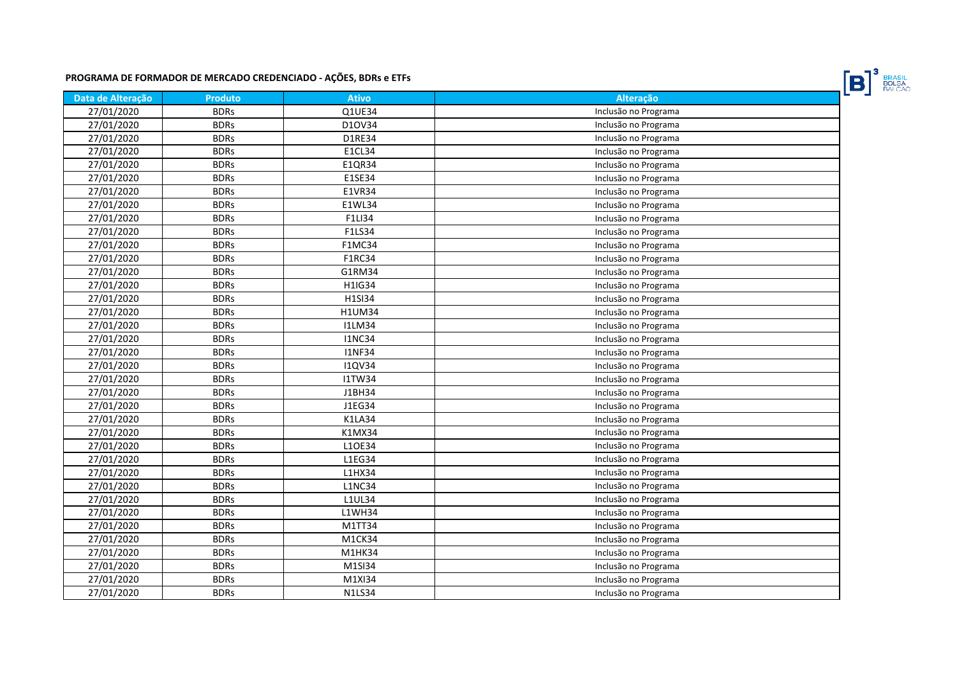

| Data de Alteração | <b>Produto</b> | <b>Ativo</b>  | Alteração            |
|-------------------|----------------|---------------|----------------------|
| 27/01/2020        | <b>BDRs</b>    | Q1UE34        | Inclusão no Programa |
| 27/01/2020        | <b>BDRs</b>    | D10V34        | Inclusão no Programa |
| 27/01/2020        | <b>BDRs</b>    | D1RE34        | Inclusão no Programa |
| 27/01/2020        | <b>BDRs</b>    | E1CL34        | Inclusão no Programa |
| 27/01/2020        | <b>BDRs</b>    | E1QR34        | Inclusão no Programa |
| 27/01/2020        | <b>BDRs</b>    | E1SE34        | Inclusão no Programa |
| 27/01/2020        | <b>BDRs</b>    | E1VR34        | Inclusão no Programa |
| 27/01/2020        | <b>BDRs</b>    | E1WL34        | Inclusão no Programa |
| 27/01/2020        | <b>BDRs</b>    | F1LI34        | Inclusão no Programa |
| 27/01/2020        | <b>BDRs</b>    | F1LS34        | Inclusão no Programa |
| 27/01/2020        | <b>BDRs</b>    | <b>F1MC34</b> | Inclusão no Programa |
| 27/01/2020        | <b>BDRs</b>    | F1RC34        | Inclusão no Programa |
| 27/01/2020        | <b>BDRs</b>    | G1RM34        | Inclusão no Programa |
| 27/01/2020        | <b>BDRs</b>    | H1IG34        | Inclusão no Programa |
| 27/01/2020        | <b>BDRs</b>    | H1SI34        | Inclusão no Programa |
| 27/01/2020        | <b>BDRs</b>    | <b>H1UM34</b> | Inclusão no Programa |
| 27/01/2020        | <b>BDRs</b>    | <b>I1LM34</b> | Inclusão no Programa |
| 27/01/2020        | <b>BDRs</b>    | <b>I1NC34</b> | Inclusão no Programa |
| 27/01/2020        | <b>BDRs</b>    | <b>I1NF34</b> | Inclusão no Programa |
| 27/01/2020        | <b>BDRs</b>    | <b>I1QV34</b> | Inclusão no Programa |
| 27/01/2020        | <b>BDRs</b>    | <b>I1TW34</b> | Inclusão no Programa |
| 27/01/2020        | <b>BDRs</b>    | J1BH34        | Inclusão no Programa |
| 27/01/2020        | <b>BDRs</b>    | J1EG34        | Inclusão no Programa |
| 27/01/2020        | <b>BDRs</b>    | K1LA34        | Inclusão no Programa |
| 27/01/2020        | <b>BDRs</b>    | K1MX34        | Inclusão no Programa |
| 27/01/2020        | <b>BDRs</b>    | L10E34        | Inclusão no Programa |
| 27/01/2020        | <b>BDRs</b>    | L1EG34        | Inclusão no Programa |
| 27/01/2020        | <b>BDRs</b>    | L1HX34        | Inclusão no Programa |
| 27/01/2020        | <b>BDRs</b>    | <b>L1NC34</b> | Inclusão no Programa |
| 27/01/2020        | <b>BDRs</b>    | <b>L1UL34</b> | Inclusão no Programa |
| 27/01/2020        | <b>BDRs</b>    | L1WH34        | Inclusão no Programa |
| 27/01/2020        | <b>BDRs</b>    | M1TT34        | Inclusão no Programa |
| 27/01/2020        | <b>BDRs</b>    | M1CK34        | Inclusão no Programa |
| 27/01/2020        | <b>BDRs</b>    | M1HK34        | Inclusão no Programa |
| 27/01/2020        | <b>BDRs</b>    | M1SI34        | Inclusão no Programa |
| 27/01/2020        | <b>BDRs</b>    | M1XI34        | Inclusão no Programa |
| 27/01/2020        | <b>BDRs</b>    | <b>N1LS34</b> | Inclusão no Programa |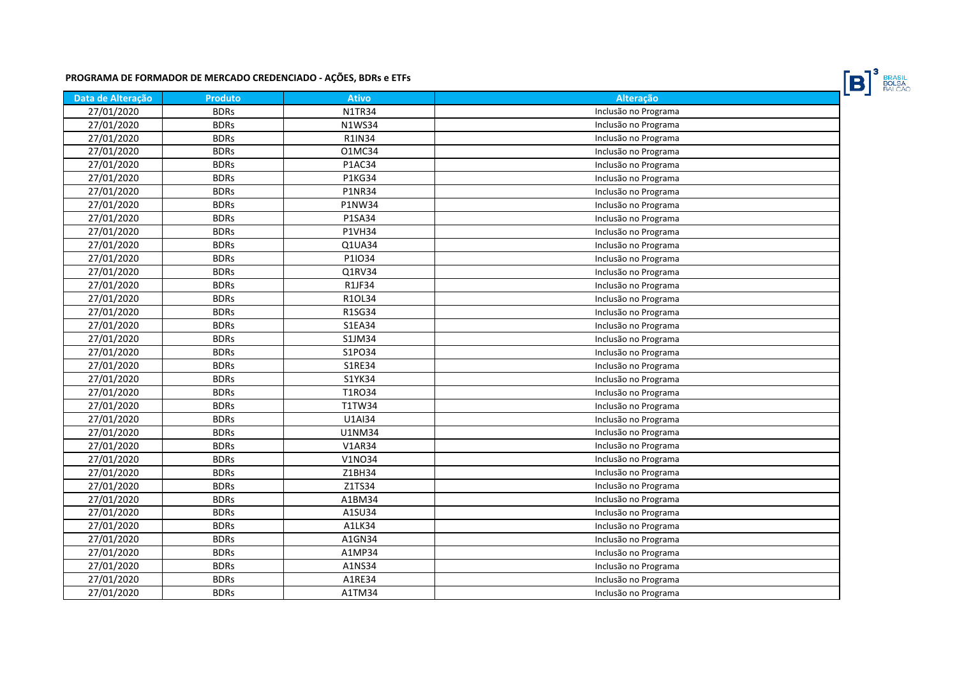

| Data de Alteração | <b>Produto</b> | <b>Ativo</b>  | Alteração            |
|-------------------|----------------|---------------|----------------------|
| 27/01/2020        | <b>BDRs</b>    | <b>N1TR34</b> | Inclusão no Programa |
| 27/01/2020        | <b>BDRs</b>    | <b>N1WS34</b> | Inclusão no Programa |
| 27/01/2020        | <b>BDRs</b>    | <b>R1IN34</b> | Inclusão no Programa |
| 27/01/2020        | <b>BDRs</b>    | 01MC34        | Inclusão no Programa |
| 27/01/2020        | <b>BDRs</b>    | P1AC34        | Inclusão no Programa |
| 27/01/2020        | <b>BDRs</b>    | <b>P1KG34</b> | Inclusão no Programa |
| 27/01/2020        | <b>BDRs</b>    | <b>P1NR34</b> | Inclusão no Programa |
| 27/01/2020        | <b>BDRs</b>    | <b>P1NW34</b> | Inclusão no Programa |
| 27/01/2020        | <b>BDRs</b>    | P1SA34        | Inclusão no Programa |
| 27/01/2020        | <b>BDRs</b>    | <b>P1VH34</b> | Inclusão no Programa |
| 27/01/2020        | <b>BDRs</b>    | Q1UA34        | Inclusão no Programa |
| 27/01/2020        | <b>BDRs</b>    | P1IO34        | Inclusão no Programa |
| 27/01/2020        | <b>BDRs</b>    | Q1RV34        | Inclusão no Programa |
| 27/01/2020        | <b>BDRs</b>    | R1JF34        | Inclusão no Programa |
| 27/01/2020        | <b>BDRs</b>    | R1OL34        | Inclusão no Programa |
| 27/01/2020        | <b>BDRs</b>    | R1SG34        | Inclusão no Programa |
| 27/01/2020        | <b>BDRs</b>    | <b>S1EA34</b> | Inclusão no Programa |
| 27/01/2020        | <b>BDRs</b>    | S1JM34        | Inclusão no Programa |
| 27/01/2020        | <b>BDRs</b>    | S1PO34        | Inclusão no Programa |
| 27/01/2020        | <b>BDRs</b>    | S1RE34        | Inclusão no Programa |
| 27/01/2020        | <b>BDRs</b>    | S1YK34        | Inclusão no Programa |
| 27/01/2020        | <b>BDRs</b>    | T1RO34        | Inclusão no Programa |
| 27/01/2020        | <b>BDRs</b>    | T1TW34        | Inclusão no Programa |
| 27/01/2020        | <b>BDRs</b>    | U1AI34        | Inclusão no Programa |
| 27/01/2020        | <b>BDRs</b>    | U1NM34        | Inclusão no Programa |
| 27/01/2020        | <b>BDRs</b>    | <b>V1AR34</b> | Inclusão no Programa |
| 27/01/2020        | <b>BDRs</b>    | <b>V1NO34</b> | Inclusão no Programa |
| 27/01/2020        | <b>BDRs</b>    | Z1BH34        | Inclusão no Programa |
| 27/01/2020        | <b>BDRs</b>    | Z1TS34        | Inclusão no Programa |
| 27/01/2020        | <b>BDRs</b>    | A1BM34        | Inclusão no Programa |
| 27/01/2020        | <b>BDRs</b>    | A1SU34        | Inclusão no Programa |
| 27/01/2020        | <b>BDRs</b>    | A1LK34        | Inclusão no Programa |
| 27/01/2020        | <b>BDRs</b>    | A1GN34        | Inclusão no Programa |
| 27/01/2020        | <b>BDRs</b>    | A1MP34        | Inclusão no Programa |
| 27/01/2020        | <b>BDRs</b>    | A1NS34        | Inclusão no Programa |
| 27/01/2020        | <b>BDRs</b>    | A1RE34        | Inclusão no Programa |
| 27/01/2020        | <b>BDRs</b>    | A1TM34        | Inclusão no Programa |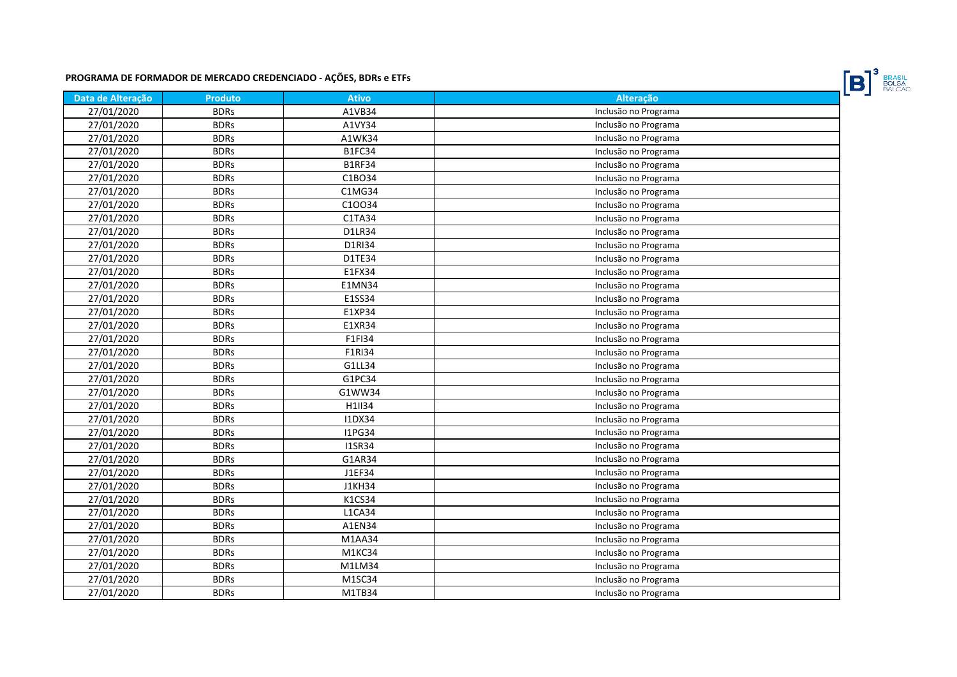

| Data de Alteração | <b>Produto</b> | <b>Ativo</b>  | Alteração            |
|-------------------|----------------|---------------|----------------------|
| 27/01/2020        | <b>BDRs</b>    | A1VB34        | Inclusão no Programa |
| 27/01/2020        | <b>BDRs</b>    | A1VY34        | Inclusão no Programa |
| 27/01/2020        | <b>BDRs</b>    | A1WK34        | Inclusão no Programa |
| 27/01/2020        | <b>BDRs</b>    | B1FC34        | Inclusão no Programa |
| 27/01/2020        | <b>BDRs</b>    | <b>B1RF34</b> | Inclusão no Programa |
| 27/01/2020        | <b>BDRs</b>    | C1BO34        | Inclusão no Programa |
| 27/01/2020        | <b>BDRs</b>    | C1MG34        | Inclusão no Programa |
| 27/01/2020        | <b>BDRs</b>    | C10034        | Inclusão no Programa |
| 27/01/2020        | <b>BDRs</b>    | C1TA34        | Inclusão no Programa |
| 27/01/2020        | <b>BDRs</b>    | D1LR34        | Inclusão no Programa |
| 27/01/2020        | <b>BDRs</b>    | D1RI34        | Inclusão no Programa |
| 27/01/2020        | <b>BDRs</b>    | D1TE34        | Inclusão no Programa |
| 27/01/2020        | <b>BDRs</b>    | E1FX34        | Inclusão no Programa |
| 27/01/2020        | <b>BDRs</b>    | E1MN34        | Inclusão no Programa |
| 27/01/2020        | <b>BDRs</b>    | E1SS34        | Inclusão no Programa |
| 27/01/2020        | <b>BDRs</b>    | E1XP34        | Inclusão no Programa |
| 27/01/2020        | <b>BDRs</b>    | E1XR34        | Inclusão no Programa |
| 27/01/2020        | <b>BDRs</b>    | F1FI34        | Inclusão no Programa |
| 27/01/2020        | <b>BDRs</b>    | F1RI34        | Inclusão no Programa |
| 27/01/2020        | <b>BDRs</b>    | G1LL34        | Inclusão no Programa |
| 27/01/2020        | <b>BDRs</b>    | G1PC34        | Inclusão no Programa |
| 27/01/2020        | <b>BDRs</b>    | G1WW34        | Inclusão no Programa |
| 27/01/2020        | <b>BDRs</b>    | H1II34        | Inclusão no Programa |
| 27/01/2020        | <b>BDRs</b>    | <b>I1DX34</b> | Inclusão no Programa |
| 27/01/2020        | <b>BDRs</b>    | <b>I1PG34</b> | Inclusão no Programa |
| 27/01/2020        | <b>BDRs</b>    | <b>I1SR34</b> | Inclusão no Programa |
| 27/01/2020        | <b>BDRs</b>    | G1AR34        | Inclusão no Programa |
| 27/01/2020        | <b>BDRs</b>    | J1EF34        | Inclusão no Programa |
| 27/01/2020        | <b>BDRs</b>    | <b>J1KH34</b> | Inclusão no Programa |
| 27/01/2020        | <b>BDRs</b>    | K1CS34        | Inclusão no Programa |
| 27/01/2020        | <b>BDRs</b>    | <b>L1CA34</b> | Inclusão no Programa |
| 27/01/2020        | <b>BDRs</b>    | A1EN34        | Inclusão no Programa |
| 27/01/2020        | <b>BDRs</b>    | M1AA34        | Inclusão no Programa |
| 27/01/2020        | <b>BDRs</b>    | M1KC34        | Inclusão no Programa |
| 27/01/2020        | <b>BDRs</b>    | M1LM34        | Inclusão no Programa |
| 27/01/2020        | <b>BDRs</b>    | M1SC34        | Inclusão no Programa |
| 27/01/2020        | <b>BDRs</b>    | M1TB34        | Inclusão no Programa |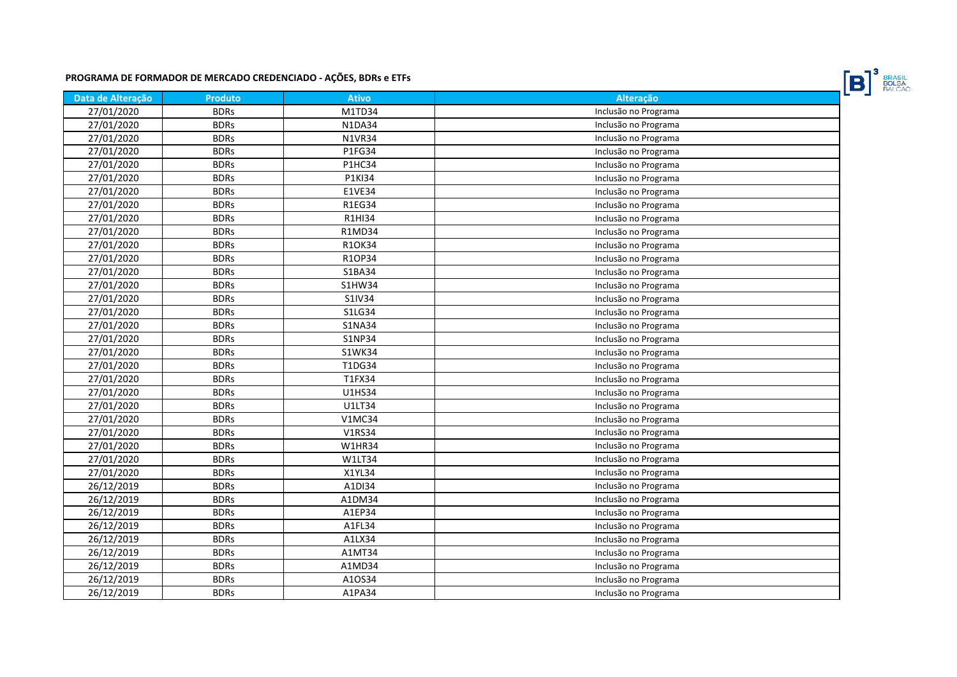

| Data de Alteração | <b>Produto</b> | <b>Ativo</b>  | Alteração            |
|-------------------|----------------|---------------|----------------------|
| 27/01/2020        | <b>BDRs</b>    | M1TD34        | Inclusão no Programa |
| 27/01/2020        | <b>BDRs</b>    | N1DA34        | Inclusão no Programa |
| 27/01/2020        | <b>BDRs</b>    | <b>N1VR34</b> | Inclusão no Programa |
| 27/01/2020        | <b>BDRs</b>    | P1FG34        | Inclusão no Programa |
| 27/01/2020        | <b>BDRs</b>    | P1HC34        | Inclusão no Programa |
| 27/01/2020        | <b>BDRs</b>    | P1KI34        | Inclusão no Programa |
| 27/01/2020        | <b>BDRs</b>    | E1VE34        | Inclusão no Programa |
| 27/01/2020        | <b>BDRs</b>    | <b>R1EG34</b> | Inclusão no Programa |
| 27/01/2020        | <b>BDRs</b>    | R1HI34        | Inclusão no Programa |
| 27/01/2020        | <b>BDRs</b>    | R1MD34        | Inclusão no Programa |
| 27/01/2020        | <b>BDRs</b>    | R1OK34        | Inclusão no Programa |
| 27/01/2020        | <b>BDRs</b>    | R1OP34        | Inclusão no Programa |
| 27/01/2020        | <b>BDRs</b>    | S1BA34        | Inclusão no Programa |
| 27/01/2020        | <b>BDRs</b>    | S1HW34        | Inclusão no Programa |
| 27/01/2020        | <b>BDRs</b>    | S1IV34        | Inclusão no Programa |
| 27/01/2020        | <b>BDRs</b>    | S1LG34        | Inclusão no Programa |
| 27/01/2020        | <b>BDRs</b>    | <b>S1NA34</b> | Inclusão no Programa |
| 27/01/2020        | <b>BDRs</b>    | S1NP34        | Inclusão no Programa |
| 27/01/2020        | <b>BDRs</b>    | S1WK34        | Inclusão no Programa |
| 27/01/2020        | <b>BDRs</b>    | T1DG34        | Inclusão no Programa |
| 27/01/2020        | <b>BDRs</b>    | T1FX34        | Inclusão no Programa |
| 27/01/2020        | <b>BDRs</b>    | U1HS34        | Inclusão no Programa |
| 27/01/2020        | <b>BDRs</b>    | U1LT34        | Inclusão no Programa |
| 27/01/2020        | <b>BDRs</b>    | <b>V1MC34</b> | Inclusão no Programa |
| 27/01/2020        | <b>BDRs</b>    | V1RS34        | Inclusão no Programa |
| 27/01/2020        | <b>BDRs</b>    | <b>W1HR34</b> | Inclusão no Programa |
| 27/01/2020        | <b>BDRs</b>    | <b>W1LT34</b> | Inclusão no Programa |
| 27/01/2020        | <b>BDRs</b>    | X1YL34        | Inclusão no Programa |
| 26/12/2019        | <b>BDRs</b>    | A1DI34        | Inclusão no Programa |
| 26/12/2019        | <b>BDRs</b>    | A1DM34        | Inclusão no Programa |
| 26/12/2019        | <b>BDRs</b>    | A1EP34        | Inclusão no Programa |
| 26/12/2019        | <b>BDRs</b>    | A1FL34        | Inclusão no Programa |
| 26/12/2019        | <b>BDRs</b>    | A1LX34        | Inclusão no Programa |
| 26/12/2019        | <b>BDRs</b>    | A1MT34        | Inclusão no Programa |
| 26/12/2019        | <b>BDRs</b>    | A1MD34        | Inclusão no Programa |
| 26/12/2019        | <b>BDRs</b>    | A10S34        | Inclusão no Programa |
| 26/12/2019        | <b>BDRs</b>    | A1PA34        | Inclusão no Programa |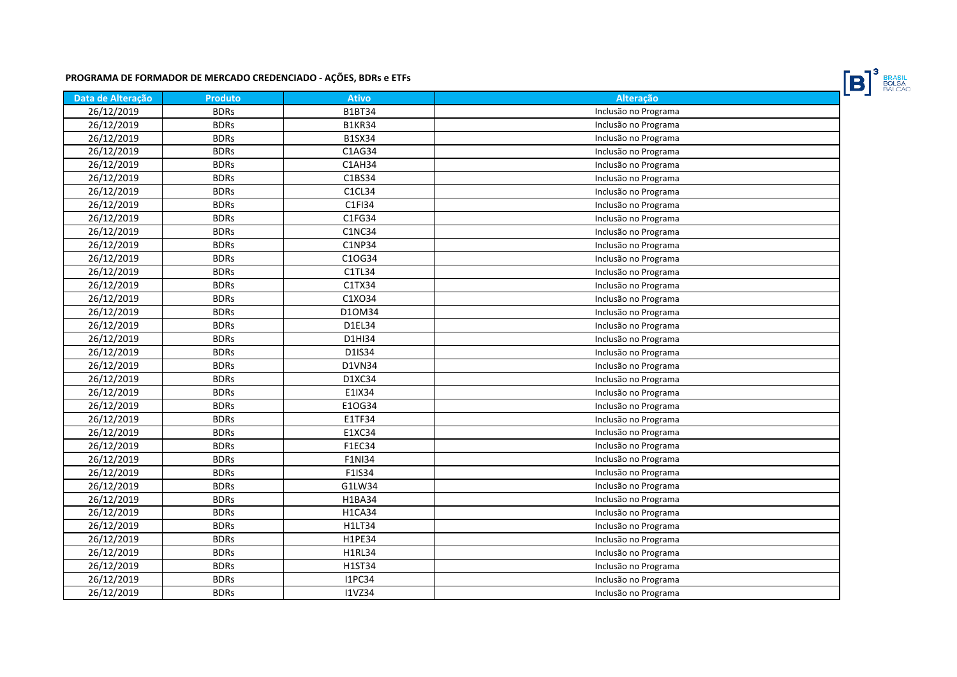

| Data de Alteração | <b>Produto</b> | <b>Ativo</b>  | <b>Alteração</b>     |
|-------------------|----------------|---------------|----------------------|
| 26/12/2019        | <b>BDRs</b>    | <b>B1BT34</b> | Inclusão no Programa |
| 26/12/2019        | <b>BDRs</b>    | <b>B1KR34</b> | Inclusão no Programa |
| 26/12/2019        | <b>BDRs</b>    | <b>B1SX34</b> | Inclusão no Programa |
| 26/12/2019        | <b>BDRs</b>    | C1AG34        | Inclusão no Programa |
| 26/12/2019        | <b>BDRs</b>    | C1AH34        | Inclusão no Programa |
| 26/12/2019        | <b>BDRs</b>    | C1BS34        | Inclusão no Programa |
| 26/12/2019        | <b>BDRs</b>    | C1CL34        | Inclusão no Programa |
| 26/12/2019        | <b>BDRs</b>    | C1FI34        | Inclusão no Programa |
| 26/12/2019        | <b>BDRs</b>    | C1FG34        | Inclusão no Programa |
| 26/12/2019        | <b>BDRs</b>    | <b>C1NC34</b> | Inclusão no Programa |
| 26/12/2019        | <b>BDRs</b>    | C1NP34        | Inclusão no Programa |
| 26/12/2019        | <b>BDRs</b>    | C10G34        | Inclusão no Programa |
| 26/12/2019        | <b>BDRs</b>    | C1TL34        | Inclusão no Programa |
| 26/12/2019        | <b>BDRs</b>    | C1TX34        | Inclusão no Programa |
| 26/12/2019        | <b>BDRs</b>    | C1XO34        | Inclusão no Programa |
| 26/12/2019        | <b>BDRs</b>    | D10M34        | Inclusão no Programa |
| 26/12/2019        | <b>BDRs</b>    | D1EL34        | Inclusão no Programa |
| 26/12/2019        | <b>BDRs</b>    | D1HI34        | Inclusão no Programa |
| 26/12/2019        | <b>BDRs</b>    | D1IS34        | Inclusão no Programa |
| 26/12/2019        | <b>BDRs</b>    | D1VN34        | Inclusão no Programa |
| 26/12/2019        | <b>BDRs</b>    | D1XC34        | Inclusão no Programa |
| 26/12/2019        | <b>BDRs</b>    | E1IX34        | Inclusão no Programa |
| 26/12/2019        | <b>BDRs</b>    | E10G34        | Inclusão no Programa |
| 26/12/2019        | <b>BDRs</b>    | E1TF34        | Inclusão no Programa |
| 26/12/2019        | <b>BDRs</b>    | E1XC34        | Inclusão no Programa |
| 26/12/2019        | <b>BDRs</b>    | F1EC34        | Inclusão no Programa |
| 26/12/2019        | <b>BDRs</b>    | F1NI34        | Inclusão no Programa |
| 26/12/2019        | <b>BDRs</b>    | F1IS34        | Inclusão no Programa |
| 26/12/2019        | <b>BDRs</b>    | G1LW34        | Inclusão no Programa |
| 26/12/2019        | <b>BDRs</b>    | H1BA34        | Inclusão no Programa |
| 26/12/2019        | <b>BDRs</b>    | <b>H1CA34</b> | Inclusão no Programa |
| 26/12/2019        | <b>BDRs</b>    | H1LT34        | Inclusão no Programa |
| 26/12/2019        | <b>BDRs</b>    | H1PE34        | Inclusão no Programa |
| 26/12/2019        | <b>BDRs</b>    | H1RL34        | Inclusão no Programa |
| 26/12/2019        | <b>BDRs</b>    | H1ST34        | Inclusão no Programa |
| 26/12/2019        | <b>BDRs</b>    | <b>I1PC34</b> | Inclusão no Programa |
| 26/12/2019        | <b>BDRs</b>    | <b>I1VZ34</b> | Inclusão no Programa |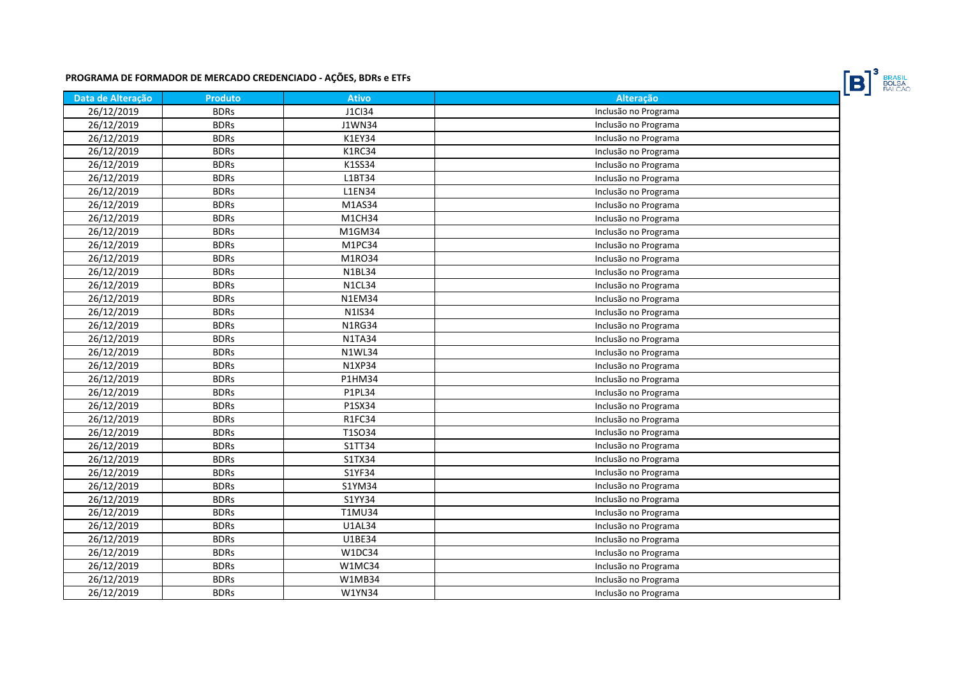

| Data de Alteração | <b>Produto</b> | <b>Ativo</b>  | <b>Alteração</b>     |
|-------------------|----------------|---------------|----------------------|
| 26/12/2019        | <b>BDRs</b>    | J1Cl34        | Inclusão no Programa |
| 26/12/2019        | <b>BDRs</b>    | J1WN34        | Inclusão no Programa |
| 26/12/2019        | <b>BDRs</b>    | K1EY34        | Inclusão no Programa |
| 26/12/2019        | <b>BDRs</b>    | K1RC34        | Inclusão no Programa |
| 26/12/2019        | <b>BDRs</b>    | K1SS34        | Inclusão no Programa |
| 26/12/2019        | <b>BDRs</b>    | L1BT34        | Inclusão no Programa |
| 26/12/2019        | <b>BDRs</b>    | <b>L1EN34</b> | Inclusão no Programa |
| 26/12/2019        | <b>BDRs</b>    | M1AS34        | Inclusão no Programa |
| 26/12/2019        | <b>BDRs</b>    | M1CH34        | Inclusão no Programa |
| 26/12/2019        | <b>BDRs</b>    | M1GM34        | Inclusão no Programa |
| 26/12/2019        | <b>BDRs</b>    | M1PC34        | Inclusão no Programa |
| 26/12/2019        | <b>BDRs</b>    | M1RO34        | Inclusão no Programa |
| 26/12/2019        | <b>BDRs</b>    | <b>N1BL34</b> | Inclusão no Programa |
| 26/12/2019        | <b>BDRs</b>    | N1CL34        | Inclusão no Programa |
| 26/12/2019        | <b>BDRs</b>    | <b>N1EM34</b> | Inclusão no Programa |
| 26/12/2019        | <b>BDRs</b>    | N1IS34        | Inclusão no Programa |
| 26/12/2019        | <b>BDRs</b>    | <b>N1RG34</b> | Inclusão no Programa |
| 26/12/2019        | <b>BDRs</b>    | <b>N1TA34</b> | Inclusão no Programa |
| 26/12/2019        | <b>BDRs</b>    | <b>N1WL34</b> | Inclusão no Programa |
| 26/12/2019        | <b>BDRs</b>    | N1XP34        | Inclusão no Programa |
| 26/12/2019        | <b>BDRs</b>    | P1HM34        | Inclusão no Programa |
| 26/12/2019        | <b>BDRs</b>    | P1PL34        | Inclusão no Programa |
| 26/12/2019        | <b>BDRs</b>    | P1SX34        | Inclusão no Programa |
| 26/12/2019        | <b>BDRs</b>    | R1FC34        | Inclusão no Programa |
| 26/12/2019        | <b>BDRs</b>    | T1SO34        | Inclusão no Programa |
| 26/12/2019        | <b>BDRs</b>    | S1TT34        | Inclusão no Programa |
| 26/12/2019        | <b>BDRs</b>    | S1TX34        | Inclusão no Programa |
| 26/12/2019        | <b>BDRs</b>    | S1YF34        | Inclusão no Programa |
| 26/12/2019        | <b>BDRs</b>    | S1YM34        | Inclusão no Programa |
| 26/12/2019        | <b>BDRs</b>    | S1YY34        | Inclusão no Programa |
| 26/12/2019        | <b>BDRs</b>    | T1MU34        | Inclusão no Programa |
| 26/12/2019        | <b>BDRs</b>    | <b>U1AL34</b> | Inclusão no Programa |
| 26/12/2019        | <b>BDRs</b>    | U1BE34        | Inclusão no Programa |
| 26/12/2019        | <b>BDRs</b>    | W1DC34        | Inclusão no Programa |
| 26/12/2019        | <b>BDRs</b>    | W1MC34        | Inclusão no Programa |
| 26/12/2019        | <b>BDRs</b>    | W1MB34        | Inclusão no Programa |
| 26/12/2019        | <b>BDRs</b>    | <b>W1YN34</b> | Inclusão no Programa |